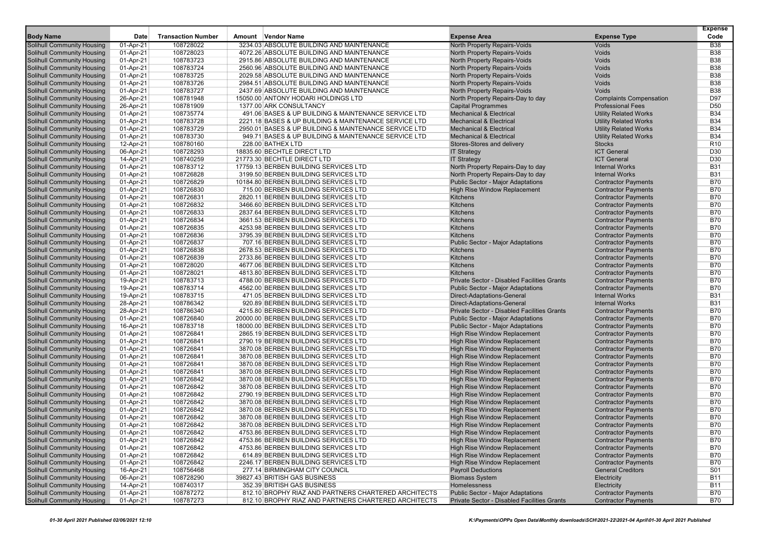| <b>Body Name</b>                                                       | Date                   | <b>Transaction Number</b> | Amount | Vendor Name                                                                            | <b>Expense Area</b>                                                        | <b>Expense Type</b>                                      | <b>Expense</b><br>Code   |
|------------------------------------------------------------------------|------------------------|---------------------------|--------|----------------------------------------------------------------------------------------|----------------------------------------------------------------------------|----------------------------------------------------------|--------------------------|
|                                                                        |                        |                           |        |                                                                                        |                                                                            |                                                          |                          |
| <b>Solihull Community Housing</b><br><b>Solihull Community Housing</b> | 01-Apr-21              | 108728022                 |        | 3234.03 ABSOLUTE BUILDING AND MAINTENANCE                                              | North Property Repairs-Voids                                               | <b>Voids</b><br>Voids                                    | <b>B38</b><br><b>B38</b> |
| <b>Solihull Community Housing</b>                                      | 01-Apr-21<br>01-Apr-21 | 108728023<br>108783723    |        | 4072.26 ABSOLUTE BUILDING AND MAINTENANCE<br>2915.86 ABSOLUTE BUILDING AND MAINTENANCE | North Property Repairs-Voids<br>North Property Repairs-Voids               | Voids                                                    | <b>B38</b>               |
| <b>Solihull Community Housing</b>                                      | 01-Apr-21              | 108783724                 |        | 2560.96 ABSOLUTE BUILDING AND MAINTENANCE                                              | North Property Repairs-Voids                                               | Voids                                                    | <b>B38</b>               |
| <b>Solihull Community Housing</b>                                      | 01-Apr-21              | 108783725                 |        | 2029.58 ABSOLUTE BUILDING AND MAINTENANCE                                              | North Property Repairs-Voids                                               | <b>Voids</b>                                             | <b>B38</b>               |
| <b>Solihull Community Housing</b>                                      | 01-Apr-21              | 108783726                 |        | 2984.51 ABSOLUTE BUILDING AND MAINTENANCE                                              | North Property Repairs-Voids                                               | Voids                                                    | <b>B38</b>               |
| <b>Solihull Community Housing</b>                                      | 01-Apr-21              | 108783727                 |        | 2437.69 ABSOLUTE BUILDING AND MAINTENANCE                                              | North Property Repairs-Voids                                               | Voids                                                    | <b>B38</b>               |
| <b>Solihull Community Housing</b>                                      | 26-Apr-21              | 108781948                 |        | 15050.00 ANTONY HODARI HOLDINGS LTD                                                    | North Property Repairs-Day to day                                          | <b>Complaints Compensation</b>                           | D97                      |
| <b>Solihull Community Housing</b>                                      | 26-Apr-21              | 108781909                 |        | 1377.00 ARK CONSULTANCY                                                                | <b>Capital Programmes</b>                                                  | <b>Professional Fees</b>                                 | D <sub>50</sub>          |
| <b>Solihull Community Housing</b>                                      | 01-Apr-21              | 108735774                 |        | 491.06 BASES & UP BUILDING & MAINTENANCE SERVICE LTD                                   | <b>Mechanical &amp; Electrical</b>                                         | <b>Utility Related Works</b>                             | <b>B34</b>               |
| <b>Solihull Community Housing</b>                                      | 01-Apr-21              | 108783728                 |        | 2221.18 BASES & UP BUILDING & MAINTENANCE SERVICE LTD                                  | <b>Mechanical &amp; Electrical</b>                                         | <b>Utility Related Works</b>                             | <b>B34</b>               |
| <b>Solihull Community Housing</b>                                      | 01-Apr-21              | 108783729                 |        | 2950.01 BASES & UP BUILDING & MAINTENANCE SERVICE LTD                                  | <b>Mechanical &amp; Electrical</b>                                         | <b>Utility Related Works</b>                             | <b>B34</b>               |
| <b>Solihull Community Housing</b>                                      | 01-Apr-21              | 108783730                 |        | 949.71 BASES & UP BUILDING & MAINTENANCE SERVICE LTD                                   | <b>Mechanical &amp; Electrical</b>                                         | <b>Utility Related Works</b>                             | <b>B34</b>               |
| <b>Solihull Community Housing</b>                                      | 12-Apr-21              | 108780160                 |        | 228.00 BATHEX LTD                                                                      | Stores-Stores and delivery                                                 | <b>Stocks</b>                                            | R <sub>10</sub>          |
| <b>Solihull Community Housing</b>                                      | 06-Apr-21              | 108728293                 |        | 18835.60 BECHTLE DIRECT LTD                                                            | <b>IT Strategy</b>                                                         | <b>ICT General</b>                                       | D30                      |
| <b>Solihull Community Housing</b>                                      | 14-Apr-21              | 108740259                 |        | 21773.30 BECHTLE DIRECT LTD                                                            | <b>IT Strategy</b>                                                         | <b>ICT General</b>                                       | D30                      |
| <b>Solihull Community Housing</b>                                      | 01-Apr-21              | 108783712                 |        | 17759.13 BERBEN BUILDING SERVICES LTD                                                  | North Property Repairs-Day to day                                          | <b>Internal Works</b>                                    | <b>B31</b>               |
| <b>Solihull Community Housing</b>                                      | 01-Apr-21              | 108726828                 |        | 3199.50 BERBEN BUILDING SERVICES LTD                                                   | North Property Repairs-Day to day                                          | <b>Internal Works</b>                                    | <b>B31</b>               |
| <b>Solihull Community Housing</b>                                      | 01-Apr-21              | 108726829                 |        | 10184.80 BERBEN BUILDING SERVICES LTD                                                  | <b>Public Sector - Major Adaptations</b>                                   | <b>Contractor Payments</b>                               | <b>B70</b>               |
| <b>Solihull Community Housing</b>                                      | 01-Apr-21              | 108726830                 |        | 715.00 BERBEN BUILDING SERVICES LTD                                                    | <b>High Rise Window Replacement</b>                                        | <b>Contractor Payments</b>                               | <b>B70</b>               |
| <b>Solihull Community Housing</b>                                      | 01-Apr-21              | 108726831                 |        | 2820.11 BERBEN BUILDING SERVICES LTD                                                   | <b>Kitchens</b>                                                            | <b>Contractor Payments</b>                               | <b>B70</b>               |
| <b>Solihull Community Housing</b>                                      | 01-Apr-21              | 108726832                 |        | 3466.60 BERBEN BUILDING SERVICES LTD                                                   | Kitchens                                                                   | <b>Contractor Payments</b>                               | <b>B70</b>               |
| <b>Solihull Community Housing</b>                                      | 01-Apr-21              | 108726833                 |        | 2837.64 BERBEN BUILDING SERVICES LTD                                                   | Kitchens                                                                   | <b>Contractor Payments</b>                               | <b>B70</b>               |
| <b>Solihull Community Housing</b>                                      | 01-Apr-21              | 108726834                 |        | 3661.53 BERBEN BUILDING SERVICES LTD                                                   | Kitchens                                                                   | <b>Contractor Payments</b>                               | <b>B70</b>               |
| <b>Solihull Community Housing</b>                                      | 01-Apr-21              | 108726835                 |        | 4253.98 BERBEN BUILDING SERVICES LTD                                                   | Kitchens                                                                   | <b>Contractor Payments</b>                               | <b>B70</b>               |
| <b>Solihull Community Housing</b>                                      | 01-Apr-21              | 108726836                 |        | 3795.39 BERBEN BUILDING SERVICES LTD                                                   | <b>Kitchens</b>                                                            | <b>Contractor Payments</b>                               | <b>B70</b>               |
| <b>Solihull Community Housing</b>                                      | 01-Apr-21              | 108726837                 |        | 707.16 BERBEN BUILDING SERVICES LTD                                                    | <b>Public Sector - Major Adaptations</b>                                   | <b>Contractor Payments</b>                               | <b>B70</b>               |
| <b>Solihull Community Housing</b>                                      | 01-Apr-21              | 108726838                 |        | 2678.53 BERBEN BUILDING SERVICES LTD                                                   | Kitchens                                                                   | <b>Contractor Payments</b>                               | <b>B70</b>               |
| <b>Solihull Community Housing</b>                                      | 01-Apr-21              | 108726839                 |        | 2733.86 BERBEN BUILDING SERVICES LTD                                                   | Kitchens                                                                   | <b>Contractor Payments</b>                               | <b>B70</b>               |
| <b>Solihull Community Housing</b>                                      | 01-Apr-21              | 108728020                 |        | 4677.06 BERBEN BUILDING SERVICES LTD                                                   | Kitchens                                                                   | <b>Contractor Payments</b>                               | <b>B70</b>               |
| <b>Solihull Community Housing</b>                                      | 01-Apr-21              | 108728021                 |        | 4813.80 BERBEN BUILDING SERVICES LTD                                                   | <b>Kitchens</b>                                                            | <b>Contractor Payments</b>                               | <b>B70</b>               |
| <b>Solihull Community Housing</b>                                      | 19-Apr-21              | 108783713                 |        | 4788.00 BERBEN BUILDING SERVICES LTD                                                   | Private Sector - Disabled Facilities Grants                                | <b>Contractor Payments</b>                               | <b>B70</b>               |
| <b>Solihull Community Housing</b>                                      | 19-Apr-21              | 108783714                 |        | 4562.00 BERBEN BUILDING SERVICES LTD                                                   | <b>Public Sector - Major Adaptations</b>                                   | <b>Contractor Payments</b>                               | <b>B70</b>               |
| <b>Solihull Community Housing</b>                                      | 19-Apr-21              | 108783715                 |        | 471.05 BERBEN BUILDING SERVICES LTD                                                    | Direct-Adaptations-General                                                 | <b>Internal Works</b>                                    | <b>B31</b>               |
| <b>Solihull Community Housing</b>                                      | 28-Apr-21              | 108786342                 |        | 920.89 BERBEN BUILDING SERVICES LTD                                                    | Direct-Adaptations-General                                                 | <b>Internal Works</b>                                    | <b>B31</b>               |
| <b>Solihull Community Housing</b>                                      | 28-Apr-21              | 108786340                 |        | 4215.80 BERBEN BUILDING SERVICES LTD                                                   | Private Sector - Disabled Facilities Grants                                | <b>Contractor Payments</b>                               | <b>B70</b>               |
| <b>Solihull Community Housing</b>                                      | 01-Apr-21              | 108726840                 |        | 20000.00 BERBEN BUILDING SERVICES LTD                                                  | <b>Public Sector - Major Adaptations</b>                                   | <b>Contractor Payments</b>                               | <b>B70</b>               |
| <b>Solihull Community Housing</b>                                      | 16-Apr-21              | 108783718                 |        | 18000.00 BERBEN BUILDING SERVICES LTD                                                  | <b>Public Sector - Major Adaptations</b>                                   | <b>Contractor Payments</b>                               | <b>B70</b>               |
| <b>Solihull Community Housing</b>                                      | 01-Apr-21              | 108726841                 |        | 2865.19 BERBEN BUILDING SERVICES LTD                                                   | <b>High Rise Window Replacement</b>                                        | <b>Contractor Payments</b>                               | <b>B70</b>               |
| <b>Solihull Community Housing</b>                                      | 01-Apr-21              | 108726841                 |        | 2790.19 BERBEN BUILDING SERVICES LTD                                                   | <b>High Rise Window Replacement</b>                                        | <b>Contractor Payments</b>                               | <b>B70</b>               |
| <b>Solihull Community Housing</b>                                      | 01-Apr-21              | 108726841                 |        | 3870.08 BERBEN BUILDING SERVICES LTD                                                   | <b>High Rise Window Replacement</b>                                        | <b>Contractor Payments</b>                               | <b>B70</b>               |
| <b>Solihull Community Housing</b>                                      | 01-Apr-21              | 108726841                 |        | 3870.08 BERBEN BUILDING SERVICES LTD                                                   | <b>High Rise Window Replacement</b>                                        | <b>Contractor Payments</b>                               | <b>B70</b>               |
| <b>Solihull Community Housing</b>                                      | 01-Apr-21              | 108726841                 |        | 3870.08 BERBEN BUILDING SERVICES LTD                                                   | <b>High Rise Window Replacement</b>                                        | <b>Contractor Payments</b>                               | <b>B70</b>               |
| <b>Solihull Community Housing</b>                                      | 01-Apr-21              | 108726841                 |        | 3870.08 BERBEN BUILDING SERVICES LTD                                                   | <b>High Rise Window Replacement</b>                                        | <b>Contractor Payments</b>                               | <b>B70</b><br><b>B70</b> |
| <b>Solihull Community Housing</b>                                      | 01-Apr-21              | 108726842                 |        | 3870.08 BERBEN BUILDING SERVICES LTD                                                   | High Rise Window Replacement                                               | <b>Contractor Payments</b>                               |                          |
| <b>Solihull Community Housing</b><br><b>Solihull Community Housing</b> | 01-Apr-21<br>01-Apr-21 | 108726842<br>108726842    |        | 3870.08 BERBEN BUILDING SERVICES LTD<br>2790.19 BERBEN BUILDING SERVICES LTD           | <b>High Rise Window Replacement</b><br><b>High Rise Window Replacement</b> | <b>Contractor Payments</b><br><b>Contractor Payments</b> | <b>B70</b><br><b>B70</b> |
|                                                                        |                        | 108726842                 |        | 3870.08 BERBEN BUILDING SERVICES LTD                                                   |                                                                            |                                                          | <b>B70</b>               |
| <b>Solihull Community Housing</b><br><b>Solihull Community Housing</b> | 01-Apr-21<br>01-Apr-21 | 108726842                 |        | 3870.08 BERBEN BUILDING SERVICES LTD                                                   | <b>High Rise Window Replacement</b><br><b>High Rise Window Replacement</b> | <b>Contractor Payments</b><br><b>Contractor Payments</b> | <b>B70</b>               |
| <b>Solihull Community Housing</b>                                      | 01-Apr-21              | 108726842                 |        | 3870.08 BERBEN BUILDING SERVICES LTD                                                   | <b>High Rise Window Replacement</b>                                        | <b>Contractor Payments</b>                               | <b>B70</b>               |
| <b>Solihull Community Housing</b>                                      | 01-Apr-21              | 108726842                 |        | 3870.08 BERBEN BUILDING SERVICES LTD                                                   | <b>High Rise Window Replacement</b>                                        | <b>Contractor Payments</b>                               | <b>B70</b>               |
| <b>Solihull Community Housing</b>                                      | 01-Apr-21              | 108726842                 |        | 4753.86 BERBEN BUILDING SERVICES LTD                                                   | <b>High Rise Window Replacement</b>                                        | <b>Contractor Payments</b>                               | B70                      |
| <b>Solihull Community Housing</b>                                      | 01-Apr-21              | 108726842                 |        | 4753.86 BERBEN BUILDING SERVICES LTD                                                   | <b>High Rise Window Replacement</b>                                        | <b>Contractor Payments</b>                               | <b>B70</b>               |
| <b>Solihull Community Housing</b>                                      | 01-Apr-21              | 108726842                 |        | 4753.86 BERBEN BUILDING SERVICES LTD                                                   | <b>High Rise Window Replacement</b>                                        | <b>Contractor Payments</b>                               | <b>B70</b>               |
| <b>Solihull Community Housing</b>                                      | 01-Apr-21              | 108726842                 |        | 614.89 BERBEN BUILDING SERVICES LTD                                                    | High Rise Window Replacement                                               | <b>Contractor Payments</b>                               | <b>B70</b>               |
| <b>Solihull Community Housing</b>                                      | 01-Apr-21              | 108726842                 |        | 2246.17 BERBEN BUILDING SERVICES LTD                                                   | <b>High Rise Window Replacement</b>                                        | <b>Contractor Payments</b>                               | <b>B70</b>               |
| <b>Solihull Community Housing</b>                                      | 16-Apr-21              | 108756468                 |        | 277.14 BIRMINGHAM CITY COUNCIL                                                         | <b>Payroll Deductions</b>                                                  | <b>General Creditors</b>                                 | S01                      |
| <b>Solihull Community Housing</b>                                      | 06-Apr-21              | 108728290                 |        | 39827.43 BRITISH GAS BUSINESS                                                          | <b>Biomass System</b>                                                      | Electricity                                              | <b>B11</b>               |
| <b>Solihull Community Housing</b>                                      | 14-Apr-21              | 108740317                 |        | 352.39 BRITISH GAS BUSINESS                                                            | Homelessness                                                               | Electricity                                              | <b>B11</b>               |
| <b>Solihull Community Housing</b>                                      | 01-Apr-21              | 108787272                 |        | 812.10 BROPHY RIAZ AND PARTNERS CHARTERED ARCHITECTS                                   | Public Sector - Major Adaptations                                          | <b>Contractor Payments</b>                               | <b>B70</b>               |
| <b>Solihull Community Housing</b>                                      | 01-Apr-21              | 108787273                 |        | 812.10 BROPHY RIAZ AND PARTNERS CHARTERED ARCHITECTS                                   | Private Sector - Disabled Facilities Grants                                | <b>Contractor Payments</b>                               | <b>B70</b>               |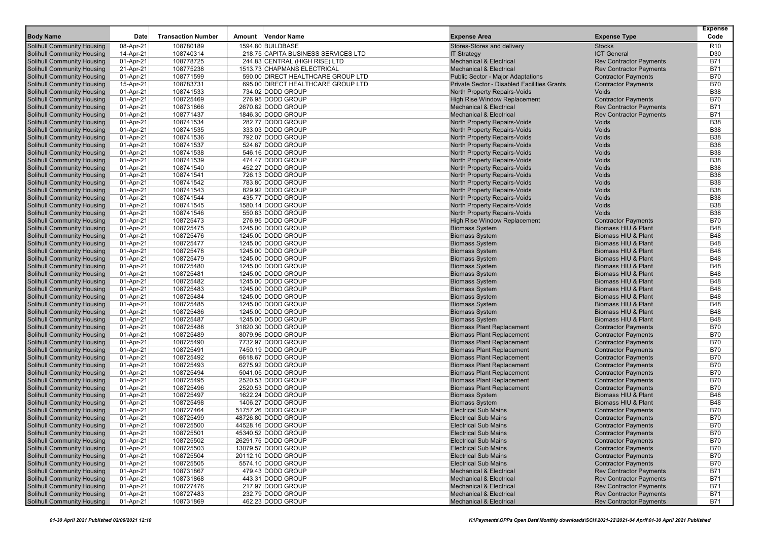| <b>Body Name</b>                  | Date      | <b>Transaction Number</b> | Amount Vendor Name                  | <b>Expense Area</b>                         | <b>Expense Type</b>            | <b>Expense</b><br>Code |
|-----------------------------------|-----------|---------------------------|-------------------------------------|---------------------------------------------|--------------------------------|------------------------|
| Solihull Community Housing        | 08-Apr-21 | 108780189                 | 1594.80 BUILDBASE                   | Stores-Stores and delivery                  | <b>Stocks</b>                  | R <sub>10</sub>        |
| Solihull Community Housing        | 14-Apr-21 | 108740314                 | 218.75 CAPITA BUSINESS SERVICES LTD | <b>IT Strategy</b>                          | <b>ICT General</b>             | D <sub>30</sub>        |
| <b>Solihull Community Housing</b> | 01-Apr-21 | 108778725                 | 244.83 CENTRAL (HIGH RISE) LTD      | <b>Mechanical &amp; Electrical</b>          | <b>Rev Contractor Payments</b> | <b>B71</b>             |
| <b>Solihull Community Housing</b> | 21-Apr-21 | 108775238                 | 1513.73 CHAPMANS ELECTRICAL         | <b>Mechanical &amp; Electrical</b>          | <b>Rev Contractor Payments</b> | <b>B71</b>             |
| <b>Solihull Community Housing</b> | 01-Apr-21 | 108771599                 | 590.00 DIRECT HEALTHCARE GROUP LTD  | <b>Public Sector - Major Adaptations</b>    | <b>Contractor Payments</b>     | <b>B70</b>             |
| Solihull Community Housing        | 15-Apr-21 | 108783731                 | 695.00 DIRECT HEALTHCARE GROUP LTD  | Private Sector - Disabled Facilities Grants | <b>Contractor Payments</b>     | <b>B70</b>             |
| Solihull Community Housing        | 01-Apr-21 | 108741533                 | 734.02 DODD GROUP                   | North Property Repairs-Voids                | Voids                          | <b>B38</b>             |
| <b>Solihull Community Housing</b> | 01-Apr-21 | 108725469                 | 276.95 DODD GROUP                   | <b>High Rise Window Replacement</b>         | <b>Contractor Payments</b>     | <b>B70</b>             |
| <b>Solihull Community Housing</b> | 01-Apr-21 | 108731866                 | 2670.82 DODD GROUP                  | <b>Mechanical &amp; Electrical</b>          | <b>Rev Contractor Payments</b> | <b>B71</b>             |
| <b>Solihull Community Housing</b> | 01-Apr-21 | 108771437                 | 1846.30 DODD GROUP                  | <b>Mechanical &amp; Electrical</b>          | <b>Rev Contractor Payments</b> | <b>B71</b>             |
| Solihull Community Housing        | 01-Apr-21 | 108741534                 | 282.77 DODD GROUP                   | North Property Repairs-Voids                | Voids                          | <b>B38</b>             |
| Solihull Community Housing        | 01-Apr-21 | 108741535                 | 333.03 DODD GROUP                   | North Property Repairs-Voids                | Voids                          | <b>B38</b>             |
| <b>Solihull Community Housing</b> | 01-Apr-21 | 108741536                 | 792.07 DODD GROUP                   | North Property Repairs-Voids                | Voids                          | <b>B38</b>             |
| Solihull Community Housing        | 01-Apr-21 | 108741537                 | 524.67 DODD GROUP                   | North Property Repairs-Voids                | Voids                          | <b>B38</b>             |
| <b>Solihull Community Housing</b> | 01-Apr-21 | 108741538                 | 546.16 DODD GROUP                   | North Property Repairs-Voids                | Voids                          | <b>B38</b>             |
| Solihull Community Housing        | 01-Apr-21 | 108741539                 | 474.47 DODD GROUP                   | North Property Repairs-Voids                | Voids                          | <b>B38</b>             |
| Solihull Community Housing        | 01-Apr-21 | 108741540                 | 452.27 DODD GROUP                   | North Property Repairs-Voids                | Voids                          | <b>B38</b>             |
| <b>Solihull Community Housing</b> | 01-Apr-21 | 108741541                 | 726.13 DODD GROUP                   | North Property Repairs-Voids                | Voids                          | <b>B38</b>             |
| <b>Solihull Community Housing</b> | 01-Apr-21 | 108741542                 | 783.80 DODD GROUP                   | North Property Repairs-Voids                | Voids                          | <b>B38</b>             |
| <b>Solihull Community Housing</b> | 01-Apr-21 | 108741543                 | 829.92 DODD GROUP                   | North Property Repairs-Voids                | Voids                          | <b>B38</b>             |
| Solihull Community Housing        | 01-Apr-21 | 108741544                 | 435.77 DODD GROUP                   | North Property Repairs-Voids                | Voids                          | <b>B38</b>             |
| Solihull Community Housing        | 01-Apr-21 | 108741545                 | 1580.14 DODD GROUP                  | North Property Repairs-Voids                | Voids                          | <b>B38</b>             |
| <b>Solihull Community Housing</b> | 01-Apr-21 | 108741546                 | 550.83 DODD GROUP                   | North Property Repairs-Voids                | Voids                          | <b>B38</b>             |
| <b>Solihull Community Housing</b> | 01-Apr-21 | 108725473                 | 276.95 DODD GROUP                   | <b>High Rise Window Replacement</b>         | <b>Contractor Payments</b>     | <b>B70</b>             |
| <b>Solihull Community Housing</b> | 01-Apr-21 | 108725475                 | 1245.00 DODD GROUP                  | <b>Biomass System</b>                       | Biomass HIU & Plant            | <b>B48</b>             |
| Solihull Community Housing        | 01-Apr-21 | 108725476                 | 1245.00 DODD GROUP                  | <b>Biomass System</b>                       | Biomass HIU & Plant            | <b>B48</b>             |
| Solihull Community Housing        | 01-Apr-21 | 108725477                 | 1245.00 DODD GROUP                  | <b>Biomass System</b>                       | Biomass HIU & Plant            | <b>B48</b>             |
| <b>Solihull Community Housing</b> | 01-Apr-21 | 108725478                 | 1245.00 DODD GROUP                  | <b>Biomass System</b>                       | Biomass HIU & Plant            | <b>B48</b>             |
| <b>Solihull Community Housing</b> | 01-Apr-21 | 108725479                 | 1245.00 DODD GROUP                  | <b>Biomass System</b>                       | Biomass HIU & Plant            | <b>B48</b>             |
| <b>Solihull Community Housing</b> | 01-Apr-21 | 108725480                 | 1245.00 DODD GROUP                  | <b>Biomass System</b>                       | Biomass HIU & Plant            | <b>B48</b>             |
| Solihull Community Housing        | 01-Apr-21 | 108725481                 | 1245.00 DODD GROUP                  | <b>Biomass System</b>                       | Biomass HIU & Plant            | <b>B48</b>             |
| Solihull Community Housing        | 01-Apr-21 | 108725482                 | 1245.00 DODD GROUP                  | <b>Biomass System</b>                       | Biomass HIU & Plant            | <b>B48</b>             |
| Solihull Community Housing        | 01-Apr-21 | 108725483                 | 1245.00 DODD GROUP                  | <b>Biomass System</b>                       | Biomass HIU & Plant            | <b>B48</b>             |
| Solihull Community Housing        | 01-Apr-21 | 108725484                 | 1245.00 DODD GROUP                  | <b>Biomass System</b>                       | Biomass HIU & Plant            | <b>B48</b>             |
| <b>Solihull Community Housing</b> | 01-Apr-21 | 108725485                 | 1245.00 DODD GROUP                  | <b>Biomass System</b>                       | Biomass HIU & Plant            | <b>B48</b>             |
| Solihull Community Housing        | 01-Apr-21 | 108725486                 | 1245.00 DODD GROUP                  | <b>Biomass System</b>                       | Biomass HIU & Plant            | <b>B48</b>             |
| Solihull Community Housing        | 01-Apr-21 | 108725487                 | 1245.00 DODD GROUP                  | <b>Biomass System</b>                       | Biomass HIU & Plant            | <b>B48</b>             |
| <b>Solihull Community Housing</b> | 01-Apr-21 | 108725488                 | 31820.30 DODD GROUP                 | <b>Biomass Plant Replacement</b>            | <b>Contractor Payments</b>     | <b>B70</b>             |
| Solihull Community Housing        | 01-Apr-21 | 108725489                 | 8079.96 DODD GROUP                  | <b>Biomass Plant Replacement</b>            | <b>Contractor Payments</b>     | <b>B70</b>             |
| <b>Solihull Community Housing</b> | 01-Apr-21 | 108725490                 | 7732.97 DODD GROUP                  | <b>Biomass Plant Replacement</b>            | <b>Contractor Payments</b>     | <b>B70</b>             |
| Solihull Community Housing        | 01-Apr-21 | 108725491                 | 7450.19 DODD GROUP                  | <b>Biomass Plant Replacement</b>            | <b>Contractor Payments</b>     | <b>B70</b>             |
| Solihull Community Housing        | 01-Apr-21 | 108725492                 | 6618.67 DODD GROUP                  | <b>Biomass Plant Replacement</b>            | <b>Contractor Payments</b>     | <b>B70</b>             |
| <b>Solihull Community Housing</b> | 01-Apr-21 | 108725493                 | 6275.92 DODD GROUP                  | <b>Biomass Plant Replacement</b>            | <b>Contractor Payments</b>     | <b>B70</b>             |
| Solihull Community Housing        | 01-Apr-21 | 108725494                 | 5041.05 DODD GROUP                  | <b>Biomass Plant Replacement</b>            | <b>Contractor Payments</b>     | <b>B70</b>             |
| <b>Solihull Community Housing</b> | 01-Apr-21 | 108725495                 | 2520.53 DODD GROUP                  | <b>Biomass Plant Replacement</b>            | <b>Contractor Payments</b>     | <b>B70</b>             |
| Solihull Community Housing        | 01-Apr-21 | 108725496                 | 2520.53 DODD GROUP                  | <b>Biomass Plant Replacement</b>            | <b>Contractor Payments</b>     | <b>B70</b>             |
| Solihull Community Housing        | 01-Apr-21 | 108725497                 | 1622.24 DODD GROUP                  | <b>Biomass System</b>                       | Biomass HIU & Plant            | <b>B48</b>             |
| <b>Solihull Community Housing</b> | 01-Apr-21 | 108725498                 | 1406.27 DODD GROUP                  | <b>Biomass System</b>                       | Biomass HIU & Plant            | B48                    |
| Solihull Community Housing        | 01-Apr-21 | 108727464                 | 51757.26 DODD GROUP                 | <b>Electrical Sub Mains</b>                 | <b>Contractor Payments</b>     | <b>B70</b>             |
| <b>Solihull Community Housing</b> | 01-Apr-21 | 108725499                 | 48726.80 DODD GROUP                 | <b>Electrical Sub Mains</b>                 | <b>Contractor Payments</b>     | <b>B70</b>             |
| <b>Solihull Community Housing</b> | 01-Apr-21 | 108725500                 | 44528.16 DODD GROUP                 | <b>Electrical Sub Mains</b>                 | <b>Contractor Payments</b>     | <b>B70</b>             |
| Solihull Community Housing        | 01-Apr-21 | 108725501                 | 45340.52 DODD GROUP                 | <b>Electrical Sub Mains</b>                 | <b>Contractor Payments</b>     | <b>B70</b>             |
| <b>Solihull Community Housing</b> | 01-Apr-21 | 108725502                 | 26291.75 DODD GROUP                 | <b>Electrical Sub Mains</b>                 | <b>Contractor Payments</b>     | <b>B70</b>             |
| <b>Solihull Community Housing</b> | 01-Apr-21 | 108725503                 | 13079.57 DODD GROUP                 | <b>Electrical Sub Mains</b>                 | <b>Contractor Payments</b>     | <b>B70</b>             |
| <b>Solihull Community Housing</b> | 01-Apr-21 | 108725504                 | 20112.10 DODD GROUP                 | <b>Electrical Sub Mains</b>                 | <b>Contractor Payments</b>     | <b>B70</b>             |
| <b>Solihull Community Housing</b> | 01-Apr-21 | 108725505                 | 5574.10 DODD GROUP                  | <b>Electrical Sub Mains</b>                 | <b>Contractor Payments</b>     | <b>B70</b>             |
| <b>Solihull Community Housing</b> | 01-Apr-21 | 108731867                 | 479.43 DODD GROUP                   | <b>Mechanical &amp; Electrical</b>          | <b>Rev Contractor Payments</b> | <b>B71</b>             |
| <b>Solihull Community Housing</b> | 01-Apr-21 | 108731868                 | 443.31 DODD GROUP                   | <b>Mechanical &amp; Electrical</b>          | <b>Rev Contractor Payments</b> | <b>B71</b>             |
| <b>Solihull Community Housing</b> | 01-Apr-21 | 108727476                 | 217.97 DODD GROUP                   | <b>Mechanical &amp; Electrical</b>          | <b>Rev Contractor Payments</b> | <b>B71</b>             |
| <b>Solihull Community Housing</b> | 01-Apr-21 | 108727483                 | 232.79 DODD GROUP                   | <b>Mechanical &amp; Electrical</b>          | <b>Rev Contractor Payments</b> | <b>B71</b>             |
| <b>Solihull Community Housing</b> | 01-Apr-21 | 108731869                 | 462.23 DODD GROUP                   | <b>Mechanical &amp; Electrical</b>          | <b>Rev Contractor Payments</b> | B71                    |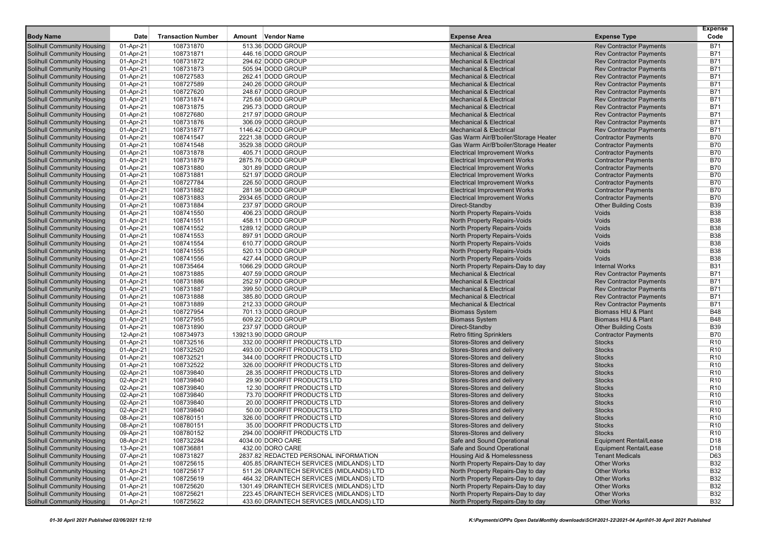| <b>Body Name</b>                                                | Date                   | <b>Transaction Number</b> | Amount Vendor Name                                       | <b>Expense Area</b>                                      | <b>Expense Type</b>                                              | <b>Expense</b><br>Code             |
|-----------------------------------------------------------------|------------------------|---------------------------|----------------------------------------------------------|----------------------------------------------------------|------------------------------------------------------------------|------------------------------------|
|                                                                 |                        | 108731870                 | 513.36 DODD GROUP                                        | <b>Mechanical &amp; Electrical</b>                       |                                                                  | <b>B71</b>                         |
| Solihull Community Housing<br>Solihull Community Housing        | 01-Apr-21<br>01-Apr-21 | 108731871                 | 446.16 DODD GROUP                                        | <b>Mechanical &amp; Electrical</b>                       | <b>Rev Contractor Payments</b><br><b>Rev Contractor Payments</b> | <b>B71</b>                         |
| <b>Solihull Community Housing</b>                               | 01-Apr-21              | 108731872                 | 294.62 DODD GROUP                                        | <b>Mechanical &amp; Electrical</b>                       | <b>Rev Contractor Payments</b>                                   | B71                                |
| <b>Solihull Community Housing</b>                               | 01-Apr-21              | 108731873                 | 505.94 DODD GROUP                                        | <b>Mechanical &amp; Electrical</b>                       | <b>Rev Contractor Payments</b>                                   | <b>B71</b>                         |
| <b>Solihull Community Housing</b>                               | 01-Apr-21              | 108727583                 | 262.41 DODD GROUP                                        | <b>Mechanical &amp; Electrical</b>                       | <b>Rev Contractor Payments</b>                                   | <b>B71</b>                         |
| Solihull Community Housing                                      | 01-Apr-21              | 108727589                 | 240.26 DODD GROUP                                        | <b>Mechanical &amp; Electrical</b>                       | <b>Rev Contractor Payments</b>                                   | <b>B71</b>                         |
| Solihull Community Housing                                      | 01-Apr-21              | 108727620                 | 248.67 DODD GROUP                                        | <b>Mechanical &amp; Electrical</b>                       | <b>Rev Contractor Payments</b>                                   | <b>B71</b>                         |
| <b>Solihull Community Housing</b>                               | 01-Apr-21              | 108731874                 | 725.68 DODD GROUP                                        | <b>Mechanical &amp; Electrical</b>                       | <b>Rev Contractor Payments</b>                                   | B71                                |
| <b>Solihull Community Housing</b>                               | 01-Apr-21              | 108731875                 | 295.73 DODD GROUP                                        | <b>Mechanical &amp; Electrical</b>                       | <b>Rev Contractor Payments</b>                                   | <b>B71</b>                         |
| <b>Solihull Community Housing</b>                               | 01-Apr-21              | 108727680                 | 217.97 DODD GROUP                                        | <b>Mechanical &amp; Electrical</b>                       | <b>Rev Contractor Payments</b>                                   | <b>B71</b>                         |
| Solihull Community Housing                                      | 01-Apr-21              | 108731876                 | 306.09 DODD GROUP                                        | <b>Mechanical &amp; Electrical</b>                       | <b>Rev Contractor Payments</b>                                   | <b>B71</b>                         |
| Solihull Community Housing                                      | 01-Apr-21              | 108731877                 | 1146.42 DODD GROUP                                       | <b>Mechanical &amp; Electrical</b>                       | <b>Rev Contractor Payments</b>                                   | <b>B71</b>                         |
| Solihull Community Housing                                      | 01-Apr-21              | 108741547                 | 2221.38 DODD GROUP                                       | Gas Warm Air/B'boiler/Storage Heater                     | <b>Contractor Payments</b>                                       | <b>B70</b>                         |
| <b>Solihull Community Housing</b>                               | 01-Apr-21              | 108741548                 | 3529.38 DODD GROUP                                       | Gas Warm Air/B'boiler/Storage Heater                     | <b>Contractor Payments</b>                                       | <b>B70</b>                         |
| <b>Solihull Community Housing</b>                               | 01-Apr-21              | 108731878                 | 405.71 DODD GROUP                                        | <b>Electrical Improvement Works</b>                      | <b>Contractor Payments</b>                                       | <b>B70</b>                         |
| Solihull Community Housing                                      | 01-Apr-21              | 108731879                 | 2875.76 DODD GROUP                                       | <b>Electrical Improvement Works</b>                      | <b>Contractor Payments</b>                                       | <b>B70</b>                         |
| Solihull Community Housing                                      | 01-Apr-21              | 108731880                 | 301.89 DODD GROUP                                        | <b>Electrical Improvement Works</b>                      | <b>Contractor Payments</b>                                       | <b>B70</b>                         |
| <b>Solihull Community Housing</b>                               | 01-Apr-21              | 108731881                 | 521.97 DODD GROUP                                        | <b>Electrical Improvement Works</b>                      | <b>Contractor Payments</b>                                       | <b>B70</b>                         |
| <b>Solihull Community Housing</b>                               | 01-Apr-21              | 108727784                 | 226.50 DODD GROUP                                        | <b>Electrical Improvement Works</b>                      | <b>Contractor Payments</b>                                       | <b>B70</b>                         |
| <b>Solihull Community Housing</b>                               | 01-Apr-21              | 108731882                 | 281.98 DODD GROUP                                        | <b>Electrical Improvement Works</b>                      | <b>Contractor Payments</b>                                       | <b>B70</b>                         |
| Solihull Community Housing                                      | 01-Apr-21              | 108731883                 | 2934.65 DODD GROUP                                       | <b>Electrical Improvement Works</b>                      | <b>Contractor Payments</b>                                       | <b>B70</b>                         |
| Solihull Community Housing                                      | 01-Apr-21              | 108731884                 | 237.97 DODD GROUP                                        | Direct-Standby                                           | <b>Other Building Costs</b>                                      | <b>B39</b>                         |
| Solihull Community Housing                                      | 01-Apr-21              | 108741550                 | 406.23 DODD GROUP                                        | North Property Repairs-Voids                             | Voids                                                            | <b>B38</b>                         |
| <b>Solihull Community Housing</b>                               | 01-Apr-21              | 108741551                 | 458.11 DODD GROUP                                        | North Property Repairs-Voids                             | Voids                                                            | <b>B38</b>                         |
| <b>Solihull Community Housing</b>                               | 01-Apr-21              | 108741552                 | 1289.12 DODD GROUP                                       | North Property Repairs-Voids                             | Voids                                                            | <b>B38</b>                         |
| Solihull Community Housing                                      | 01-Apr-21              | 108741553                 | 897.91 DODD GROUP                                        | <b>North Property Repairs-Voids</b>                      | Voids                                                            | <b>B38</b>                         |
| Solihull Community Housing                                      | 01-Apr-21              | 108741554                 | 610.77 DODD GROUP                                        | North Property Repairs-Voids                             | Voids                                                            | <b>B38</b>                         |
| <b>Solihull Community Housing</b>                               | 01-Apr-21              | 108741555                 | 520.13 DODD GROUP                                        | North Property Repairs-Voids                             | Voids                                                            | <b>B38</b>                         |
| <b>Solihull Community Housing</b>                               | 01-Apr-21              | 108741556                 | 427.44 DODD GROUP                                        | <b>North Property Repairs-Voids</b>                      | Voids                                                            | <b>B38</b>                         |
| <b>Solihull Community Housing</b>                               | 01-Apr-21              | 108735464                 | 1066.29 DODD GROUP                                       | North Property Repairs-Day to day                        | <b>Internal Works</b>                                            | <b>B31</b>                         |
| Solihull Community Housing                                      | 01-Apr-21              | 108731885                 | 407.59 DODD GROUP                                        | <b>Mechanical &amp; Electrical</b>                       | <b>Rev Contractor Payments</b>                                   | <b>B71</b>                         |
| Solihull Community Housing                                      | 01-Apr-21              | 108731886                 | 252.97 DODD GROUP                                        | <b>Mechanical &amp; Electrical</b>                       | <b>Rev Contractor Payments</b>                                   | <b>B71</b>                         |
| Solihull Community Housing                                      | 01-Apr-21              | 108731887                 | 399.50 DODD GROUP                                        | <b>Mechanical &amp; Electrical</b>                       | <b>Rev Contractor Payments</b>                                   | B71                                |
| Solihull Community Housing                                      | 01-Apr-21              | 108731888                 | 385.80 DODD GROUP                                        | <b>Mechanical &amp; Electrical</b>                       | <b>Rev Contractor Payments</b>                                   | <b>B71</b>                         |
| <b>Solihull Community Housing</b>                               | 01-Apr-21              | 108731889                 | 212.33 DODD GROUP                                        | <b>Mechanical &amp; Electrical</b>                       | <b>Rev Contractor Payments</b>                                   | <b>B71</b>                         |
| Solihull Community Housing                                      | 01-Apr-21              | 108727954                 | 701.13 DODD GROUP                                        | <b>Biomass System</b>                                    | Biomass HIU & Plant                                              | <b>B48</b>                         |
| Solihull Community Housing                                      | 01-Apr-21              | 108727955                 | 609.22 DODD GROUP                                        | <b>Biomass System</b>                                    | Biomass HIU & Plant                                              | <b>B48</b>                         |
| <b>Solihull Community Housing</b>                               | 01-Apr-21              | 108731890                 | 237.97 DODD GROUP                                        | Direct-Standby                                           | <b>Other Building Costs</b>                                      | <b>B39</b>                         |
| Solihull Community Housing                                      | 12-Apr-21              | 108734973                 | 139213.90 DODD GROUP                                     | <b>Retro fitting Sprinklers</b>                          | <b>Contractor Payments</b>                                       | <b>B70</b>                         |
| <b>Solihull Community Housing</b>                               | 01-Apr-21              | 108732516                 | 332.00 DOORFIT PRODUCTS LTD                              | Stores-Stores and delivery                               | <b>Stocks</b>                                                    | R <sub>10</sub>                    |
| Solihull Community Housing                                      | 01-Apr-21              | 108732520                 | 493.00 DOORFIT PRODUCTS LTD                              | Stores-Stores and delivery                               | <b>Stocks</b>                                                    | R <sub>10</sub>                    |
| Solihull Community Housing                                      | 01-Apr-21              | 108732521                 | 344.00 DOORFIT PRODUCTS LTD                              | Stores-Stores and delivery                               | <b>Stocks</b>                                                    | R <sub>10</sub>                    |
| Solihull Community Housing                                      | 01-Apr-21              | 108732522                 | 326.00 DOORFIT PRODUCTS LTD                              | Stores-Stores and delivery                               | <b>Stocks</b>                                                    | R <sub>10</sub>                    |
| Solihull Community Housing                                      | 02-Apr-21              | 108739840                 | 28.35 DOORFIT PRODUCTS LTD                               | Stores-Stores and delivery                               | <b>Stocks</b>                                                    | R <sub>10</sub>                    |
| <b>Solihull Community Housing</b><br>Solihull Community Housing | 02-Apr-21              | 108739840                 | 29.90 DOORFIT PRODUCTS LTD<br>12.30 DOORFIT PRODUCTS LTD | Stores-Stores and delivery                               | <b>Stocks</b>                                                    | R <sub>10</sub>                    |
| Solihull Community Housing                                      | 02-Apr-21              | 108739840                 |                                                          | Stores-Stores and delivery<br>Stores-Stores and delivery | <b>Stocks</b>                                                    | R <sub>10</sub><br>R <sub>10</sub> |
| <b>Solihull Community Housing</b>                               | 02-Apr-21<br>02-Apr-21 | 108739840<br>108739840    | 73.70 DOORFIT PRODUCTS LTD<br>20.00 DOORFIT PRODUCTS LTD | Stores-Stores and delivery                               | <b>Stocks</b><br><b>Stocks</b>                                   | R <sub>10</sub>                    |
| Solihull Community Housing                                      | 02-Apr-21              | 108739840                 | 50.00 DOORFIT PRODUCTS LTD                               | Stores-Stores and delivery                               | <b>Stocks</b>                                                    | R <sub>10</sub>                    |
| <b>Solihull Community Housing</b>                               | 08-Apr-21              | 108780151                 | 326.00 DOORFIT PRODUCTS LTD                              | Stores-Stores and delivery                               | <b>Stocks</b>                                                    | R <sub>10</sub>                    |
| <b>Solihull Community Housing</b>                               | 08-Apr-21              | 108780151                 | 35.00 DOORFIT PRODUCTS LTD                               | Stores-Stores and delivery                               | <b>Stocks</b>                                                    | R <sub>10</sub>                    |
| Solihull Community Housing                                      | 09-Apr-21              | 108780152                 | 294.00 DOORFIT PRODUCTS LTD                              | Stores-Stores and delivery                               | <b>Stocks</b>                                                    | R10                                |
| <b>Solihull Community Housing</b>                               | 08-Apr-21              | 108732284                 | 4034.00 DORO CARE                                        | Safe and Sound Operational                               | <b>Equipment Rental/Lease</b>                                    | D <sub>18</sub>                    |
| <b>Solihull Community Housing</b>                               | 13-Apr-21              | 108736881                 | 432.00 DORO CARE                                         | Safe and Sound Operational                               | <b>Equipment Rental/Lease</b>                                    | D18                                |
| <b>Solihull Community Housing</b>                               | 07-Apr-21              | 108731827                 | 2837.82 REDACTED PERSONAL INFORMATION                    | <b>Housing Aid &amp; Homelessness</b>                    | <b>Tenant Medicals</b>                                           | D63                                |
| <b>Solihull Community Housing</b>                               | 01-Apr-21              | 108725615                 | 405.85 DRAINTECH SERVICES (MIDLANDS) LTD                 | North Property Repairs-Day to day                        | <b>Other Works</b>                                               | <b>B32</b>                         |
| Solihull Community Housing                                      | 01-Apr-21              | 108725617                 | 511.26 DRAINTECH SERVICES (MIDLANDS) LTD                 | North Property Repairs-Day to day                        | <b>Other Works</b>                                               | <b>B32</b>                         |
| <b>Solihull Community Housing</b>                               | 01-Apr-21              | 108725619                 | 464.32 DRAINTECH SERVICES (MIDLANDS) LTD                 | North Property Repairs-Day to day                        | <b>Other Works</b>                                               | <b>B32</b>                         |
| <b>Solihull Community Housing</b>                               | 01-Apr-21              | 108725620                 | 1301.49 DRAINTECH SERVICES (MIDLANDS) LTD                | North Property Repairs-Day to day                        | <b>Other Works</b>                                               | <b>B32</b>                         |
| <b>Solihull Community Housing</b>                               | 01-Apr-21              | 108725621                 | 223.45 DRAINTECH SERVICES (MIDLANDS) LTD                 | North Property Repairs-Day to day                        | <b>Other Works</b>                                               | <b>B32</b>                         |
| <b>Solihull Community Housing</b>                               | 01-Apr-21              | 108725622                 | 433.60 DRAINTECH SERVICES (MIDLANDS) LTD                 | North Property Repairs-Day to day                        | <b>Other Works</b>                                               | <b>B32</b>                         |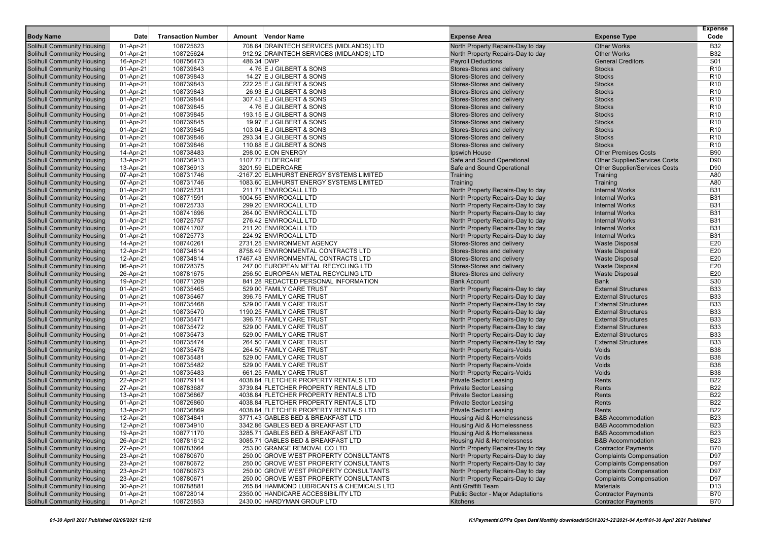| <b>Body Name</b>                                                       | Date                   | <b>Transaction Number</b> | Amount Vendor Name     |                                                                            | <b>Expense Area</b>                               | <b>Expense Type</b>                       | <b>Expense</b><br>Code |
|------------------------------------------------------------------------|------------------------|---------------------------|------------------------|----------------------------------------------------------------------------|---------------------------------------------------|-------------------------------------------|------------------------|
| <b>Solihull Community Housing</b>                                      | 01-Apr-21              | 108725623                 |                        | 708.64 DRAINTECH SERVICES (MIDLANDS) LTD                                   | North Property Repairs-Day to day                 | <b>Other Works</b>                        | <b>B32</b>             |
| <b>Solihull Community Housing</b>                                      | 01-Apr-21              | 108725624                 |                        | 912.92 DRAINTECH SERVICES (MIDLANDS) LTD                                   | North Property Repairs-Day to day                 | <b>Other Works</b>                        | <b>B32</b>             |
| <b>Solihull Community Housing</b>                                      | 16-Apr-21              | 108756473                 | 486.34 DWP             |                                                                            | <b>Payroll Deductions</b>                         | <b>General Creditors</b>                  | S01                    |
| <b>Solihull Community Housing</b>                                      | 01-Apr-21              | 108739843                 |                        | 4.76 E J GILBERT & SONS                                                    | Stores-Stores and delivery                        | <b>Stocks</b>                             | R <sub>10</sub>        |
| <b>Solihull Community Housing</b>                                      | 01-Apr-21              | 108739843                 |                        | 14.27 E J GILBERT & SONS                                                   | Stores-Stores and delivery                        | <b>Stocks</b>                             | R <sub>10</sub>        |
| <b>Solihull Community Housing</b>                                      | 01-Apr-21              | 108739843                 |                        | 222.25 E J GILBERT & SONS                                                  | Stores-Stores and delivery                        | <b>Stocks</b>                             | R <sub>10</sub>        |
| <b>Solihull Community Housing</b>                                      | 01-Apr-21              | 108739843                 |                        | 26.93 E J GILBERT & SONS                                                   | Stores-Stores and delivery                        | <b>Stocks</b>                             | R <sub>10</sub>        |
| <b>Solihull Community Housing</b>                                      | 01-Apr-21              | 108739844                 |                        | 307.43 E J GILBERT & SONS                                                  | Stores-Stores and delivery                        | <b>Stocks</b>                             | R <sub>10</sub>        |
| <b>Solihull Community Housing</b>                                      | 01-Apr-21              | 108739845                 |                        | 4.76 E J GILBERT & SONS                                                    | Stores-Stores and delivery                        | <b>Stocks</b>                             | R <sub>10</sub>        |
| <b>Solihull Community Housing</b>                                      | 01-Apr-21              | 108739845                 |                        | 193.15 E J GILBERT & SONS                                                  | Stores-Stores and delivery                        | <b>Stocks</b>                             | R <sub>10</sub>        |
| <b>Solihull Community Housing</b>                                      | 01-Apr-21              | 108739845                 |                        | 19.97 E J GILBERT & SONS                                                   | Stores-Stores and delivery                        | <b>Stocks</b>                             | R <sub>10</sub>        |
| <b>Solihull Community Housing</b>                                      | 01-Apr-21              | 108739845                 |                        | 103.04 E J GILBERT & SONS                                                  | Stores-Stores and delivery                        | <b>Stocks</b>                             | R <sub>10</sub>        |
| <b>Solihull Community Housing</b>                                      | 01-Apr-21              | 108739846                 |                        | 293.34 E J GILBERT & SONS                                                  | Stores-Stores and delivery                        | <b>Stocks</b>                             | R <sub>10</sub>        |
| <b>Solihull Community Housing</b>                                      | 01-Apr-21              | 108739846                 |                        | 110.88 E J GILBERT & SONS                                                  | Stores-Stores and delivery                        | <b>Stocks</b>                             | R <sub>10</sub>        |
| <b>Solihull Community Housing</b>                                      | 14-Apr-21              | 108738483                 | 298.00 E.ON ENERGY     |                                                                            | Ipswich House                                     | <b>Other Premises Costs</b>               | <b>B90</b>             |
| <b>Solihull Community Housing</b>                                      | 13-Apr-21              | 108736913                 | 1107.72 ELDERCARE      |                                                                            | Safe and Sound Operational                        | <b>Other Supplier/Services Costs</b>      | D90                    |
| <b>Solihull Community Housing</b>                                      | 13-Apr-21              | 108736913                 | 3201.59 ELDERCARE      |                                                                            | Safe and Sound Operational                        | <b>Other Supplier/Services Costs</b>      | D90                    |
| <b>Solihull Community Housing</b>                                      | 07-Apr-21              | 108731746                 |                        | -2167.20 ELMHURST ENERGY SYSTEMS LIMITED                                   | Training                                          | Training                                  | A80                    |
| <b>Solihull Community Housing</b>                                      | 07-Apr-21              | 108731746                 |                        | 1083.60 ELMHURST ENERGY SYSTEMS LIMITED                                    | Training                                          | Training                                  | A80                    |
| <b>Solihull Community Housing</b>                                      | 01-Apr-21              | 108725731                 | 211.71 ENVIROCALL LTD  |                                                                            | North Property Repairs-Day to day                 | <b>Internal Works</b>                     | <b>B31</b>             |
| <b>Solihull Community Housing</b>                                      | 01-Apr-21              | 108771591                 | 1004.55 ENVIROCALL LTD |                                                                            | North Property Repairs-Day to day                 | <b>Internal Works</b>                     | <b>B31</b>             |
| <b>Solihull Community Housing</b>                                      | 01-Apr-21              | 108725733                 | 299.20 ENVIROCALL LTD  |                                                                            | North Property Repairs-Day to day                 | <b>Internal Works</b>                     | <b>B31</b>             |
| <b>Solihull Community Housing</b>                                      | 01-Apr-21              | 108741696                 | 264.00 ENVIROCALL LTD  |                                                                            | North Property Repairs-Day to day                 | <b>Internal Works</b>                     | <b>B31</b>             |
| <b>Solihull Community Housing</b>                                      | 01-Apr-21              | 108725757                 | 276.42 ENVIROCALL LTD  |                                                                            | North Property Repairs-Day to day                 | <b>Internal Works</b>                     | <b>B31</b>             |
| <b>Solihull Community Housing</b>                                      | 01-Apr-21              | 108741707                 | 211.20 ENVIROCALL LTD  |                                                                            | North Property Repairs-Day to day                 | <b>Internal Works</b>                     | <b>B31</b>             |
| <b>Solihull Community Housing</b>                                      | 01-Apr-21              | 108725773                 | 224.92 ENVIROCALL LTD  |                                                                            | North Property Repairs-Day to day                 | <b>Internal Works</b>                     | <b>B31</b>             |
| <b>Solihull Community Housing</b>                                      | 14-Apr-21              | 108740261                 |                        | 2731.25 ENVIRONMENT AGENCY                                                 | Stores-Stores and delivery                        | <b>Waste Disposal</b>                     | E20                    |
| <b>Solihull Community Housing</b>                                      | 12-Apr-21              | 108734814                 |                        | 8758.49 ENVIRONMENTAL CONTRACTS LTD                                        | Stores-Stores and delivery                        | <b>Waste Disposal</b>                     | E20                    |
| <b>Solihull Community Housing</b>                                      | 12-Apr-21              | 108734814                 |                        | 17467.43 ENVIRONMENTAL CONTRACTS LTD                                       | Stores-Stores and delivery                        | <b>Waste Disposal</b>                     | E20                    |
| <b>Solihull Community Housing</b><br><b>Solihull Community Housing</b> | 06-Apr-21              | 108728375                 |                        | 247.00 EUROPEAN METAL RECYCLING LTD<br>256.50 EUROPEAN METAL RECYCLING LTD | Stores-Stores and delivery                        | <b>Waste Disposal</b>                     | E20<br>E20             |
|                                                                        | 26-Apr-21              | 108781675                 |                        |                                                                            | Stores-Stores and delivery<br><b>Bank Account</b> | <b>Waste Disposal</b>                     | S30                    |
| <b>Solihull Community Housing</b><br><b>Solihull Community Housing</b> | 19-Apr-21<br>01-Apr-21 | 108771209<br>108735465    |                        | 841.28 REDACTED PERSONAL INFORMATION<br>529.00 FAMILY CARE TRUST           | North Property Repairs-Day to day                 | <b>Bank</b><br><b>External Structures</b> | <b>B33</b>             |
| <b>Solihull Community Housing</b>                                      | 01-Apr-21              | 108735467                 |                        | 396.75 FAMILY CARE TRUST                                                   | North Property Repairs-Day to day                 | <b>External Structures</b>                | <b>B33</b>             |
| <b>Solihull Community Housing</b>                                      | 01-Apr-21              | 108735468                 |                        | 529.00 FAMILY CARE TRUST                                                   | North Property Repairs-Day to day                 | <b>External Structures</b>                | <b>B33</b>             |
| <b>Solihull Community Housing</b>                                      | 01-Apr-21              | 108735470                 |                        | 1190.25 FAMILY CARE TRUST                                                  | North Property Repairs-Day to day                 | <b>External Structures</b>                | <b>B33</b>             |
| <b>Solihull Community Housing</b>                                      | 01-Apr-21              | 108735471                 |                        | 396.75 FAMILY CARE TRUST                                                   | North Property Repairs-Day to day                 | <b>External Structures</b>                | <b>B33</b>             |
| <b>Solihull Community Housing</b>                                      | 01-Apr-21              | 108735472                 |                        | 529.00 FAMILY CARE TRUST                                                   | North Property Repairs-Day to day                 | <b>External Structures</b>                | <b>B33</b>             |
| <b>Solihull Community Housing</b>                                      | 01-Apr-21              | 108735473                 |                        | 529.00 FAMILY CARE TRUST                                                   | North Property Repairs-Day to day                 | <b>External Structures</b>                | <b>B33</b>             |
| <b>Solihull Community Housing</b>                                      | 01-Apr-21              | 108735474                 |                        | 264.50 FAMILY CARE TRUST                                                   | North Property Repairs-Day to day                 | <b>External Structures</b>                | <b>B33</b>             |
| <b>Solihull Community Housing</b>                                      | 01-Apr-21              | 108735478                 |                        | 264.50 FAMILY CARE TRUST                                                   | North Property Repairs-Voids                      | Voids                                     | <b>B38</b>             |
| <b>Solihull Community Housing</b>                                      | 01-Apr-21              | 108735481                 |                        | 529.00 FAMILY CARE TRUST                                                   | North Property Repairs-Voids                      | Voids                                     | <b>B38</b>             |
| <b>Solihull Community Housing</b>                                      | 01-Apr-21              | 108735482                 |                        | 529.00 FAMILY CARE TRUST                                                   | North Property Repairs-Voids                      | Voids                                     | <b>B38</b>             |
| <b>Solihull Community Housing</b>                                      | 01-Apr-21              | 108735483                 |                        | 661.25 FAMILY CARE TRUST                                                   | North Property Repairs-Voids                      | Voids                                     | <b>B38</b>             |
| <b>Solihull Community Housing</b>                                      | 22-Apr-21              | 108779114                 |                        | 4038.84 FLETCHER PROPERTY RENTALS LTD                                      | <b>Private Sector Leasing</b>                     | Rents                                     | <b>B22</b>             |
| <b>Solihull Community Housing</b>                                      | 27-Apr-21              | 108783687                 |                        | 3739.84 FLETCHER PROPERTY RENTALS LTD                                      | <b>Private Sector Leasing</b>                     | Rents                                     | <b>B22</b>             |
| <b>Solihull Community Housing</b>                                      | 13-Apr-21              | 108736867                 |                        | 4038.84 FLETCHER PROPERTY RENTALS LTD                                      | <b>Private Sector Leasing</b>                     | Rents                                     | <b>B22</b>             |
| <b>Solihull Community Housing</b>                                      | 01-Apr-21              | 108726860                 |                        | 4038.84 FLETCHER PROPERTY RENTALS LTD                                      | <b>Private Sector Leasing</b>                     | Rents                                     | <b>B22</b>             |
| <b>Solihull Community Housing</b>                                      | 13-Apr-21              | 108736869                 |                        | 4038.84 FLETCHER PROPERTY RENTALS LTD                                      | <b>Private Sector Leasing</b>                     | Rents                                     | <b>B22</b>             |
| <b>Solihull Community Housing</b>                                      | 12-Apr-21              | 108734841                 |                        | 3771.43 GABLES BED & BREAKFAST LTD                                         | Housing Aid & Homelessness                        | <b>B&amp;B Accommodation</b>              | <b>B23</b>             |
| <b>Solihull Community Housing</b>                                      | 12-Apr-21              | 108734910                 |                        | 3342.86 GABLES BED & BREAKFAST LTD                                         | Housing Aid & Homelessness                        | <b>B&amp;B Accommodation</b>              | <b>B23</b>             |
| <b>Solihull Community Housing</b>                                      | 19-Apr-21              | 108771170                 |                        | 3285.71 GABLES BED & BREAKFAST LTD                                         | Housing Aid & Homelessness                        | <b>B&amp;B Accommodation</b>              | <b>B23</b>             |
| <b>Solihull Community Housing</b>                                      | 26-Apr-21              | 108781612                 |                        | 3085.71 GABLES BED & BREAKFAST LTD                                         | <b>Housing Aid &amp; Homelessness</b>             | <b>B&amp;B Accommodation</b>              | <b>B23</b>             |
| <b>Solihull Community Housing</b>                                      | 27-Apr-21              | 108783664                 |                        | 253.00 GRANGE REMOVAL CO LTD                                               | North Property Repairs-Day to day                 | <b>Contractor Payments</b>                | <b>B70</b>             |
| <b>Solihull Community Housing</b>                                      | 23-Apr-21              | 108780670                 |                        | 250.00 GROVE WEST PROPERTY CONSULTANTS                                     | North Property Repairs-Day to day                 | <b>Complaints Compensation</b>            | D97                    |
| <b>Solihull Community Housing</b>                                      | 23-Apr-21              | 108780672                 |                        | 250.00 GROVE WEST PROPERTY CONSULTANTS                                     | North Property Repairs-Day to day                 | <b>Complaints Compensation</b>            | D97                    |
| <b>Solihull Community Housing</b>                                      | 23-Apr-21              | 108780673                 |                        | 250.00 GROVE WEST PROPERTY CONSULTANTS                                     | North Property Repairs-Day to day                 | <b>Complaints Compensation</b>            | D97                    |
| <b>Solihull Community Housing</b>                                      | 23-Apr-21              | 108780671                 |                        | 250.00 GROVE WEST PROPERTY CONSULTANTS                                     | North Property Repairs-Day to day                 | <b>Complaints Compensation</b>            | D97                    |
| <b>Solihull Community Housing</b>                                      | 30-Apr-21              | 108788881                 |                        | 265.84 HAMMOND LUBRICANTS & CHEMICALS LTD                                  | Anti Graffiti Team                                | <b>Materials</b>                          | D <sub>13</sub>        |
| <b>Solihull Community Housing</b>                                      | 01-Apr-21              | 108728014                 |                        | 2350.00 HANDICARE ACCESSIBILITY LTD                                        | <b>Public Sector - Major Adaptations</b>          | <b>Contractor Payments</b>                | <b>B70</b>             |
| <b>Solihull Community Housing</b>                                      | 01-Apr-21              | 108725853                 |                        | 2430.00 HARDYMAN GROUP LTD                                                 | Kitchens                                          | <b>Contractor Payments</b>                | <b>B70</b>             |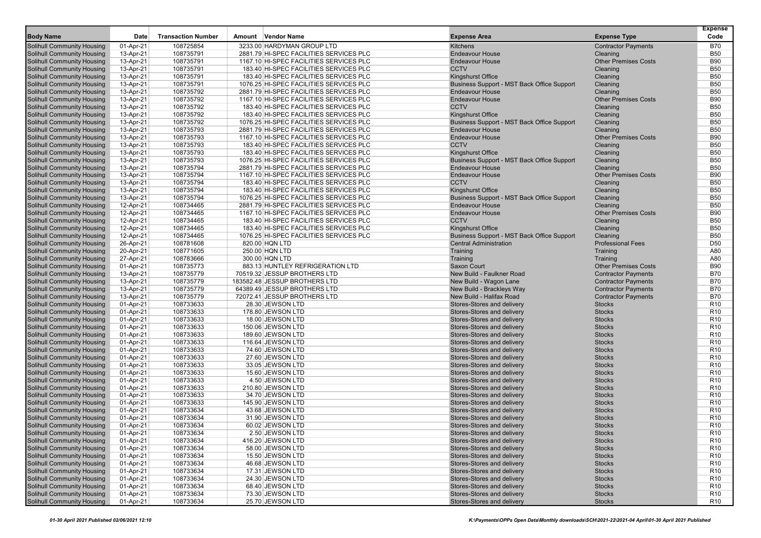|                                                                        |                        |                           |                                                                                  |                                                                        |                                         | <b>Expense</b>                     |
|------------------------------------------------------------------------|------------------------|---------------------------|----------------------------------------------------------------------------------|------------------------------------------------------------------------|-----------------------------------------|------------------------------------|
| <b>Body Name</b>                                                       | Date                   | <b>Transaction Number</b> | Amount Vendor Name                                                               | <b>Expense Area</b>                                                    | <b>Expense Type</b>                     | Code                               |
| <b>Solihull Community Housing</b>                                      | 01-Apr-21              | 108725854                 | 3233.00 HARDYMAN GROUP LTD                                                       | Kitchens                                                               | <b>Contractor Payments</b>              | <b>B70</b>                         |
| Solihull Community Housing                                             | 13-Apr-21              | 108735791                 | 2881.79 HI-SPEC FACILITIES SERVICES PLC                                          | <b>Endeavour House</b>                                                 | Cleaning                                | <b>B50</b>                         |
| <b>Solihull Community Housing</b>                                      | 13-Apr-21              | 108735791                 | 1167.10 HI-SPEC FACILITIES SERVICES PLC                                          | <b>Endeavour House</b>                                                 | <b>Other Premises Costs</b>             | <b>B90</b>                         |
| <b>Solihull Community Housing</b>                                      | 13-Apr-21              | 108735791                 | 183.40 HI-SPEC FACILITIES SERVICES PLC                                           | <b>CCTV</b>                                                            | Cleaning                                | <b>B50</b>                         |
| <b>Solihull Community Housing</b>                                      | 13-Apr-21              | 108735791                 | 183.40 HI-SPEC FACILITIES SERVICES PLC                                           | <b>Kingshurst Office</b>                                               | Cleaning                                | <b>B50</b>                         |
| Solihull Community Housing                                             | 13-Apr-21              | 108735791                 | 1076.25 HI-SPEC FACILITIES SERVICES PLC                                          | Business Support - MST Back Office Support                             | Cleaning                                | <b>B50</b>                         |
| Solihull Community Housing                                             | 13-Apr-21              | 108735792                 | 2881.79 HI-SPEC FACILITIES SERVICES PLC                                          | <b>Endeavour House</b><br><b>Endeavour House</b>                       | Cleaning                                | <b>B50</b>                         |
| <b>Solihull Community Housing</b><br><b>Solihull Community Housing</b> | 13-Apr-21<br>13-Apr-21 | 108735792<br>108735792    | 1167.10 HI-SPEC FACILITIES SERVICES PLC                                          | <b>CCTV</b>                                                            | <b>Other Premises Costs</b><br>Cleaning | <b>B90</b><br><b>B50</b>           |
| <b>Solihull Community Housing</b>                                      | 13-Apr-21              | 108735792                 | 183.40 HI-SPEC FACILITIES SERVICES PLC<br>183.40 HI-SPEC FACILITIES SERVICES PLC |                                                                        |                                         | <b>B50</b>                         |
| Solihull Community Housing                                             | 13-Apr-21              | 108735792                 | 1076.25 HI-SPEC FACILITIES SERVICES PLC                                          | <b>Kingshurst Office</b><br>Business Support - MST Back Office Support | Cleaning<br>Cleaning                    | <b>B50</b>                         |
| Solihull Community Housing                                             | 13-Apr-21              | 108735793                 | 2881.79 HI-SPEC FACILITIES SERVICES PLC                                          | <b>Endeavour House</b>                                                 | Cleaning                                | <b>B50</b>                         |
| <b>Solihull Community Housing</b>                                      | 13-Apr-21              | 108735793                 | 1167.10 HI-SPEC FACILITIES SERVICES PLC                                          | <b>Endeavour House</b>                                                 | <b>Other Premises Costs</b>             | <b>B90</b>                         |
| <b>Solihull Community Housing</b>                                      | 13-Apr-21              | 108735793                 | 183.40 HI-SPEC FACILITIES SERVICES PLC                                           | <b>CCTV</b>                                                            | Cleaning                                | <b>B50</b>                         |
| <b>Solihull Community Housing</b>                                      | 13-Apr-21              | 108735793                 | 183.40 HI-SPEC FACILITIES SERVICES PLC                                           | <b>Kingshurst Office</b>                                               | Cleaning                                | <b>B50</b>                         |
| Solihull Community Housing                                             | 13-Apr-21              | 108735793                 | 1076.25 HI-SPEC FACILITIES SERVICES PLC                                          | Business Support - MST Back Office Support                             | Cleaning                                | <b>B50</b>                         |
| Solihull Community Housing                                             | 13-Apr-21              | 108735794                 | 2881.79 HI-SPEC FACILITIES SERVICES PLC                                          | <b>Endeavour House</b>                                                 | Cleaning                                | <b>B50</b>                         |
| <b>Solihull Community Housing</b>                                      | 13-Apr-21              | 108735794                 | 1167.10 HI-SPEC FACILITIES SERVICES PLC                                          | <b>Endeavour House</b>                                                 | <b>Other Premises Costs</b>             | <b>B90</b>                         |
| <b>Solihull Community Housing</b>                                      | 13-Apr-21              | 108735794                 | 183.40 HI-SPEC FACILITIES SERVICES PLC                                           | <b>CCTV</b>                                                            | Cleaning                                | <b>B50</b>                         |
| <b>Solihull Community Housing</b>                                      | 13-Apr-21              | 108735794                 | 183.40 HI-SPEC FACILITIES SERVICES PLC                                           | Kingshurst Office                                                      | Cleaning                                | <b>B50</b>                         |
| Solihull Community Housing                                             | 13-Apr-21              | 108735794                 | 1076.25 HI-SPEC FACILITIES SERVICES PLC                                          | Business Support - MST Back Office Support                             | Cleaning                                | <b>B50</b>                         |
| Solihull Community Housing                                             | 12-Apr-21              | 108734465                 | 2881.79 HI-SPEC FACILITIES SERVICES PLC                                          | <b>Endeavour House</b>                                                 | Cleaning                                | <b>B50</b>                         |
| <b>Solihull Community Housing</b>                                      | 12-Apr-21              | 108734465                 | 1167.10 HI-SPEC FACILITIES SERVICES PLC                                          | <b>Endeavour House</b>                                                 | <b>Other Premises Costs</b>             | <b>B90</b>                         |
| <b>Solihull Community Housing</b>                                      | 12-Apr-21              | 108734465                 | 183.40 HI-SPEC FACILITIES SERVICES PLC                                           | <b>CCTV</b>                                                            | Cleaning                                | <b>B50</b>                         |
| <b>Solihull Community Housing</b>                                      | 12-Apr-21              | 108734465                 | 183.40 HI-SPEC FACILITIES SERVICES PLC                                           | <b>Kingshurst Office</b>                                               | Cleaning                                | <b>B50</b>                         |
| Solihull Community Housing                                             | 12-Apr-21              | 108734465                 | 1076.25 HI-SPEC FACILITIES SERVICES PLC                                          | Business Support - MST Back Office Support                             | Cleaning                                | <b>B50</b>                         |
| Solihull Community Housing                                             | 26-Apr-21              | 108781608                 | 820.00 HQN LTD                                                                   | <b>Central Administration</b>                                          | <b>Professional Fees</b>                | D <sub>50</sub>                    |
| <b>Solihull Community Housing</b>                                      | 20-Apr-21              | 108771605                 | 250.00 HQN LTD                                                                   | Training                                                               | Training                                | A80                                |
| <b>Solihull Community Housing</b>                                      | 27-Apr-21              | 108783666                 | 300.00 HQN LTD                                                                   | Training                                                               | Training                                | A80                                |
| <b>Solihull Community Housing</b>                                      | 01-Apr-21              | 108735773                 | 883.13 HUNTLEY REFRIGERATION LTD                                                 | <b>Saxon Court</b>                                                     | <b>Other Premises Costs</b>             | <b>B90</b>                         |
| Solihull Community Housing                                             | 13-Apr-21              | 108735779                 | 70519.32 JESSUP BROTHERS LTD                                                     | New Build - Faulkner Road                                              | <b>Contractor Payments</b>              | <b>B70</b>                         |
| Solihull Community Housing                                             | 13-Apr-21              | 108735779                 | 183582.48 JESSUP BROTHERS LTD                                                    | New Build - Wagon Lane                                                 | <b>Contractor Payments</b>              | <b>B70</b>                         |
| <b>Solihull Community Housing</b>                                      | 13-Apr-21              | 108735779                 | 64389.49 JESSUP BROTHERS LTD                                                     | New Build - Brackleys Way                                              | <b>Contractor Payments</b>              | <b>B70</b>                         |
| Solihull Community Housing                                             | 13-Apr-21              | 108735779                 | 72072.41 JESSUP BROTHERS LTD                                                     | New Build - Halifax Road                                               | <b>Contractor Payments</b>              | <b>B70</b>                         |
| <b>Solihull Community Housing</b>                                      | 01-Apr-21              | 108733633                 | 28.30 JEWSON LTD                                                                 | Stores-Stores and delivery                                             | <b>Stocks</b>                           | R <sub>10</sub>                    |
| Solihull Community Housing                                             | 01-Apr-21              | 108733633                 | 178.80 JEWSON LTD                                                                | Stores-Stores and delivery                                             | <b>Stocks</b>                           | R <sub>10</sub>                    |
| Solihull Community Housing                                             | 01-Apr-21              | 108733633                 | 18.00 JEWSON LTD                                                                 | Stores-Stores and delivery                                             | <b>Stocks</b>                           | R <sub>10</sub>                    |
| <b>Solihull Community Housing</b>                                      | 01-Apr-21              | 108733633                 | 150.06 JEWSON LTD                                                                | Stores-Stores and delivery                                             | <b>Stocks</b>                           | R <sub>10</sub>                    |
| <b>Solihull Community Housing</b>                                      | 01-Apr-21              | 108733633                 | 189.60 JEWSON LTD                                                                | Stores-Stores and delivery                                             | <b>Stocks</b>                           | R <sub>10</sub>                    |
| <b>Solihull Community Housing</b>                                      | 01-Apr-21              | 108733633                 | 116.64 JEWSON LTD                                                                | Stores-Stores and delivery                                             | <b>Stocks</b>                           | R <sub>10</sub>                    |
| Solihull Community Housing                                             | 01-Apr-21              | 108733633                 | 74.60 JEWSON LTD                                                                 | Stores-Stores and delivery                                             | <b>Stocks</b>                           | <b>R10</b>                         |
| Solihull Community Housing                                             | 01-Apr-21              | 108733633                 | 27.60 JEWSON LTD                                                                 | Stores-Stores and delivery                                             | <b>Stocks</b>                           | R <sub>10</sub>                    |
| <b>Solihull Community Housing</b>                                      | 01-Apr-21              | 108733633                 | 33.05 JEWSON LTD                                                                 | Stores-Stores and delivery                                             | <b>Stocks</b>                           | R <sub>10</sub>                    |
| Solihull Community Housing                                             | 01-Apr-21              | 108733633<br>108733633    | 15.60 JEWSON LTD                                                                 | Stores-Stores and delivery<br>Stores-Stores and delivery               | <b>Stocks</b>                           | R <sub>10</sub><br>R <sub>10</sub> |
| <b>Solihull Community Housing</b><br>Solihull Community Housing        | 01-Apr-21              | 108733633                 | 4.50 JEWSON LTD<br>210.80 JEWSON LTD                                             | Stores-Stores and delivery                                             | <b>Stocks</b><br><b>Stocks</b>          | R <sub>10</sub>                    |
| Solihull Community Housing                                             | 01-Apr-21<br>01-Apr-21 | 108733633                 | 34.70 JEWSON LTD                                                                 | Stores-Stores and delivery                                             | <b>Stocks</b>                           | R <sub>10</sub>                    |
| <b>Solihull Community Housing</b>                                      | 01-Apr-21              | 108733633                 | 145.90 JEWSON LTD                                                                | Stores-Stores and delivery                                             | <b>Stocks</b>                           | R <sub>10</sub>                    |
| Solihull Community Housing                                             | 01-Apr-21              | 108733634                 | 43.68 JEWSON LTD                                                                 | Stores-Stores and delivery                                             | <b>Stocks</b>                           | R <sub>10</sub>                    |
| <b>Solihull Community Housing</b>                                      | 01-Apr-21              | 108733634                 | 31.90 JEWSON LTD                                                                 | Stores-Stores and delivery                                             | <b>Stocks</b>                           | R <sub>10</sub>                    |
| <b>Solihull Community Housing</b>                                      | 01-Apr-21              | 108733634                 | 60.02 JEWSON LTD                                                                 | Stores-Stores and delivery                                             | <b>Stocks</b>                           | R <sub>10</sub>                    |
| <b>Solihull Community Housing</b>                                      | 01-Apr-21              | 108733634                 | 2.50 JEWSON LTD                                                                  | Stores-Stores and delivery                                             | <b>Stocks</b>                           | R <sub>10</sub>                    |
| <b>Solihull Community Housing</b>                                      | 01-Apr-21              | 108733634                 | 416.20 JEWSON LTD                                                                | Stores-Stores and delivery                                             | <b>Stocks</b>                           | R <sub>10</sub>                    |
| <b>Solihull Community Housing</b>                                      | 01-Apr-21              | 108733634                 | 58.00 JEWSON LTD                                                                 | Stores-Stores and delivery                                             | <b>Stocks</b>                           | R <sub>10</sub>                    |
| <b>Solihull Community Housing</b>                                      | 01-Apr-21              | 108733634                 | 15.50 JEWSON LTD                                                                 | Stores-Stores and delivery                                             | <b>Stocks</b>                           | R <sub>10</sub>                    |
| <b>Solihull Community Housing</b>                                      | 01-Apr-21              | 108733634                 | 46.68 JEWSON LTD                                                                 | Stores-Stores and delivery                                             | <b>Stocks</b>                           | R <sub>10</sub>                    |
| <b>Solihull Community Housing</b>                                      | 01-Apr-21              | 108733634                 | 17.31 JEWSON LTD                                                                 | Stores-Stores and delivery                                             | <b>Stocks</b>                           | R <sub>10</sub>                    |
| <b>Solihull Community Housing</b>                                      | 01-Apr-21              | 108733634                 | 24.30 JEWSON LTD                                                                 | Stores-Stores and delivery                                             | <b>Stocks</b>                           | R <sub>10</sub>                    |
| <b>Solihull Community Housing</b>                                      | 01-Apr-21              | 108733634                 | 68.40 JEWSON LTD                                                                 | Stores-Stores and delivery                                             | <b>Stocks</b>                           | R <sub>10</sub>                    |
| <b>Solihull Community Housing</b>                                      | 01-Apr-21              | 108733634                 | 73.30 JEWSON LTD                                                                 | Stores-Stores and delivery                                             | <b>Stocks</b>                           | R <sub>10</sub>                    |
| <b>Solihull Community Housing</b>                                      | 01-Apr-21              | 108733634                 | 25.70 JEWSON LTD                                                                 | Stores-Stores and delivery                                             | <b>Stocks</b>                           | R <sub>10</sub>                    |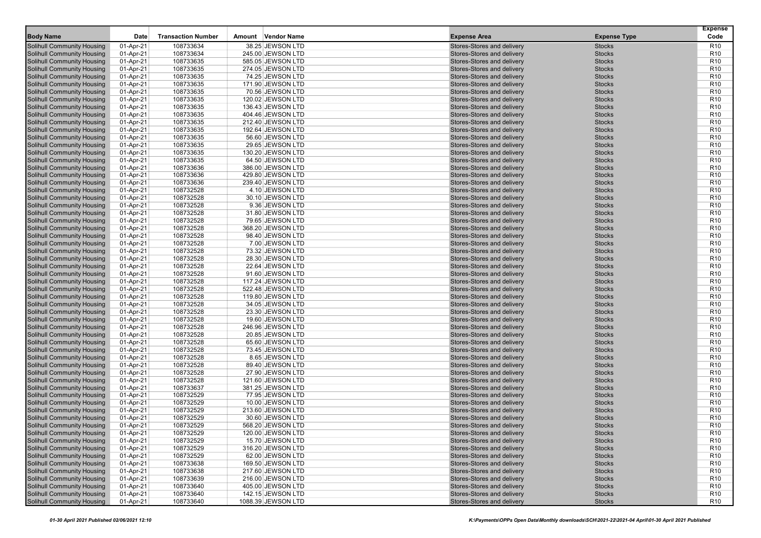|                                                                        |                        |                           |                                      |                                                          |                                | <b>Expense</b>                     |
|------------------------------------------------------------------------|------------------------|---------------------------|--------------------------------------|----------------------------------------------------------|--------------------------------|------------------------------------|
| <b>Body Name</b>                                                       | Date                   | <b>Transaction Number</b> | Amount Vendor Name                   | <b>Expense Area</b>                                      | <b>Expense Type</b>            | Code                               |
| <b>Solihull Community Housing</b>                                      | 01-Apr-21              | 108733634                 | 38.25 JEWSON LTD                     | Stores-Stores and delivery                               | <b>Stocks</b>                  | R <sub>10</sub>                    |
| <b>Solihull Community Housing</b>                                      | 01-Apr-21              | 108733634                 | 245.00 JEWSON LTD                    | Stores-Stores and delivery                               | <b>Stocks</b>                  | R <sub>10</sub>                    |
| <b>Solihull Community Housing</b>                                      | 01-Apr-21              | 108733635                 | 585.05 JEWSON LTD                    | Stores-Stores and delivery                               | <b>Stocks</b>                  | R <sub>10</sub>                    |
| <b>Solihull Community Housing</b>                                      | 01-Apr-21              | 108733635                 | 274.05 JEWSON LTD                    | Stores-Stores and delivery                               | <b>Stocks</b>                  | R <sub>10</sub>                    |
| <b>Solihull Community Housing</b>                                      | 01-Apr-21              | 108733635                 | 74.25 JEWSON LTD                     | Stores-Stores and delivery                               | <b>Stocks</b>                  | R <sub>10</sub>                    |
| <b>Solihull Community Housing</b>                                      | 01-Apr-21              | 108733635                 | 171.90 JEWSON LTD                    | Stores-Stores and delivery                               | <b>Stocks</b>                  | R <sub>10</sub>                    |
| <b>Solihull Community Housing</b>                                      | 01-Apr-21              | 108733635                 | 70.56 JEWSON LTD                     | Stores-Stores and delivery                               | <b>Stocks</b>                  | R <sub>10</sub>                    |
| <b>Solihull Community Housing</b>                                      | 01-Apr-21              | 108733635                 | 120.02 JEWSON LTD                    | Stores-Stores and delivery                               | <b>Stocks</b>                  | R <sub>10</sub>                    |
| <b>Solihull Community Housing</b>                                      | 01-Apr-21              | 108733635                 | 136.43 JEWSON LTD                    | Stores-Stores and delivery                               | <b>Stocks</b>                  | R <sub>10</sub>                    |
| <b>Solihull Community Housing</b>                                      | 01-Apr-21              | 108733635                 | 404.46 JEWSON LTD                    | Stores-Stores and delivery                               | <b>Stocks</b>                  | R <sub>10</sub>                    |
| <b>Solihull Community Housing</b>                                      | 01-Apr-21              | 108733635                 | 212.40 JEWSON LTD                    | Stores-Stores and delivery                               | <b>Stocks</b>                  | R <sub>10</sub>                    |
| Solihull Community Housing                                             | 01-Apr-21              | 108733635                 | 192.64 JEWSON LTD                    | Stores-Stores and delivery                               | <b>Stocks</b>                  | R <sub>10</sub>                    |
| <b>Solihull Community Housing</b>                                      | 01-Apr-21              | 108733635                 | 56.60 JEWSON LTD                     | Stores-Stores and delivery                               | <b>Stocks</b>                  | R <sub>10</sub>                    |
| <b>Solihull Community Housing</b>                                      | 01-Apr-21              | 108733635                 | 29.65 JEWSON LTD                     | Stores-Stores and delivery                               | <b>Stocks</b>                  | R <sub>10</sub>                    |
| <b>Solihull Community Housing</b>                                      | 01-Apr-21              | 108733635                 | 130.20 JEWSON LTD                    | Stores-Stores and delivery                               | <b>Stocks</b>                  | R <sub>10</sub>                    |
| <b>Solihull Community Housing</b>                                      | 01-Apr-21              | 108733635                 | 64.50 JEWSON LTD                     | Stores-Stores and delivery                               | <b>Stocks</b>                  | R <sub>10</sub>                    |
| <b>Solihull Community Housing</b>                                      | 01-Apr-21              | 108733636                 | 386.00 JEWSON LTD                    | Stores-Stores and delivery                               | <b>Stocks</b>                  | R <sub>10</sub>                    |
| <b>Solihull Community Housing</b>                                      | 01-Apr-21              | 108733636                 | 429.80 JEWSON LTD                    | Stores-Stores and delivery                               | <b>Stocks</b>                  | R <sub>10</sub>                    |
| <b>Solihull Community Housing</b>                                      | 01-Apr-21              | 108733636                 | 239.40 JEWSON LTD                    | Stores-Stores and delivery                               | <b>Stocks</b>                  | R <sub>10</sub>                    |
| <b>Solihull Community Housing</b>                                      | 01-Apr-21              | 108732528                 | 4.10 JEWSON LTD                      | Stores-Stores and delivery                               | <b>Stocks</b>                  | R <sub>10</sub>                    |
| <b>Solihull Community Housing</b>                                      | 01-Apr-21              | 108732528                 | 30.10 JEWSON LTD                     | Stores-Stores and delivery                               | <b>Stocks</b>                  | R <sub>10</sub>                    |
| <b>Solihull Community Housing</b>                                      | 01-Apr-21              | 108732528                 | 9.36 JEWSON LTD                      | Stores-Stores and delivery                               | <b>Stocks</b>                  | R <sub>10</sub>                    |
| <b>Solihull Community Housing</b>                                      | 01-Apr-21              | 108732528                 | 31.80 JEWSON LTD                     | Stores-Stores and delivery                               | <b>Stocks</b>                  | R <sub>10</sub>                    |
| <b>Solihull Community Housing</b>                                      | 01-Apr-21              | 108732528                 | 79.65 JEWSON LTD                     | Stores-Stores and delivery                               | <b>Stocks</b>                  | R <sub>10</sub>                    |
| <b>Solihull Community Housing</b>                                      | 01-Apr-21              | 108732528                 | 368.20 JEWSON LTD                    | Stores-Stores and delivery                               | <b>Stocks</b>                  | R <sub>10</sub>                    |
| <b>Solihull Community Housing</b>                                      | 01-Apr-21              | 108732528                 | 98.40 JEWSON LTD                     | Stores-Stores and delivery                               | <b>Stocks</b>                  | R <sub>10</sub>                    |
| <b>Solihull Community Housing</b>                                      | 01-Apr-21              | 108732528                 | 7.00 JEWSON LTD                      | Stores-Stores and delivery                               | <b>Stocks</b>                  | R <sub>10</sub>                    |
| <b>Solihull Community Housing</b>                                      | 01-Apr-21              | 108732528                 | 73.32 JEWSON LTD                     | Stores-Stores and delivery                               | <b>Stocks</b>                  | R <sub>10</sub>                    |
| <b>Solihull Community Housing</b>                                      | 01-Apr-21              | 108732528                 | 28.30 JEWSON LTD                     | Stores-Stores and delivery                               | <b>Stocks</b>                  | R <sub>10</sub>                    |
| <b>Solihull Community Housing</b>                                      | 01-Apr-21              | 108732528                 | 22.64 JEWSON LTD                     | Stores-Stores and delivery                               | <b>Stocks</b>                  | R <sub>10</sub>                    |
| <b>Solihull Community Housing</b>                                      | 01-Apr-21              | 108732528                 | 91.60 JEWSON LTD                     | Stores-Stores and delivery                               | <b>Stocks</b>                  | R <sub>10</sub>                    |
| <b>Solihull Community Housing</b>                                      | 01-Apr-21              | 108732528                 | 117.24 JEWSON LTD                    | Stores-Stores and delivery                               | <b>Stocks</b>                  | R <sub>10</sub>                    |
| <b>Solihull Community Housing</b>                                      | 01-Apr-21              | 108732528                 | 522.48 JEWSON LTD                    | Stores-Stores and delivery                               | <b>Stocks</b>                  | R <sub>10</sub>                    |
| <b>Solihull Community Housing</b>                                      | 01-Apr-21              | 108732528                 | 119.80 JEWSON LTD                    | Stores-Stores and delivery                               | <b>Stocks</b>                  | R <sub>10</sub><br>R <sub>10</sub> |
| <b>Solihull Community Housing</b><br><b>Solihull Community Housing</b> | 01-Apr-21              | 108732528<br>108732528    | 34.05 JEWSON LTD<br>23.30 JEWSON LTD | Stores-Stores and delivery<br>Stores-Stores and delivery | <b>Stocks</b><br><b>Stocks</b> | R <sub>10</sub>                    |
| <b>Solihull Community Housing</b>                                      | 01-Apr-21              | 108732528                 | 19.60 JEWSON LTD                     | Stores-Stores and delivery                               | <b>Stocks</b>                  | R <sub>10</sub>                    |
| <b>Solihull Community Housing</b>                                      | 01-Apr-21<br>01-Apr-21 | 108732528                 | 246.96 JEWSON LTD                    | Stores-Stores and delivery                               | <b>Stocks</b>                  | R <sub>10</sub>                    |
| <b>Solihull Community Housing</b>                                      | 01-Apr-21              | 108732528                 | 20.85 JEWSON LTD                     | Stores-Stores and delivery                               | <b>Stocks</b>                  | R <sub>10</sub>                    |
| <b>Solihull Community Housing</b>                                      | 01-Apr-21              | 108732528                 | 65.60 JEWSON LTD                     | Stores-Stores and delivery                               | <b>Stocks</b>                  | R <sub>10</sub>                    |
| <b>Solihull Community Housing</b>                                      | 01-Apr-21              | 108732528                 | 73.45 JEWSON LTD                     | Stores-Stores and delivery                               | <b>Stocks</b>                  | R <sub>10</sub>                    |
| <b>Solihull Community Housing</b>                                      | 01-Apr-21              | 108732528                 | 8.65 JEWSON LTD                      | Stores-Stores and delivery                               | <b>Stocks</b>                  | R <sub>10</sub>                    |
| <b>Solihull Community Housing</b>                                      | 01-Apr-21              | 108732528                 | 89.40 JEWSON LTD                     | Stores-Stores and delivery                               | <b>Stocks</b>                  | R <sub>10</sub>                    |
| <b>Solihull Community Housing</b>                                      | 01-Apr-21              | 108732528                 | 27.90 JEWSON LTD                     | Stores-Stores and delivery                               | <b>Stocks</b>                  | R <sub>10</sub>                    |
| <b>Solihull Community Housing</b>                                      | 01-Apr-21              | 108732528                 | 121.60 JEWSON LTD                    | Stores-Stores and delivery                               | <b>Stocks</b>                  | R <sub>10</sub>                    |
| <b>Solihull Community Housing</b>                                      | 01-Apr-21              | 108733637                 | 381.25 JEWSON LTD                    | Stores-Stores and delivery                               | <b>Stocks</b>                  | R <sub>10</sub>                    |
| <b>Solihull Community Housing</b>                                      | 01-Apr-21              | 108732529                 | 77.95 JEWSON LTD                     | Stores-Stores and delivery                               | <b>Stocks</b>                  | R <sub>10</sub>                    |
| <b>Solihull Community Housing</b>                                      | 01-Apr-21              | 108732529                 | 10.00 JEWSON LTD                     | Stores-Stores and delivery                               | <b>Stocks</b>                  | R <sub>10</sub>                    |
| <b>Solihull Community Housing</b>                                      | 01-Apr-21              | 108732529                 | 213.60 JEWSON LTD                    | Stores-Stores and delivery                               | <b>Stocks</b>                  | R <sub>10</sub>                    |
| Solihull Community Housing                                             | 01-Apr-21              | 108732529                 | 30.60 JEWSON LTD                     | Stores-Stores and delivery                               | <b>Stocks</b>                  | R <sub>10</sub>                    |
| <b>Solihull Community Housing</b>                                      | 01-Apr-21              | 108732529                 | 568.20 JEWSON LTD                    | Stores-Stores and delivery                               | <b>Stocks</b>                  | R <sub>10</sub>                    |
| <b>Solihull Community Housing</b>                                      | 01-Apr-21              | 108732529                 | 120.00 JEWSON LTD                    | Stores-Stores and delivery                               | <b>Stocks</b>                  | R <sub>10</sub>                    |
| <b>Solihull Community Housing</b>                                      | 01-Apr-21              | 108732529                 | 15.70 JEWSON LTD                     | Stores-Stores and delivery                               | <b>Stocks</b>                  | R <sub>10</sub>                    |
| <b>Solihull Community Housing</b>                                      | 01-Apr-21              | 108732529                 | 316.20 JEWSON LTD                    | Stores-Stores and delivery                               | <b>Stocks</b>                  | R <sub>10</sub>                    |
| <b>Solihull Community Housing</b>                                      | 01-Apr-21              | 108732529                 | 62.00 JEWSON LTD                     | Stores-Stores and delivery                               | <b>Stocks</b>                  | R <sub>10</sub>                    |
| <b>Solihull Community Housing</b>                                      | 01-Apr-21              | 108733638                 | 169.50 JEWSON LTD                    | Stores-Stores and delivery                               | <b>Stocks</b>                  | R <sub>10</sub>                    |
| <b>Solihull Community Housing</b>                                      | 01-Apr-21              | 108733638                 | 217.60 JEWSON LTD                    | Stores-Stores and delivery                               | <b>Stocks</b>                  | R <sub>10</sub>                    |
| <b>Solihull Community Housing</b>                                      | 01-Apr-21              | 108733639                 | 216.00 JEWSON LTD                    | Stores-Stores and delivery                               | <b>Stocks</b>                  | R <sub>10</sub>                    |
| <b>Solihull Community Housing</b>                                      | 01-Apr-21              | 108733640                 | 405.00 JEWSON LTD                    | Stores-Stores and delivery                               | <b>Stocks</b>                  | R <sub>10</sub>                    |
| <b>Solihull Community Housing</b>                                      | 01-Apr-21              | 108733640                 | 142.15 JEWSON LTD                    | Stores-Stores and delivery                               | <b>Stocks</b>                  | R <sub>10</sub>                    |
| <b>Solihull Community Housing</b>                                      | $01-Apr-21$            | 108733640                 | 1088.39 JEWSON LTD                   | Stores-Stores and delivery                               | <b>Stocks</b>                  | R <sub>10</sub>                    |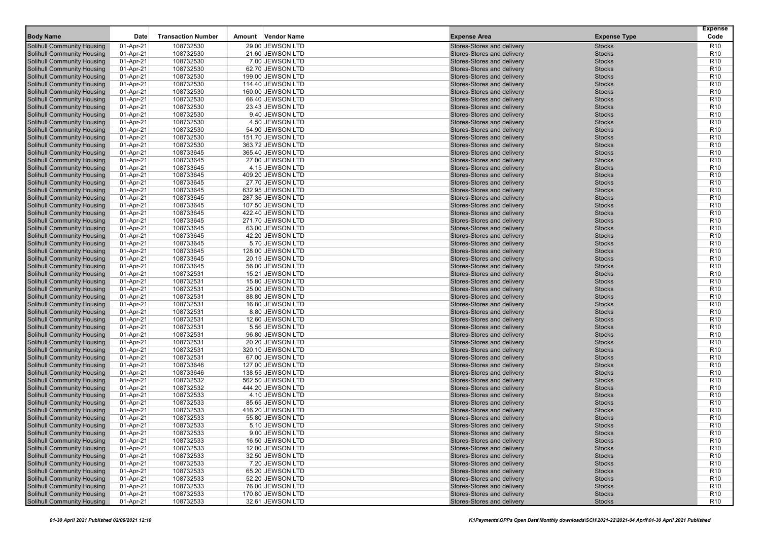| <b>Body Name</b>                                                       | Date                   | <b>Transaction Number</b> | Amount Vendor Name                  | <b>Expense Area</b>                                      | <b>Expense Type</b>            | <b>Expense</b><br>Code             |
|------------------------------------------------------------------------|------------------------|---------------------------|-------------------------------------|----------------------------------------------------------|--------------------------------|------------------------------------|
|                                                                        |                        |                           |                                     |                                                          |                                |                                    |
| <b>Solihull Community Housing</b><br><b>Solihull Community Housing</b> | 01-Apr-21              | 108732530                 | 29.00 JEWSON LTD                    | Stores-Stores and delivery<br>Stores-Stores and delivery | <b>Stocks</b><br><b>Stocks</b> | R <sub>10</sub><br>R <sub>10</sub> |
| <b>Solihull Community Housing</b>                                      | 01-Apr-21<br>01-Apr-21 | 108732530<br>108732530    | 21.60 JEWSON LTD<br>7.00 JEWSON LTD | Stores-Stores and delivery                               | <b>Stocks</b>                  | R <sub>10</sub>                    |
| <b>Solihull Community Housing</b>                                      | 01-Apr-21              | 108732530                 | 62.70 JEWSON LTD                    | Stores-Stores and delivery                               | <b>Stocks</b>                  | R <sub>10</sub>                    |
| <b>Solihull Community Housing</b>                                      | 01-Apr-21              | 108732530                 | 199.00 JEWSON LTD                   | Stores-Stores and delivery                               | <b>Stocks</b>                  | R <sub>10</sub>                    |
| Solihull Community Housing                                             | 01-Apr-21              | 108732530                 | 114.40 JEWSON LTD                   | Stores-Stores and delivery                               | <b>Stocks</b>                  | R <sub>10</sub>                    |
| <b>Solihull Community Housing</b>                                      | 01-Apr-21              | 108732530                 | 160.00 JEWSON LTD                   | Stores-Stores and delivery                               | <b>Stocks</b>                  | R <sub>10</sub>                    |
| <b>Solihull Community Housing</b>                                      | 01-Apr-21              | 108732530                 | 66.40 JEWSON LTD                    | Stores-Stores and delivery                               | <b>Stocks</b>                  | R <sub>10</sub>                    |
| <b>Solihull Community Housing</b>                                      | 01-Apr-21              | 108732530                 | 23.43 JEWSON LTD                    | Stores-Stores and delivery                               | <b>Stocks</b>                  | R <sub>10</sub>                    |
| <b>Solihull Community Housing</b>                                      | 01-Apr-21              | 108732530                 | 9.40 JEWSON LTD                     | Stores-Stores and delivery                               | <b>Stocks</b>                  | R <sub>10</sub>                    |
| <b>Solihull Community Housing</b>                                      | 01-Apr-21              | 108732530                 | 4.50 JEWSON LTD                     | Stores-Stores and delivery                               | <b>Stocks</b>                  | R <sub>10</sub>                    |
| <b>Solihull Community Housing</b>                                      | 01-Apr-21              | 108732530                 | 54.90 JEWSON LTD                    | Stores-Stores and delivery                               | <b>Stocks</b>                  | R <sub>10</sub>                    |
| <b>Solihull Community Housing</b>                                      | 01-Apr-21              | 108732530                 | 151.70 JEWSON LTD                   | Stores-Stores and delivery                               | <b>Stocks</b>                  | R <sub>10</sub>                    |
| Solihull Community Housing                                             | 01-Apr-21              | 108732530                 | 363.72 JEWSON LTD                   | Stores-Stores and delivery                               | <b>Stocks</b>                  | R <sub>10</sub>                    |
| <b>Solihull Community Housing</b>                                      | 01-Apr-21              | 108733645                 | 365.40 JEWSON LTD                   | Stores-Stores and delivery                               | <b>Stocks</b>                  | R <sub>10</sub>                    |
| <b>Solihull Community Housing</b>                                      | 01-Apr-21              | 108733645                 | 27.00 JEWSON LTD                    | Stores-Stores and delivery                               | <b>Stocks</b>                  | R <sub>10</sub>                    |
| <b>Solihull Community Housing</b>                                      | 01-Apr-21              | 108733645                 | 4.15 JEWSON LTD                     | Stores-Stores and delivery                               | <b>Stocks</b>                  | R <sub>10</sub>                    |
| <b>Solihull Community Housing</b>                                      | 01-Apr-21              | 108733645                 | 409.20 JEWSON LTD                   | Stores-Stores and delivery                               | <b>Stocks</b>                  | R <sub>10</sub>                    |
| <b>Solihull Community Housing</b>                                      | 01-Apr-21              | 108733645                 | 27.70 JEWSON LTD                    | Stores-Stores and delivery                               | <b>Stocks</b>                  | R <sub>10</sub>                    |
| <b>Solihull Community Housing</b>                                      | 01-Apr-21              | 108733645                 | 632.95 JEWSON LTD                   | Stores-Stores and delivery                               | <b>Stocks</b>                  | R <sub>10</sub>                    |
| <b>Solihull Community Housing</b>                                      | 01-Apr-21              | 108733645                 | 287.36 JEWSON LTD                   | Stores-Stores and delivery                               | <b>Stocks</b>                  | R <sub>10</sub>                    |
| <b>Solihull Community Housing</b>                                      | 01-Apr-21              | 108733645                 | 107.50 JEWSON LTD                   | Stores-Stores and delivery                               | <b>Stocks</b>                  | R <sub>10</sub>                    |
| <b>Solihull Community Housing</b>                                      | 01-Apr-21              | 108733645                 | 422.40 JEWSON LTD                   | Stores-Stores and delivery                               | <b>Stocks</b>                  | R <sub>10</sub>                    |
| <b>Solihull Community Housing</b>                                      | 01-Apr-21              | 108733645                 | 271.70 JEWSON LTD                   | Stores-Stores and delivery                               | <b>Stocks</b>                  | R <sub>10</sub>                    |
| <b>Solihull Community Housing</b>                                      | 01-Apr-21              | 108733645                 | 63.00 JEWSON LTD                    | Stores-Stores and delivery                               | <b>Stocks</b>                  | R <sub>10</sub>                    |
| Solihull Community Housing                                             | 01-Apr-21              | 108733645                 | 42.20 JEWSON LTD                    | Stores-Stores and delivery                               | <b>Stocks</b>                  | R <sub>10</sub>                    |
| Solihull Community Housing                                             | 01-Apr-21              | 108733645                 | 5.70 JEWSON LTD                     | Stores-Stores and delivery                               | <b>Stocks</b>                  | R <sub>10</sub>                    |
| <b>Solihull Community Housing</b>                                      | 01-Apr-21              | 108733645                 | 128.00 JEWSON LTD                   | Stores-Stores and delivery                               | <b>Stocks</b>                  | R <sub>10</sub>                    |
| <b>Solihull Community Housing</b>                                      | 01-Apr-21              | 108733645                 | 20.15 JEWSON LTD                    | Stores-Stores and delivery                               | <b>Stocks</b>                  | R <sub>10</sub>                    |
| <b>Solihull Community Housing</b>                                      | 01-Apr-21              | 108733645                 | 56.00 JEWSON LTD                    | Stores-Stores and delivery                               | <b>Stocks</b>                  | R <sub>10</sub>                    |
| Solihull Community Housing                                             | 01-Apr-21              | 108732531                 | 15.21 JEWSON LTD                    | Stores-Stores and delivery                               | <b>Stocks</b>                  | R <sub>10</sub>                    |
| <b>Solihull Community Housing</b>                                      | 01-Apr-21              | 108732531                 | 15.80 JEWSON LTD                    | Stores-Stores and delivery                               | <b>Stocks</b>                  | R <sub>10</sub>                    |
| <b>Solihull Community Housing</b>                                      | 01-Apr-21              | 108732531                 | 25.00 JEWSON LTD                    | Stores-Stores and delivery                               | <b>Stocks</b>                  | R <sub>10</sub>                    |
| <b>Solihull Community Housing</b>                                      | 01-Apr-21              | 108732531                 | 88.80 JEWSON LTD                    | Stores-Stores and delivery                               | <b>Stocks</b>                  | R <sub>10</sub>                    |
| <b>Solihull Community Housing</b>                                      | 01-Apr-21              | 108732531                 | 16.80 JEWSON LTD                    | Stores-Stores and delivery                               | <b>Stocks</b>                  | R <sub>10</sub>                    |
| <b>Solihull Community Housing</b>                                      | 01-Apr-21              | 108732531                 | 8.80 JEWSON LTD                     | Stores-Stores and delivery                               | <b>Stocks</b>                  | R <sub>10</sub>                    |
| <b>Solihull Community Housing</b>                                      | 01-Apr-21              | 108732531                 | 12.60 JEWSON LTD                    | Stores-Stores and delivery                               | <b>Stocks</b>                  | R <sub>10</sub>                    |
| <b>Solihull Community Housing</b>                                      | 01-Apr-21              | 108732531                 | 5.56 JEWSON LTD                     | Stores-Stores and delivery                               | <b>Stocks</b>                  | R <sub>10</sub>                    |
| <b>Solihull Community Housing</b>                                      | 01-Apr-21              | 108732531                 | 96.80 JEWSON LTD                    | Stores-Stores and delivery                               | <b>Stocks</b>                  | R <sub>10</sub>                    |
| <b>Solihull Community Housing</b>                                      | 01-Apr-21              | 108732531                 | 20.20 JEWSON LTD                    | Stores-Stores and delivery                               | <b>Stocks</b>                  | R <sub>10</sub>                    |
| <b>Solihull Community Housing</b>                                      | 01-Apr-21              | 108732531                 | 320.10 JEWSON LTD                   | Stores-Stores and delivery                               | <b>Stocks</b>                  | R <sub>10</sub>                    |
| <b>Solihull Community Housing</b>                                      | 01-Apr-21              | 108732531                 | 67.00 JEWSON LTD                    | Stores-Stores and delivery                               | <b>Stocks</b>                  | R <sub>10</sub>                    |
| <b>Solihull Community Housing</b>                                      | 01-Apr-21              | 108733646                 | 127.00 JEWSON LTD                   | Stores-Stores and delivery                               | <b>Stocks</b>                  | R <sub>10</sub>                    |
| <b>Solihull Community Housing</b>                                      | 01-Apr-21              | 108733646                 | 138.55 JEWSON LTD                   | Stores-Stores and delivery                               | <b>Stocks</b>                  | R <sub>10</sub>                    |
| <b>Solihull Community Housing</b>                                      | 01-Apr-21              | 108732532                 | 562.50 JEWSON LTD                   | Stores-Stores and delivery                               | <b>Stocks</b>                  | R <sub>10</sub>                    |
| Solihull Community Housing                                             | 01-Apr-21              | 108732532                 | 444.20 JEWSON LTD                   | Stores-Stores and delivery                               | <b>Stocks</b>                  | R <sub>10</sub>                    |
| <b>Solihull Community Housing</b>                                      | 01-Apr-21              | 108732533                 | 4.10 JEWSON LTD                     | Stores-Stores and delivery                               | <b>Stocks</b>                  | R <sub>10</sub>                    |
| <b>Solihull Community Housing</b>                                      | 01-Apr-21              | 108732533                 | 85.65 JEWSON LTD                    | Stores-Stores and delivery                               | <b>Stocks</b>                  | R <sub>10</sub>                    |
| <b>Solihull Community Housing</b>                                      | 01-Apr-21<br>01-Apr-21 | 108732533                 | 416.20 JEWSON LTD                   | Stores-Stores and delivery                               | <b>Stocks</b><br><b>Stocks</b> | R <sub>10</sub><br>R <sub>10</sub> |
| <b>Solihull Community Housing</b><br><b>Solihull Community Housing</b> |                        | 108732533<br>108732533    | 55.80 JEWSON LTD<br>5.10 JEWSON LTD | Stores-Stores and delivery<br>Stores-Stores and delivery | <b>Stocks</b>                  | R <sub>10</sub>                    |
|                                                                        | 01-Apr-21              |                           |                                     |                                                          |                                | R <sub>10</sub>                    |
| <b>Solihull Community Housing</b><br><b>Solihull Community Housing</b> | 01-Apr-21<br>01-Apr-21 | 108732533<br>108732533    | 9.00 JEWSON LTD<br>16.50 JEWSON LTD | Stores-Stores and delivery<br>Stores-Stores and delivery | <b>Stocks</b><br><b>Stocks</b> | R <sub>10</sub>                    |
| <b>Solihull Community Housing</b>                                      | 01-Apr-21              | 108732533                 | 12.00 JEWSON LTD                    | Stores-Stores and delivery                               | <b>Stocks</b>                  | R <sub>10</sub>                    |
| <b>Solihull Community Housing</b>                                      | 01-Apr-21              | 108732533                 | 32.50 JEWSON LTD                    | Stores-Stores and delivery                               | <b>Stocks</b>                  | R <sub>10</sub>                    |
| <b>Solihull Community Housing</b>                                      | 01-Apr-21              | 108732533                 | 7.20 JEWSON LTD                     | Stores-Stores and delivery                               | <b>Stocks</b>                  | R <sub>10</sub>                    |
| <b>Solihull Community Housing</b>                                      | 01-Apr-21              | 108732533                 | 65.20 JEWSON LTD                    | Stores-Stores and delivery                               | <b>Stocks</b>                  | R <sub>10</sub>                    |
| <b>Solihull Community Housing</b>                                      | 01-Apr-21              | 108732533                 | 52.20 JEWSON LTD                    | Stores-Stores and delivery                               | <b>Stocks</b>                  | R <sub>10</sub>                    |
| <b>Solihull Community Housing</b>                                      | 01-Apr-21              | 108732533                 | 76.00 JEWSON LTD                    | Stores-Stores and delivery                               | <b>Stocks</b>                  | R <sub>10</sub>                    |
| <b>Solihull Community Housing</b>                                      | 01-Apr-21              | 108732533                 | 170.80 JEWSON LTD                   | Stores-Stores and delivery                               | <b>Stocks</b>                  | R <sub>10</sub>                    |
| <b>Solihull Community Housing</b>                                      | $01-Apr-21$            | 108732533                 | 32.61 JEWSON LTD                    | Stores-Stores and delivery                               | <b>Stocks</b>                  | R <sub>10</sub>                    |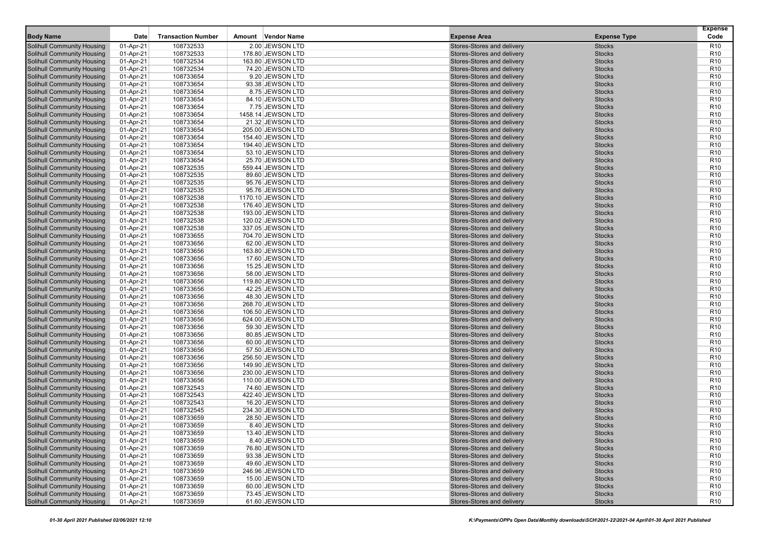| <b>Body Name</b>                                                       |             | <b>Transaction Number</b> |                                        |                                                          |                                | <b>Expense</b><br>Code             |
|------------------------------------------------------------------------|-------------|---------------------------|----------------------------------------|----------------------------------------------------------|--------------------------------|------------------------------------|
|                                                                        | Date        |                           | Amount Vendor Name                     | <b>Expense Area</b>                                      | <b>Expense Type</b>            |                                    |
| <b>Solihull Community Housing</b>                                      | 01-Apr-21   | 108732533                 | 2.00 JEWSON LTD                        | Stores-Stores and delivery                               | <b>Stocks</b>                  | R <sub>10</sub>                    |
| <b>Solihull Community Housing</b>                                      | 01-Apr-21   | 108732533                 | 178.80 JEWSON LTD                      | Stores-Stores and delivery                               | <b>Stocks</b>                  | R <sub>10</sub>                    |
| <b>Solihull Community Housing</b>                                      | 01-Apr-21   | 108732534                 | 163.80 JEWSON LTD                      | Stores-Stores and delivery                               | <b>Stocks</b>                  | R <sub>10</sub>                    |
| <b>Solihull Community Housing</b>                                      | 01-Apr-21   | 108732534                 | 74.20 JEWSON LTD                       | Stores-Stores and delivery                               | <b>Stocks</b>                  | R <sub>10</sub>                    |
| <b>Solihull Community Housing</b>                                      | 01-Apr-21   | 108733654                 | 9.20 JEWSON LTD                        | Stores-Stores and delivery                               | <b>Stocks</b>                  | R <sub>10</sub>                    |
| Solihull Community Housing                                             | 01-Apr-21   | 108733654                 | 93.38 JEWSON LTD                       | Stores-Stores and delivery                               | <b>Stocks</b>                  | R <sub>10</sub>                    |
| <b>Solihull Community Housing</b>                                      | 01-Apr-21   | 108733654                 | 8.75 JEWSON LTD                        | Stores-Stores and delivery                               | <b>Stocks</b>                  | R <sub>10</sub>                    |
| <b>Solihull Community Housing</b><br><b>Solihull Community Housing</b> | 01-Apr-21   | 108733654<br>108733654    | 84.10 JEWSON LTD<br>7.75 JEWSON LTD    | Stores-Stores and delivery<br>Stores-Stores and delivery | <b>Stocks</b><br><b>Stocks</b> | R <sub>10</sub><br>R <sub>10</sub> |
|                                                                        | 01-Apr-21   |                           |                                        | Stores-Stores and delivery                               |                                | R <sub>10</sub>                    |
| <b>Solihull Community Housing</b>                                      | 01-Apr-21   | 108733654                 | 1458.14 JEWSON LTD<br>21.32 JEWSON LTD |                                                          | <b>Stocks</b><br><b>Stocks</b> | R <sub>10</sub>                    |
| <b>Solihull Community Housing</b>                                      | 01-Apr-21   | 108733654                 |                                        | Stores-Stores and delivery                               |                                | R <sub>10</sub>                    |
| <b>Solihull Community Housing</b>                                      | 01-Apr-21   | 108733654<br>108733654    | 205.00 JEWSON LTD                      | Stores-Stores and delivery<br>Stores-Stores and delivery | <b>Stocks</b>                  | R <sub>10</sub>                    |
| <b>Solihull Community Housing</b><br>Solihull Community Housing        | 01-Apr-21   | 108733654                 | 154.40 JEWSON LTD<br>194.40 JEWSON LTD | Stores-Stores and delivery                               | <b>Stocks</b><br><b>Stocks</b> | R <sub>10</sub>                    |
|                                                                        | 01-Apr-21   |                           |                                        |                                                          |                                | R <sub>10</sub>                    |
| <b>Solihull Community Housing</b>                                      | 01-Apr-21   | 108733654                 | 53.10 JEWSON LTD                       | Stores-Stores and delivery                               | <b>Stocks</b>                  | R <sub>10</sub>                    |
| <b>Solihull Community Housing</b>                                      | 01-Apr-21   | 108733654                 | 25.70 JEWSON LTD                       | Stores-Stores and delivery                               | <b>Stocks</b>                  | R <sub>10</sub>                    |
| <b>Solihull Community Housing</b>                                      | 01-Apr-21   | 108732535                 | 559.44 JEWSON LTD                      | Stores-Stores and delivery                               | <b>Stocks</b>                  |                                    |
| <b>Solihull Community Housing</b>                                      | 01-Apr-21   | 108732535                 | 89.60 JEWSON LTD                       | Stores-Stores and delivery                               | <b>Stocks</b>                  | R <sub>10</sub>                    |
| <b>Solihull Community Housing</b>                                      | 01-Apr-21   | 108732535                 | 95.76 JEWSON LTD                       | Stores-Stores and delivery                               | <b>Stocks</b>                  | R <sub>10</sub>                    |
| <b>Solihull Community Housing</b>                                      | 01-Apr-21   | 108732535                 | 95.76 JEWSON LTD                       | Stores-Stores and delivery                               | <b>Stocks</b>                  | R <sub>10</sub>                    |
| <b>Solihull Community Housing</b>                                      | 01-Apr-21   | 108732538                 | 1170.10 JEWSON LTD                     | Stores-Stores and delivery                               | <b>Stocks</b>                  | R <sub>10</sub>                    |
| <b>Solihull Community Housing</b>                                      | 01-Apr-21   | 108732538                 | 176.40 JEWSON LTD                      | Stores-Stores and delivery                               | <b>Stocks</b>                  | R <sub>10</sub>                    |
| <b>Solihull Community Housing</b>                                      | 01-Apr-21   | 108732538                 | 193.00 JEWSON LTD                      | Stores-Stores and delivery                               | <b>Stocks</b>                  | R <sub>10</sub>                    |
| <b>Solihull Community Housing</b>                                      | 01-Apr-21   | 108732538                 | 120.02 JEWSON LTD                      | Stores-Stores and delivery                               | <b>Stocks</b>                  | R <sub>10</sub>                    |
| <b>Solihull Community Housing</b>                                      | 01-Apr-21   | 108732538                 | 337.05 JEWSON LTD                      | Stores-Stores and delivery                               | <b>Stocks</b>                  | R <sub>10</sub>                    |
| <b>Solihull Community Housing</b>                                      | 01-Apr-21   | 108733655                 | 704.70 JEWSON LTD                      | Stores-Stores and delivery                               | <b>Stocks</b>                  | R <sub>10</sub>                    |
| Solihull Community Housing                                             | 01-Apr-21   | 108733656                 | 62.00 JEWSON LTD                       | Stores-Stores and delivery                               | <b>Stocks</b>                  | R <sub>10</sub>                    |
| <b>Solihull Community Housing</b>                                      | 01-Apr-21   | 108733656                 | 163.80 JEWSON LTD                      | Stores-Stores and delivery                               | <b>Stocks</b>                  | R <sub>10</sub>                    |
| <b>Solihull Community Housing</b>                                      | 01-Apr-21   | 108733656                 | 17.60 JEWSON LTD                       | Stores-Stores and delivery                               | <b>Stocks</b>                  | R <sub>10</sub>                    |
| <b>Solihull Community Housing</b>                                      | 01-Apr-21   | 108733656                 | 15.25 JEWSON LTD                       | Stores-Stores and delivery                               | <b>Stocks</b>                  | R <sub>10</sub>                    |
| Solihull Community Housing                                             | 01-Apr-21   | 108733656                 | 58.00 JEWSON LTD                       | Stores-Stores and delivery                               | <b>Stocks</b>                  | R <sub>10</sub>                    |
| <b>Solihull Community Housing</b>                                      | 01-Apr-21   | 108733656                 | 119.80 JEWSON LTD                      | Stores-Stores and delivery                               | <b>Stocks</b>                  | R <sub>10</sub>                    |
| <b>Solihull Community Housing</b>                                      | 01-Apr-21   | 108733656                 | 42.25 JEWSON LTD                       | Stores-Stores and delivery                               | <b>Stocks</b>                  | R <sub>10</sub>                    |
| <b>Solihull Community Housing</b>                                      | 01-Apr-21   | 108733656                 | 48.30 JEWSON LTD                       | Stores-Stores and delivery                               | <b>Stocks</b>                  | R <sub>10</sub>                    |
| <b>Solihull Community Housing</b>                                      | 01-Apr-21   | 108733656                 | 268.70 JEWSON LTD                      | Stores-Stores and delivery                               | <b>Stocks</b>                  | R <sub>10</sub>                    |
| <b>Solihull Community Housing</b>                                      | 01-Apr-21   | 108733656                 | 106.50 JEWSON LTD                      | Stores-Stores and delivery                               | <b>Stocks</b>                  | R <sub>10</sub>                    |
| <b>Solihull Community Housing</b>                                      | 01-Apr-21   | 108733656                 | 624.00 JEWSON LTD                      | Stores-Stores and delivery                               | <b>Stocks</b>                  | R <sub>10</sub>                    |
| <b>Solihull Community Housing</b>                                      | 01-Apr-21   | 108733656                 | 59.30 JEWSON LTD                       | Stores-Stores and delivery                               | <b>Stocks</b>                  | R <sub>10</sub>                    |
| <b>Solihull Community Housing</b>                                      | 01-Apr-21   | 108733656                 | 80.85 JEWSON LTD                       | Stores-Stores and delivery                               | <b>Stocks</b>                  | R <sub>10</sub>                    |
| <b>Solihull Community Housing</b>                                      | 01-Apr-21   | 108733656                 | 60.00 JEWSON LTD                       | Stores-Stores and delivery                               | <b>Stocks</b>                  | R <sub>10</sub>                    |
| <b>Solihull Community Housing</b>                                      | 01-Apr-21   | 108733656                 | 57.50 JEWSON LTD                       | Stores-Stores and delivery                               | <b>Stocks</b>                  | R <sub>10</sub>                    |
| <b>Solihull Community Housing</b>                                      | 01-Apr-21   | 108733656                 | 256.50 JEWSON LTD                      | Stores-Stores and delivery                               | <b>Stocks</b>                  | R <sub>10</sub>                    |
| <b>Solihull Community Housing</b>                                      | 01-Apr-21   | 108733656                 | 149.90 JEWSON LTD                      | Stores-Stores and delivery                               | <b>Stocks</b>                  | R <sub>10</sub>                    |
| <b>Solihull Community Housing</b>                                      | 01-Apr-21   | 108733656                 | 230.00 JEWSON LTD                      | Stores-Stores and delivery                               | <b>Stocks</b>                  | R <sub>10</sub>                    |
| <b>Solihull Community Housing</b>                                      | 01-Apr-21   | 108733656                 | 110.00 JEWSON LTD                      | Stores-Stores and delivery                               | <b>Stocks</b>                  | R <sub>10</sub>                    |
| Solihull Community Housing                                             | 01-Apr-21   | 108732543                 | 74.60 JEWSON LTD                       | Stores-Stores and delivery                               | <b>Stocks</b>                  | R <sub>10</sub>                    |
| <b>Solihull Community Housing</b>                                      | 01-Apr-21   | 108732543                 | 422.40 JEWSON LTD                      | Stores-Stores and delivery                               | <b>Stocks</b>                  | R <sub>10</sub>                    |
| <b>Solihull Community Housing</b>                                      | 01-Apr-21   | 108732543                 | 16.20 JEWSON LTD                       | Stores-Stores and delivery                               | <b>Stocks</b>                  | R <sub>10</sub>                    |
| <b>Solihull Community Housing</b>                                      | 01-Apr-21   | 108732545                 | 234.30 JEWSON LTD                      | Stores-Stores and delivery                               | <b>Stocks</b>                  | R <sub>10</sub>                    |
| Solihull Community Housing                                             | 01-Apr-21   | 108733659                 | 28.50 JEWSON LTD                       | Stores-Stores and delivery                               | <b>Stocks</b>                  | R <sub>10</sub>                    |
| <b>Solihull Community Housing</b>                                      | 01-Apr-21   | 108733659                 | 8.40 JEWSON LTD                        | Stores-Stores and delivery                               | <b>Stocks</b>                  | R <sub>10</sub>                    |
| <b>Solihull Community Housing</b>                                      | 01-Apr-21   | 108733659                 | 13.40 JEWSON LTD                       | Stores-Stores and delivery                               | <b>Stocks</b>                  | R <sub>10</sub>                    |
| <b>Solihull Community Housing</b>                                      | 01-Apr-21   | 108733659                 | 8.40 JEWSON LTD                        | Stores-Stores and delivery                               | <b>Stocks</b>                  | R <sub>10</sub>                    |
| <b>Solihull Community Housing</b>                                      | 01-Apr-21   | 108733659                 | 76.80 JEWSON LTD                       | Stores-Stores and delivery                               | <b>Stocks</b>                  | R <sub>10</sub>                    |
| <b>Solihull Community Housing</b>                                      | 01-Apr-21   | 108733659                 | 93.38 JEWSON LTD                       | Stores-Stores and delivery                               | <b>Stocks</b>                  | R <sub>10</sub>                    |
| <b>Solihull Community Housing</b>                                      | 01-Apr-21   | 108733659                 | 49.60 JEWSON LTD                       | Stores-Stores and delivery                               | <b>Stocks</b>                  | R <sub>10</sub>                    |
| <b>Solihull Community Housing</b>                                      | 01-Apr-21   | 108733659                 | 246.96 JEWSON LTD                      | Stores-Stores and delivery                               | <b>Stocks</b>                  | R <sub>10</sub>                    |
| <b>Solihull Community Housing</b>                                      | 01-Apr-21   | 108733659                 | 15.00 JEWSON LTD                       | Stores-Stores and delivery                               | <b>Stocks</b>                  | R <sub>10</sub>                    |
| <b>Solihull Community Housing</b>                                      | 01-Apr-21   | 108733659                 | 60.00 JEWSON LTD                       | Stores-Stores and delivery                               | <b>Stocks</b>                  | R <sub>10</sub>                    |
| <b>Solihull Community Housing</b>                                      | 01-Apr-21   | 108733659                 | 73.45 JEWSON LTD                       | Stores-Stores and delivery                               | <b>Stocks</b>                  | R <sub>10</sub>                    |
| <b>Solihull Community Housing</b>                                      | $01-Apr-21$ | 108733659                 | 61.60 JEWSON LTD                       | Stores-Stores and delivery                               | <b>Stocks</b>                  | R <sub>10</sub>                    |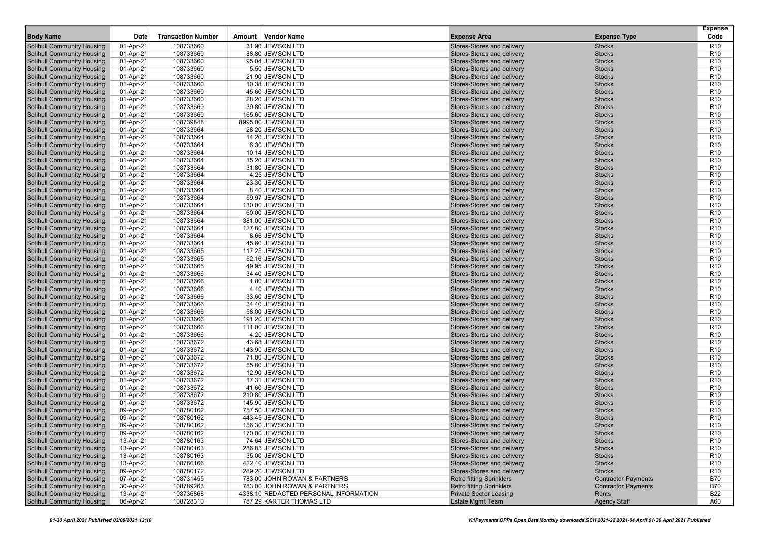| <b>Body Name</b>                                                       | Date                   | <b>Transaction Number</b> | Amount Vendor Name                    | <b>Expense Area</b>                                      | <b>Expense Type</b>            | <b>Expense</b><br>Code             |
|------------------------------------------------------------------------|------------------------|---------------------------|---------------------------------------|----------------------------------------------------------|--------------------------------|------------------------------------|
|                                                                        |                        |                           |                                       |                                                          |                                |                                    |
| <b>Solihull Community Housing</b><br><b>Solihull Community Housing</b> | 01-Apr-21<br>01-Apr-21 | 108733660<br>108733660    | 31.90 JEWSON LTD<br>88.80 JEWSON LTD  | Stores-Stores and delivery<br>Stores-Stores and delivery | <b>Stocks</b><br><b>Stocks</b> | R <sub>10</sub><br>R <sub>10</sub> |
| <b>Solihull Community Housing</b>                                      | 01-Apr-21              | 108733660                 | 95.04 JEWSON LTD                      | Stores-Stores and delivery                               | <b>Stocks</b>                  | R <sub>10</sub>                    |
| <b>Solihull Community Housing</b>                                      | 01-Apr-21              | 108733660                 | 5.50 JEWSON LTD                       | Stores-Stores and delivery                               | <b>Stocks</b>                  | R <sub>10</sub>                    |
| <b>Solihull Community Housing</b>                                      | 01-Apr-21              | 108733660                 | 21.90 JEWSON LTD                      | Stores-Stores and delivery                               | <b>Stocks</b>                  | R <sub>10</sub>                    |
| Solihull Community Housing                                             | 01-Apr-21              | 108733660                 | 10.38 JEWSON LTD                      | Stores-Stores and delivery                               | <b>Stocks</b>                  | R <sub>10</sub>                    |
| <b>Solihull Community Housing</b>                                      | 01-Apr-21              | 108733660                 | 45.60 JEWSON LTD                      | Stores-Stores and delivery                               | <b>Stocks</b>                  | R <sub>10</sub>                    |
| <b>Solihull Community Housing</b>                                      | 01-Apr-21              | 108733660                 | 28.20 JEWSON LTD                      | Stores-Stores and delivery                               | <b>Stocks</b>                  | R <sub>10</sub>                    |
| <b>Solihull Community Housing</b>                                      | 01-Apr-21              | 108733660                 | 39.80 JEWSON LTD                      | Stores-Stores and delivery                               | <b>Stocks</b>                  | R <sub>10</sub>                    |
| <b>Solihull Community Housing</b>                                      | 01-Apr-21              | 108733660                 | 165.60 JEWSON LTD                     | Stores-Stores and delivery                               | <b>Stocks</b>                  | R <sub>10</sub>                    |
| <b>Solihull Community Housing</b>                                      | 06-Apr-21              | 108739848                 | 8995.00 JEWSON LTD                    | Stores-Stores and delivery                               | <b>Stocks</b>                  | R <sub>10</sub>                    |
| <b>Solihull Community Housing</b>                                      | 01-Apr-21              | 108733664                 | 28.20 JEWSON LTD                      | Stores-Stores and delivery                               | <b>Stocks</b>                  | R <sub>10</sub>                    |
| <b>Solihull Community Housing</b>                                      | 01-Apr-21              | 108733664                 | 14.20 JEWSON LTD                      | Stores-Stores and delivery                               | <b>Stocks</b>                  | R <sub>10</sub>                    |
| Solihull Community Housing                                             | 01-Apr-21              | 108733664                 | 6.30 JEWSON LTD                       | Stores-Stores and delivery                               | <b>Stocks</b>                  | R <sub>10</sub>                    |
| <b>Solihull Community Housing</b>                                      | 01-Apr-21              | 108733664                 | 10.14 JEWSON LTD                      | Stores-Stores and delivery                               | <b>Stocks</b>                  | R <sub>10</sub>                    |
| <b>Solihull Community Housing</b>                                      | 01-Apr-21              | 108733664                 | 15.20 JEWSON LTD                      | Stores-Stores and delivery                               | <b>Stocks</b>                  | R <sub>10</sub>                    |
| <b>Solihull Community Housing</b>                                      | 01-Apr-21              | 108733664                 | 31.80 JEWSON LTD                      | Stores-Stores and delivery                               | <b>Stocks</b>                  | R <sub>10</sub>                    |
| <b>Solihull Community Housing</b>                                      | 01-Apr-21              | 108733664                 | 4.25 JEWSON LTD                       | Stores-Stores and delivery                               | <b>Stocks</b>                  | R <sub>10</sub>                    |
| <b>Solihull Community Housing</b>                                      | 01-Apr-21              | 108733664                 | 23.30 JEWSON LTD                      | Stores-Stores and delivery                               | <b>Stocks</b>                  | R <sub>10</sub>                    |
| <b>Solihull Community Housing</b>                                      | 01-Apr-21              | 108733664                 | 8.40 JEWSON LTD                       | Stores-Stores and delivery                               | <b>Stocks</b>                  | R <sub>10</sub>                    |
| <b>Solihull Community Housing</b>                                      | 01-Apr-21              | 108733664                 | 59.97 JEWSON LTD                      | Stores-Stores and delivery                               | <b>Stocks</b>                  | R <sub>10</sub>                    |
| <b>Solihull Community Housing</b>                                      | 01-Apr-21              | 108733664                 | 130.00 JEWSON LTD                     | Stores-Stores and delivery                               | <b>Stocks</b>                  | R <sub>10</sub>                    |
| <b>Solihull Community Housing</b>                                      | 01-Apr-21              | 108733664                 | 60.00 JEWSON LTD                      | Stores-Stores and delivery                               | <b>Stocks</b>                  | R <sub>10</sub>                    |
| <b>Solihull Community Housing</b>                                      | 01-Apr-21              | 108733664                 | 381.00 JEWSON LTD                     | Stores-Stores and delivery                               | <b>Stocks</b>                  | R <sub>10</sub>                    |
| <b>Solihull Community Housing</b>                                      | 01-Apr-21              | 108733664                 | 127.80 JEWSON LTD                     | Stores-Stores and delivery                               | <b>Stocks</b>                  | R <sub>10</sub>                    |
| Solihull Community Housing                                             | 01-Apr-21              | 108733664                 | 8.66 JEWSON LTD                       | Stores-Stores and delivery                               | <b>Stocks</b>                  | R <sub>10</sub>                    |
| Solihull Community Housing                                             | 01-Apr-21              | 108733664                 | 45.60 JEWSON LTD                      | Stores-Stores and delivery                               | <b>Stocks</b>                  | R <sub>10</sub>                    |
| <b>Solihull Community Housing</b>                                      | 01-Apr-21              | 108733665                 | 117.25 JEWSON LTD                     | Stores-Stores and delivery                               | <b>Stocks</b>                  | R <sub>10</sub>                    |
| <b>Solihull Community Housing</b>                                      | 01-Apr-21              | 108733665                 | 52.16 JEWSON LTD                      | Stores-Stores and delivery                               | <b>Stocks</b>                  | R <sub>10</sub>                    |
| <b>Solihull Community Housing</b>                                      | 01-Apr-21              | 108733665                 | 49.95 JEWSON LTD                      | Stores-Stores and delivery                               | <b>Stocks</b>                  | R <sub>10</sub>                    |
| Solihull Community Housing                                             | 01-Apr-21              | 108733666                 | 34.40 JEWSON LTD                      | Stores-Stores and delivery                               | <b>Stocks</b>                  | R <sub>10</sub>                    |
| <b>Solihull Community Housing</b>                                      | 01-Apr-21              | 108733666                 | 1.80 JEWSON LTD                       | Stores-Stores and delivery                               | <b>Stocks</b>                  | R <sub>10</sub>                    |
| <b>Solihull Community Housing</b>                                      | 01-Apr-21              | 108733666                 | 4.10 JEWSON LTD                       | Stores-Stores and delivery                               | <b>Stocks</b>                  | R <sub>10</sub>                    |
| <b>Solihull Community Housing</b><br><b>Solihull Community Housing</b> | 01-Apr-21              | 108733666<br>108733666    | 33.60 JEWSON LTD                      | Stores-Stores and delivery<br>Stores-Stores and delivery | <b>Stocks</b><br><b>Stocks</b> | R <sub>10</sub><br>R <sub>10</sub> |
| <b>Solihull Community Housing</b>                                      | 01-Apr-21<br>01-Apr-21 | 108733666                 | 34.40 JEWSON LTD<br>58.00 JEWSON LTD  | Stores-Stores and delivery                               | <b>Stocks</b>                  | R <sub>10</sub>                    |
| <b>Solihull Community Housing</b>                                      | 01-Apr-21              | 108733666                 | 191.20 JEWSON LTD                     | Stores-Stores and delivery                               | <b>Stocks</b>                  | R <sub>10</sub>                    |
| <b>Solihull Community Housing</b>                                      | 01-Apr-21              | 108733666                 | 111.00 JEWSON LTD                     | Stores-Stores and delivery                               | <b>Stocks</b>                  | R <sub>10</sub>                    |
| <b>Solihull Community Housing</b>                                      | 01-Apr-21              | 108733666                 | 4.20 JEWSON LTD                       | Stores-Stores and delivery                               | <b>Stocks</b>                  | R <sub>10</sub>                    |
| <b>Solihull Community Housing</b>                                      | 01-Apr-21              | 108733672                 | 43.68 JEWSON LTD                      | Stores-Stores and delivery                               | <b>Stocks</b>                  | R <sub>10</sub>                    |
| <b>Solihull Community Housing</b>                                      | 01-Apr-21              | 108733672                 | 143.90 JEWSON LTD                     | Stores-Stores and delivery                               | <b>Stocks</b>                  | R <sub>10</sub>                    |
| <b>Solihull Community Housing</b>                                      | 01-Apr-21              | 108733672                 | 71.80 JEWSON LTD                      | Stores-Stores and delivery                               | <b>Stocks</b>                  | R <sub>10</sub>                    |
| <b>Solihull Community Housing</b>                                      | 01-Apr-21              | 108733672                 | 55.80 JEWSON LTD                      | Stores-Stores and delivery                               | <b>Stocks</b>                  | R <sub>10</sub>                    |
| <b>Solihull Community Housing</b>                                      | 01-Apr-21              | 108733672                 | 12.90 JEWSON LTD                      | Stores-Stores and delivery                               | <b>Stocks</b>                  | R <sub>10</sub>                    |
| <b>Solihull Community Housing</b>                                      | 01-Apr-21              | 108733672                 | 17.31 JEWSON LTD                      | Stores-Stores and delivery                               | <b>Stocks</b>                  | R <sub>10</sub>                    |
| Solihull Community Housing                                             | 01-Apr-21              | 108733672                 | 41.60 JEWSON LTD                      | Stores-Stores and delivery                               | <b>Stocks</b>                  | R <sub>10</sub>                    |
| <b>Solihull Community Housing</b>                                      | 01-Apr-21              | 108733672                 | 210.80 JEWSON LTD                     | Stores-Stores and delivery                               | <b>Stocks</b>                  | R <sub>10</sub>                    |
| <b>Solihull Community Housing</b>                                      | 01-Apr-21              | 108733672                 | 145.90 JEWSON LTD                     | Stores-Stores and delivery                               | <b>Stocks</b>                  | R <sub>10</sub>                    |
| <b>Solihull Community Housing</b>                                      | 09-Apr-21              | 108780162                 | 757.50 JEWSON LTD                     | Stores-Stores and delivery                               | <b>Stocks</b>                  | R <sub>10</sub>                    |
| <b>Solihull Community Housing</b>                                      | 09-Apr-21              | 108780162                 | 443.45 JEWSON LTD                     | Stores-Stores and delivery                               | <b>Stocks</b>                  | R <sub>10</sub>                    |
| <b>Solihull Community Housing</b>                                      | 09-Apr-21              | 108780162                 | 156.30 JEWSON LTD                     | Stores-Stores and delivery                               | <b>Stocks</b>                  | R <sub>10</sub>                    |
| <b>Solihull Community Housing</b>                                      | 09-Apr-21              | 108780162                 | 170.00 JEWSON LTD                     | Stores-Stores and delivery                               | <b>Stocks</b>                  | R <sub>10</sub>                    |
| <b>Solihull Community Housing</b>                                      | 13-Apr-21              | 108780163                 | 74.64 JEWSON LTD                      | Stores-Stores and delivery                               | <b>Stocks</b>                  | R <sub>10</sub>                    |
| <b>Solihull Community Housing</b>                                      | 13-Apr-21              | 108780163                 | 286.85 JEWSON LTD                     | Stores-Stores and delivery                               | <b>Stocks</b>                  | R <sub>10</sub>                    |
| <b>Solihull Community Housing</b>                                      | 13-Apr-21              | 108780163                 | 35.00 JEWSON LTD                      | Stores-Stores and delivery                               | <b>Stocks</b>                  | R <sub>10</sub>                    |
| <b>Solihull Community Housing</b>                                      | 13-Apr-21              | 108780166                 | 422.40 JEWSON LTD                     | Stores-Stores and delivery                               | <b>Stocks</b>                  | R <sub>10</sub>                    |
| <b>Solihull Community Housing</b>                                      | 09-Apr-21              | 108780172                 | 289.20 JEWSON LTD                     | Stores-Stores and delivery                               | <b>Stocks</b>                  | R <sub>10</sub>                    |
| <b>Solihull Community Housing</b>                                      | 07-Apr-21              | 108731455                 | 783.00 JOHN ROWAN & PARTNERS          | <b>Retro fitting Sprinklers</b>                          | <b>Contractor Payments</b>     | B70                                |
| <b>Solihull Community Housing</b>                                      | 30-Apr-21              | 108789263                 | 783.00 JOHN ROWAN & PARTNERS          | <b>Retro fitting Sprinklers</b>                          | <b>Contractor Payments</b>     | B70                                |
| <b>Solihull Community Housing</b>                                      | 13-Apr-21              | 108736868                 | 4338.10 REDACTED PERSONAL INFORMATION | <b>Private Sector Leasing</b>                            | Rents                          | B22                                |
| <b>Solihull Community Housing</b>                                      | 06-Apr-21              | 108728310                 | 787.29 KARTER THOMAS LTD              | <b>Estate Mgmt Team</b>                                  | <b>Agency Staff</b>            | A60                                |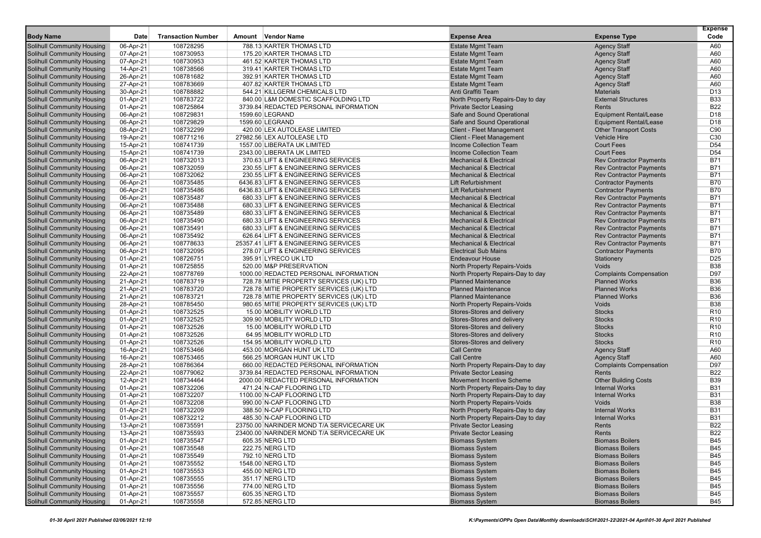|                                                                        | Date                   | <b>Transaction Number</b> |                                                       |                                                          |                                            | <b>Expense</b><br>Code             |
|------------------------------------------------------------------------|------------------------|---------------------------|-------------------------------------------------------|----------------------------------------------------------|--------------------------------------------|------------------------------------|
| <b>Body Name</b>                                                       |                        |                           | Amount Vendor Name                                    | <b>Expense Area</b>                                      | <b>Expense Type</b>                        |                                    |
| <b>Solihull Community Housing</b>                                      | 06-Apr-21              | 108728295                 | 788.13 KARTER THOMAS LTD                              | <b>Estate Mgmt Team</b>                                  | <b>Agency Staff</b>                        | A60                                |
| <b>Solihull Community Housing</b><br><b>Solihull Community Housing</b> | 07-Apr-21<br>07-Apr-21 | 108730953<br>108730953    | 175.20 KARTER THOMAS LTD<br>461.52 KARTER THOMAS LTD  | <b>Estate Mgmt Team</b><br><b>Estate Mgmt Team</b>       | <b>Agency Staff</b><br><b>Agency Staff</b> | A60<br>A60                         |
| <b>Solihull Community Housing</b>                                      | 14-Apr-21              | 108738566                 | 319.41 KARTER THOMAS LTD                              | <b>Estate Mgmt Team</b>                                  | <b>Agency Staff</b>                        | A60                                |
| <b>Solihull Community Housing</b>                                      | 26-Apr-21              | 108781682                 | 392.91 KARTER THOMAS LTD                              | <b>Estate Mgmt Team</b>                                  | <b>Agency Staff</b>                        | A60                                |
| <b>Solihull Community Housing</b>                                      | 27-Apr-21              | 108783669                 | 407.82 KARTER THOMAS LTD                              | <b>Estate Mgmt Team</b>                                  | <b>Agency Staff</b>                        | A60                                |
| <b>Solihull Community Housing</b>                                      | 30-Apr-21              | 108788882                 | 544.21 KILLGERM CHEMICALS LTD                         | Anti Graffiti Team                                       | <b>Materials</b>                           | D <sub>13</sub>                    |
| <b>Solihull Community Housing</b>                                      | 01-Apr-21              | 108783722                 | 840.00 L&M DOMESTIC SCAFFOLDING LTD                   | North Property Repairs-Day to day                        | <b>External Structures</b>                 | <b>B33</b>                         |
| <b>Solihull Community Housing</b>                                      | 01-Apr-21              | 108725864                 | 3739.84 REDACTED PERSONAL INFORMATION                 | <b>Private Sector Leasing</b>                            | Rents                                      | <b>B22</b>                         |
| <b>Solihull Community Housing</b>                                      | 06-Apr-21              | 108729831                 | 1599.60 LEGRAND                                       | Safe and Sound Operational                               | <b>Equipment Rental/Lease</b>              | D <sub>18</sub>                    |
| <b>Solihull Community Housing</b>                                      | 06-Apr-21              | 108729829                 | 1599.60 LEGRAND                                       | Safe and Sound Operational                               | <b>Equipment Rental/Lease</b>              | D <sub>18</sub>                    |
| <b>Solihull Community Housing</b>                                      | 08-Apr-21              | 108732299                 | 420.00 LEX AUTOLEASE LIMITED                          | <b>Client - Fleet Management</b>                         | <b>Other Transport Costs</b>               | C90                                |
| <b>Solihull Community Housing</b>                                      | 19-Apr-21              | 108771216                 | 27982.56 LEX AUTOLEASE LTD                            | <b>Client - Fleet Management</b>                         | <b>Vehicle Hire</b>                        | C <sub>30</sub>                    |
| <b>Solihull Community Housing</b>                                      | 15-Apr-21              | 108741739                 | 1557.00 LIBERATA UK LIMITED                           | <b>Income Collection Team</b>                            | <b>Court Fees</b>                          | D <sub>54</sub>                    |
| <b>Solihull Community Housing</b>                                      | 15-Apr-21              | 108741739                 | 2343.00 LIBERATA UK LIMITED                           | Income Collection Team                                   | <b>Court Fees</b>                          | D <sub>54</sub>                    |
| <b>Solihull Community Housing</b>                                      | 06-Apr-21              | 108732013                 | 370.63 LIFT & ENGINEERING SERVICES                    | <b>Mechanical &amp; Electrical</b>                       | <b>Rev Contractor Payments</b>             | <b>B71</b>                         |
| <b>Solihull Community Housing</b>                                      | 06-Apr-21              | 108732059                 | 230.55 LIFT & ENGINEERING SERVICES                    | <b>Mechanical &amp; Electrical</b>                       | <b>Rev Contractor Payments</b>             | <b>B71</b>                         |
| <b>Solihull Community Housing</b>                                      | 06-Apr-21              | 108732062                 | 230.55 LIFT & ENGINEERING SERVICES                    | <b>Mechanical &amp; Electrical</b>                       | <b>Rev Contractor Payments</b>             | <b>B71</b>                         |
| <b>Solihull Community Housing</b>                                      | 06-Apr-21              | 108735485                 | 6436.83 LIFT & ENGINEERING SERVICES                   | <b>Lift Refurbishment</b>                                | <b>Contractor Payments</b>                 | <b>B70</b>                         |
| <b>Solihull Community Housing</b>                                      | 06-Apr-21              | 108735486                 | 6436.83 LIFT & ENGINEERING SERVICES                   | <b>Lift Refurbishment</b>                                | <b>Contractor Payments</b>                 | <b>B70</b>                         |
| <b>Solihull Community Housing</b>                                      | 06-Apr-21              | 108735487                 | 680.33 LIFT & ENGINEERING SERVICES                    | <b>Mechanical &amp; Electrical</b>                       | <b>Rev Contractor Payments</b>             | <b>B71</b>                         |
| <b>Solihull Community Housing</b>                                      | 06-Apr-21              | 108735488                 | 680.33 LIFT & ENGINEERING SERVICES                    | <b>Mechanical &amp; Electrical</b>                       | <b>Rev Contractor Payments</b>             | <b>B71</b>                         |
| <b>Solihull Community Housing</b>                                      | 06-Apr-21              | 108735489                 | 680.33 LIFT & ENGINEERING SERVICES                    | <b>Mechanical &amp; Electrical</b>                       | <b>Rev Contractor Payments</b>             | <b>B71</b>                         |
| <b>Solihull Community Housing</b>                                      | 06-Apr-21              | 108735490                 | 680.33 LIFT & ENGINEERING SERVICES                    | <b>Mechanical &amp; Electrical</b>                       | <b>Rev Contractor Payments</b>             | <b>B71</b>                         |
| <b>Solihull Community Housing</b>                                      | 06-Apr-21              | 108735491                 | 680.33 LIFT & ENGINEERING SERVICES                    | <b>Mechanical &amp; Electrical</b>                       | <b>Rev Contractor Payments</b>             | <b>B71</b>                         |
| <b>Solihull Community Housing</b>                                      | 06-Apr-21              | 108735492                 | 626.64 LIFT & ENGINEERING SERVICES                    | <b>Mechanical &amp; Electrical</b>                       | <b>Rev Contractor Payments</b>             | <b>B71</b>                         |
| <b>Solihull Community Housing</b>                                      | 06-Apr-21              | 108778633                 | 25357.41 LIFT & ENGINEERING SERVICES                  | <b>Mechanical &amp; Electrical</b>                       | <b>Rev Contractor Payments</b>             | <b>B71</b>                         |
| <b>Solihull Community Housing</b>                                      | 06-Apr-21              | 108732095                 | 278.07 LIFT & ENGINEERING SERVICES                    | <b>Electrical Sub Mains</b>                              | <b>Contractor Payments</b>                 | <b>B70</b>                         |
| <b>Solihull Community Housing</b>                                      | 01-Apr-21              | 108726751                 | 395.91 LYRECO UK LTD                                  | <b>Endeavour House</b>                                   | Stationery                                 | D <sub>25</sub>                    |
| <b>Solihull Community Housing</b>                                      | 01-Apr-21              | 108725855                 | 520.00 M&P PRESERVATION                               | North Property Repairs-Voids                             | Voids                                      | <b>B38</b>                         |
| <b>Solihull Community Housing</b>                                      | 22-Apr-21              | 108778769                 | 1000.00 REDACTED PERSONAL INFORMATION                 | North Property Repairs-Day to day                        | <b>Complaints Compensation</b>             | D97                                |
| <b>Solihull Community Housing</b>                                      | 21-Apr-21              | 108783719                 | 728.78 MITIE PROPERTY SERVICES (UK) LTD               | <b>Planned Maintenance</b>                               | <b>Planned Works</b>                       | <b>B36</b>                         |
| <b>Solihull Community Housing</b>                                      | 21-Apr-21              | 108783720                 | 728.78 MITIE PROPERTY SERVICES (UK) LTD               | <b>Planned Maintenance</b>                               | <b>Planned Works</b>                       | <b>B36</b>                         |
| <b>Solihull Community Housing</b>                                      | 21-Apr-21              | 108783721                 | 728.78 MITIE PROPERTY SERVICES (UK) LTD               | <b>Planned Maintenance</b>                               | <b>Planned Works</b>                       | <b>B36</b>                         |
| <b>Solihull Community Housing</b>                                      | 28-Apr-21              | 108785450                 | 980.65 MITIE PROPERTY SERVICES (UK) LTD               | North Property Repairs-Voids                             | Voids                                      | <b>B38</b>                         |
| <b>Solihull Community Housing</b>                                      | 01-Apr-21              | 108732525                 | 15.00 MOBILITY WORLD LTD<br>309.90 MOBILITY WORLD LTD | Stores-Stores and delivery<br>Stores-Stores and delivery | <b>Stocks</b><br><b>Stocks</b>             | R <sub>10</sub><br>R <sub>10</sub> |
| <b>Solihull Community Housing</b><br><b>Solihull Community Housing</b> | 01-Apr-21<br>01-Apr-21 | 108732525<br>108732526    | 15.00 MOBILITY WORLD LTD                              | Stores-Stores and delivery                               | <b>Stocks</b>                              | R <sub>10</sub>                    |
| <b>Solihull Community Housing</b>                                      | 01-Apr-21              | 108732526                 | 64.95 MOBILITY WORLD LTD                              | Stores-Stores and delivery                               | <b>Stocks</b>                              | R <sub>10</sub>                    |
| <b>Solihull Community Housing</b>                                      | 01-Apr-21              | 108732526                 | 154.95 MOBILITY WORLD LTD                             | Stores-Stores and delivery                               | <b>Stocks</b>                              | R <sub>10</sub>                    |
| <b>Solihull Community Housing</b>                                      | 16-Apr-21              | 108753466                 | 453.00 MORGAN HUNT UK LTD                             | <b>Call Centre</b>                                       | <b>Agency Staff</b>                        | A60                                |
| <b>Solihull Community Housing</b>                                      | 16-Apr-21              | 108753465                 | 566.25 MORGAN HUNT UK LTD                             | <b>Call Centre</b>                                       | <b>Agency Staff</b>                        | A60                                |
| <b>Solihull Community Housing</b>                                      | 28-Apr-21              | 108786364                 | 660.00 REDACTED PERSONAL INFORMATION                  | North Property Repairs-Day to day                        | <b>Complaints Compensation</b>             | D97                                |
| <b>Solihull Community Housing</b>                                      | 22-Apr-21              | 108779062                 | 3739.84 REDACTED PERSONAL INFORMATION                 | <b>Private Sector Leasing</b>                            | Rents                                      | <b>B22</b>                         |
| <b>Solihull Community Housing</b>                                      | 12-Apr-21              | 108734464                 | 2000.00 REDACTED PERSONAL INFORMATION                 | <b>Movement Incentive Scheme</b>                         | <b>Other Building Costs</b>                | <b>B39</b>                         |
| <b>Solihull Community Housing</b>                                      | 01-Apr-21              | 108732206                 | 471.24 N-CAP FLOORING LTD                             | North Property Repairs-Day to day                        | <b>Internal Works</b>                      | <b>B31</b>                         |
| <b>Solihull Community Housing</b>                                      | 01-Apr-21              | 108732207                 | 1100.00 N-CAP FLOORING LTD                            | North Property Repairs-Day to day                        | <b>Internal Works</b>                      | <b>B31</b>                         |
| <b>Solihull Community Housing</b>                                      | 01-Apr-21              | 108732208                 | 990.00 N-CAP FLOORING LTD                             | North Property Repairs-Voids                             | Voids                                      | <b>B38</b>                         |
| <b>Solihull Community Housing</b>                                      | 01-Apr-21              | 108732209                 | 388.50 N-CAP FLOORING LTD                             | North Property Repairs-Day to day                        | <b>Internal Works</b>                      | <b>B31</b>                         |
| <b>Solihull Community Housing</b>                                      | 01-Apr-21              | 108732212                 | 485.30 N-CAP FLOORING LTD                             | North Property Repairs-Day to day                        | <b>Internal Works</b>                      | <b>B31</b>                         |
| <b>Solihull Community Housing</b>                                      | 13-Apr-21              | 108735591                 | 23750.00 NARINDER MOND T/A SERVICECARE UK             | <b>Private Sector Leasing</b>                            | Rents                                      | <b>B22</b>                         |
| <b>Solihull Community Housing</b>                                      | 13-Apr-21              | 108735593                 | 23400.00 NARINDER MOND T/A SERVICECARE UK             | <b>Private Sector Leasing</b>                            | Rents                                      | <b>B22</b>                         |
| <b>Solihull Community Housing</b>                                      | 01-Apr-21              | 108735547                 | 605.35 NERG LTD                                       | <b>Biomass System</b>                                    | <b>Biomass Boilers</b>                     | <b>B45</b>                         |
| <b>Solihull Community Housing</b>                                      | 01-Apr-21              | 108735548                 | 222.75 NERG LTD                                       | <b>Biomass System</b>                                    | <b>Biomass Boilers</b>                     | <b>B45</b>                         |
| <b>Solihull Community Housing</b>                                      | 01-Apr-21              | 108735549                 | 792.10 NERG LTD                                       | <b>Biomass System</b>                                    | <b>Biomass Boilers</b>                     | <b>B45</b>                         |
| <b>Solihull Community Housing</b>                                      | 01-Apr-21              | 108735552                 | 1548.00 NERG LTD                                      | <b>Biomass System</b>                                    | <b>Biomass Boilers</b>                     | <b>B45</b>                         |
| <b>Solihull Community Housing</b>                                      | 01-Apr-21              | 108735553                 | 455.00 NERG LTD                                       | <b>Biomass System</b>                                    | <b>Biomass Boilers</b>                     | <b>B45</b>                         |
| <b>Solihull Community Housing</b>                                      | 01-Apr-21              | 108735555                 | 351.17 NERG LTD                                       | <b>Biomass System</b>                                    | <b>Biomass Boilers</b>                     | B45                                |
| <b>Solihull Community Housing</b>                                      | 01-Apr-21              | 108735556                 | 774.00 NERG LTD                                       | <b>Biomass System</b>                                    | <b>Biomass Boilers</b>                     | <b>B45</b>                         |
| <b>Solihull Community Housing</b>                                      | 01-Apr-21              | 108735557                 | 605.35 NERG LTD                                       | <b>Biomass System</b>                                    | <b>Biomass Boilers</b>                     | <b>B45</b>                         |
| <b>Solihull Community Housing</b>                                      | 01-Apr-21              | 108735558                 | 572.85 NERG LTD                                       | <b>Biomass System</b>                                    | <b>Biomass Boilers</b>                     | <b>B45</b>                         |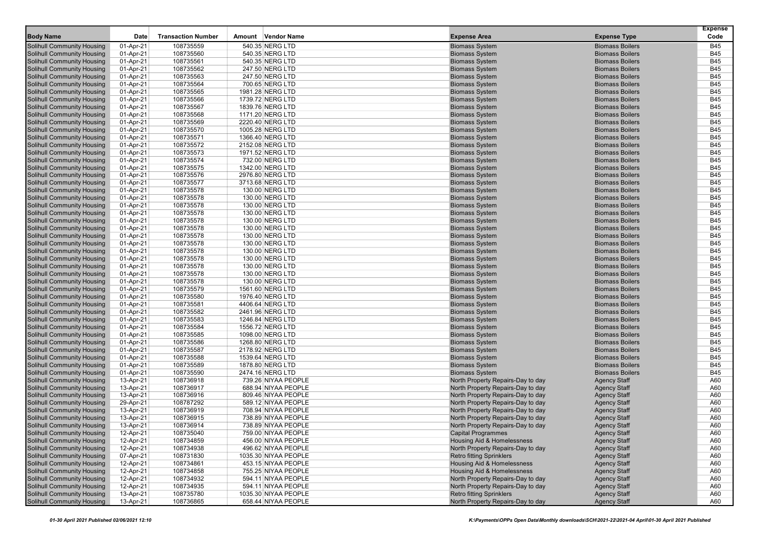|                                   |           |                           |                      |                                   |                        | <b>Expense</b> |
|-----------------------------------|-----------|---------------------------|----------------------|-----------------------------------|------------------------|----------------|
| <b>Body Name</b>                  | Date      | <b>Transaction Number</b> | Amount Vendor Name   | <b>Expense Area</b>               | <b>Expense Type</b>    | Code           |
| <b>Solihull Community Housing</b> | 01-Apr-21 | 108735559                 | 540.35 NERG LTD      | <b>Biomass System</b>             | <b>Biomass Boilers</b> | <b>B45</b>     |
| <b>Solihull Community Housing</b> | 01-Apr-21 | 108735560                 | 540.35 NERG LTD      | <b>Biomass System</b>             | <b>Biomass Boilers</b> | <b>B45</b>     |
| <b>Solihull Community Housing</b> | 01-Apr-21 | 108735561                 | 540.35 NERG LTD      | <b>Biomass System</b>             | <b>Biomass Boilers</b> | <b>B45</b>     |
| <b>Solihull Community Housing</b> | 01-Apr-21 | 108735562                 | 247.50 NERG LTD      | <b>Biomass System</b>             | <b>Biomass Boilers</b> | <b>B45</b>     |
| <b>Solihull Community Housing</b> | 01-Apr-21 | 108735563                 | 247.50 NERG LTD      | <b>Biomass System</b>             | <b>Biomass Boilers</b> | <b>B45</b>     |
| <b>Solihull Community Housing</b> | 01-Apr-21 | 108735564                 | 700.65 NERG LTD      | <b>Biomass System</b>             | <b>Biomass Boilers</b> | <b>B45</b>     |
| <b>Solihull Community Housing</b> | 01-Apr-21 | 108735565                 | 1981.28 NERG LTD     | <b>Biomass System</b>             | <b>Biomass Boilers</b> | <b>B45</b>     |
| <b>Solihull Community Housing</b> | 01-Apr-21 | 108735566                 | 1739.72 NERG LTD     | <b>Biomass System</b>             | <b>Biomass Boilers</b> | <b>B45</b>     |
| <b>Solihull Community Housing</b> | 01-Apr-21 | 108735567                 | 1839.76 NERG LTD     | <b>Biomass System</b>             | <b>Biomass Boilers</b> | <b>B45</b>     |
| <b>Solihull Community Housing</b> | 01-Apr-21 | 108735568                 | 1171.20 NERG LTD     | <b>Biomass System</b>             | <b>Biomass Boilers</b> | <b>B45</b>     |
| <b>Solihull Community Housing</b> | 01-Apr-21 | 108735569                 | 2220.40 NERG LTD     | <b>Biomass System</b>             | <b>Biomass Boilers</b> | <b>B45</b>     |
| <b>Solihull Community Housing</b> | 01-Apr-21 | 108735570                 | 1005.28 NERG LTD     | <b>Biomass System</b>             | <b>Biomass Boilers</b> | <b>B45</b>     |
| Solihull Community Housing        | 01-Apr-21 | 108735571                 | 1366.40 NERG LTD     | <b>Biomass System</b>             | <b>Biomass Boilers</b> | <b>B45</b>     |
| <b>Solihull Community Housing</b> | 01-Apr-21 | 108735572                 | 2152.08 NERG LTD     | <b>Biomass System</b>             | <b>Biomass Boilers</b> | <b>B45</b>     |
| <b>Solihull Community Housing</b> | 01-Apr-21 | 108735573                 | 1971.52 NERG LTD     | <b>Biomass System</b>             | <b>Biomass Boilers</b> | <b>B45</b>     |
| <b>Solihull Community Housing</b> | 01-Apr-21 | 108735574                 | 732.00 NERG LTD      | <b>Biomass System</b>             | <b>Biomass Boilers</b> | <b>B45</b>     |
| <b>Solihull Community Housing</b> | 01-Apr-21 | 108735575                 | 1342.00 NERG LTD     | <b>Biomass System</b>             | <b>Biomass Boilers</b> | <b>B45</b>     |
| <b>Solihull Community Housing</b> | 01-Apr-21 | 108735576                 | 2976.80 NERG LTD     | <b>Biomass System</b>             | <b>Biomass Boilers</b> | <b>B45</b>     |
| <b>Solihull Community Housing</b> | 01-Apr-21 | 108735577                 | 3713.68 NERG LTD     | <b>Biomass System</b>             | <b>Biomass Boilers</b> | <b>B45</b>     |
| <b>Solihull Community Housing</b> | 01-Apr-21 | 108735578                 | 130.00 NERG LTD      | <b>Biomass System</b>             | <b>Biomass Boilers</b> | <b>B45</b>     |
| <b>Solihull Community Housing</b> | 01-Apr-21 | 108735578                 | 130.00 NERG LTD      | <b>Biomass System</b>             | <b>Biomass Boilers</b> | <b>B45</b>     |
| Solihull Community Housing        | 01-Apr-21 | 108735578                 | 130.00 NERG LTD      | <b>Biomass System</b>             | <b>Biomass Boilers</b> | <b>B45</b>     |
| Solihull Community Housing        | 01-Apr-21 | 108735578                 | 130.00 NERG LTD      | <b>Biomass System</b>             | <b>Biomass Boilers</b> | <b>B45</b>     |
| <b>Solihull Community Housing</b> | 01-Apr-21 | 108735578                 | 130.00 NERG LTD      | <b>Biomass System</b>             | <b>Biomass Boilers</b> | <b>B45</b>     |
| <b>Solihull Community Housing</b> | 01-Apr-21 | 108735578                 | 130.00 NERG LTD      | <b>Biomass System</b>             | <b>Biomass Boilers</b> | <b>B45</b>     |
| Solihull Community Housing        | 01-Apr-21 | 108735578                 | 130.00 NERG LTD      | <b>Biomass System</b>             | <b>Biomass Boilers</b> | <b>B45</b>     |
| <b>Solihull Community Housing</b> | 01-Apr-21 | 108735578                 | 130.00 NERG LTD      | <b>Biomass System</b>             | <b>Biomass Boilers</b> | <b>B45</b>     |
| Solihull Community Housing        | 01-Apr-21 | 108735578                 | 130.00 NERG LTD      | <b>Biomass System</b>             | <b>Biomass Boilers</b> | <b>B45</b>     |
| <b>Solihull Community Housing</b> | 01-Apr-21 | 108735578                 | 130.00 NERG LTD      | <b>Biomass System</b>             | <b>Biomass Boilers</b> | <b>B45</b>     |
| <b>Solihull Community Housing</b> | 01-Apr-21 | 108735578                 | 130.00 NERG LTD      | <b>Biomass System</b>             | <b>Biomass Boilers</b> | <b>B45</b>     |
| <b>Solihull Community Housing</b> | 01-Apr-21 | 108735578                 | 130.00 NERG LTD      | <b>Biomass System</b>             | <b>Biomass Boilers</b> | <b>B45</b>     |
| <b>Solihull Community Housing</b> | 01-Apr-21 | 108735578                 | 130.00 NERG LTD      | <b>Biomass System</b>             | <b>Biomass Boilers</b> | <b>B45</b>     |
| <b>Solihull Community Housing</b> | 01-Apr-21 | 108735579                 | 1561.60 NERG LTD     | <b>Biomass System</b>             | <b>Biomass Boilers</b> | <b>B45</b>     |
| <b>Solihull Community Housing</b> | 01-Apr-21 | 108735580                 | 1976.40 NERG LTD     | <b>Biomass System</b>             | <b>Biomass Boilers</b> | <b>B45</b>     |
| <b>Solihull Community Housing</b> | 01-Apr-21 | 108735581                 | 4406.64 NERG LTD     | <b>Biomass System</b>             | <b>Biomass Boilers</b> | <b>B45</b>     |
| <b>Solihull Community Housing</b> | 01-Apr-21 | 108735582                 | 2461.96 NERG LTD     | <b>Biomass System</b>             | <b>Biomass Boilers</b> | <b>B45</b>     |
| <b>Solihull Community Housing</b> | 01-Apr-21 | 108735583                 | 1246.84 NERG LTD     | <b>Biomass System</b>             | <b>Biomass Boilers</b> | <b>B45</b>     |
| <b>Solihull Community Housing</b> | 01-Apr-21 | 108735584                 | 1556.72 NERG LTD     | <b>Biomass System</b>             | <b>Biomass Boilers</b> | <b>B45</b>     |
| <b>Solihull Community Housing</b> | 01-Apr-21 | 108735585                 | 1098.00 NERG LTD     | <b>Biomass System</b>             | <b>Biomass Boilers</b> | <b>B45</b>     |
| <b>Solihull Community Housing</b> | 01-Apr-21 | 108735586                 | 1268.80 NERG LTD     | <b>Biomass System</b>             | <b>Biomass Boilers</b> | <b>B45</b>     |
| <b>Solihull Community Housing</b> | 01-Apr-21 | 108735587                 | 2178.92 NERG LTD     | <b>Biomass System</b>             | <b>Biomass Boilers</b> | <b>B45</b>     |
| <b>Solihull Community Housing</b> | 01-Apr-21 | 108735588                 | 1539.64 NERG LTD     | <b>Biomass System</b>             | <b>Biomass Boilers</b> | <b>B45</b>     |
| <b>Solihull Community Housing</b> | 01-Apr-21 | 108735589                 | 1878.80 NERG LTD     | <b>Biomass System</b>             | <b>Biomass Boilers</b> | <b>B45</b>     |
| <b>Solihull Community Housing</b> | 01-Apr-21 | 108735590                 | 2474.16 NERG LTD     | <b>Biomass System</b>             | <b>Biomass Boilers</b> | <b>B45</b>     |
| <b>Solihull Community Housing</b> | 13-Apr-21 | 108736918                 | 739.26 NIYAA PEOPLE  | North Property Repairs-Day to day | <b>Agency Staff</b>    | A60            |
| <b>Solihull Community Housing</b> | 13-Apr-21 | 108736917                 | 688.94 NIYAA PEOPLE  | North Property Repairs-Day to day | <b>Agency Staff</b>    | A60            |
| <b>Solihull Community Housing</b> | 13-Apr-21 | 108736916                 | 809.46 NIYAA PEOPLE  | North Property Repairs-Day to day | <b>Agency Staff</b>    | A60            |
| <b>Solihull Community Housing</b> | 29-Apr-21 | 108787292                 | 589.12 NIYAA PEOPLE  | North Property Repairs-Day to day | <b>Agency Staff</b>    | A60            |
| Solihull Community Housing        | 13-Apr-21 | 108736919                 | 708.94 NIYAA PEOPLE  | North Property Repairs-Day to day | <b>Agency Staff</b>    | A60            |
| <b>Solihull Community Housing</b> | 13-Apr-21 | 108736915                 | 738.89 NIYAA PEOPLE  | North Property Repairs-Day to day | <b>Agency Staff</b>    | A60            |
| <b>Solihull Community Housing</b> | 13-Apr-21 | 108736914                 | 738.89 NIYAA PEOPLE  | North Property Repairs-Day to day | <b>Agency Staff</b>    | A60            |
| <b>Solihull Community Housing</b> | 12-Apr-21 | 108735040                 | 759.00 NIYAA PEOPLE  | <b>Capital Programmes</b>         | <b>Agency Staff</b>    | A60            |
| <b>Solihull Community Housing</b> | 12-Apr-21 | 108734859                 | 456.00 NIYAA PEOPLE  | Housing Aid & Homelessness        | <b>Agency Staff</b>    | A60            |
| <b>Solihull Community Housing</b> | 12-Apr-21 | 108734938                 | 496.62 NIYAA PEOPLE  | North Property Repairs-Day to day | <b>Agency Staff</b>    | A60            |
| <b>Solihull Community Housing</b> | 07-Apr-21 | 108731830                 | 1035.30 NIYAA PEOPLE | <b>Retro fitting Sprinklers</b>   | <b>Agency Staff</b>    | A60            |
| <b>Solihull Community Housing</b> | 12-Apr-21 | 108734861                 | 453.15 NIYAA PEOPLE  | Housing Aid & Homelessness        | <b>Agency Staff</b>    | A60            |
| <b>Solihull Community Housing</b> | 12-Apr-21 | 108734858                 | 755.25 NIYAA PEOPLE  | Housing Aid & Homelessness        | <b>Agency Staff</b>    | A60            |
| <b>Solihull Community Housing</b> | 12-Apr-21 | 108734932                 | 594.11 NIYAA PEOPLE  | North Property Repairs-Day to day | <b>Agency Staff</b>    | A60            |
| <b>Solihull Community Housing</b> | 12-Apr-21 | 108734935                 | 594.11 NIYAA PEOPLE  | North Property Repairs-Day to day | <b>Agency Staff</b>    | A60            |
| <b>Solihull Community Housing</b> | 13-Apr-21 | 108735780                 | 1035.30 NIYAA PEOPLE | <b>Retro fitting Sprinklers</b>   | <b>Agency Staff</b>    | A60            |
| <b>Solihull Community Housing</b> | 13-Apr-21 | 108736865                 | 658.44 NIYAA PEOPLE  | North Property Repairs-Day to day | <b>Agency Staff</b>    | A60            |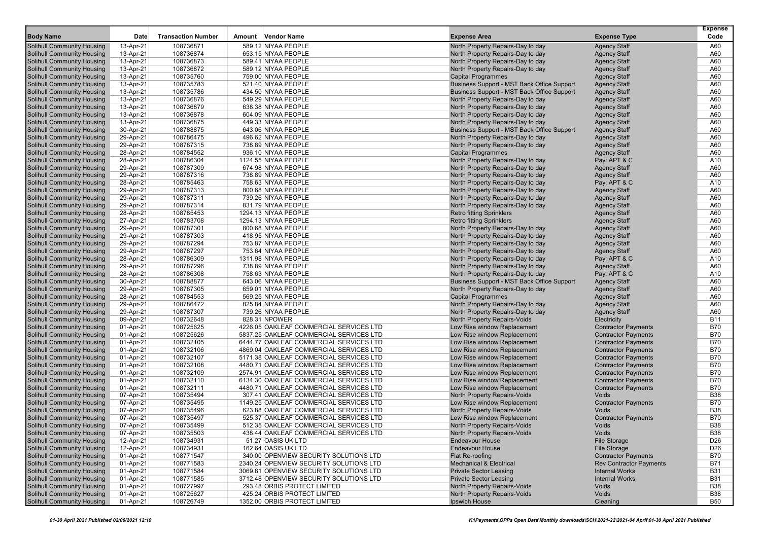|                                                                 |                        |                           |                                                                                    |                                                            |                                                          | <b>Expense</b>           |
|-----------------------------------------------------------------|------------------------|---------------------------|------------------------------------------------------------------------------------|------------------------------------------------------------|----------------------------------------------------------|--------------------------|
| <b>Body Name</b>                                                | Date                   | <b>Transaction Number</b> | Amount Vendor Name                                                                 | <b>Expense Area</b>                                        | <b>Expense Type</b>                                      | Code                     |
| Solihull Community Housing                                      | 13-Apr-21              | 108736871                 | 589.12 NIYAA PEOPLE                                                                | North Property Repairs-Day to day                          | <b>Agency Staff</b>                                      | A60                      |
| Solihull Community Housing                                      | 13-Apr-21              | 108736874                 | 653.15 NIYAA PEOPLE                                                                | North Property Repairs-Day to day                          | <b>Agency Staff</b>                                      | A60                      |
| <b>Solihull Community Housing</b>                               | 13-Apr-21              | 108736873                 | 589.41 NIYAA PEOPLE                                                                | North Property Repairs-Day to day                          | <b>Agency Staff</b>                                      | A60                      |
| Solihull Community Housing                                      | 13-Apr-21              | 108736872                 | 589.12 NIYAA PEOPLE                                                                | North Property Repairs-Day to day                          | <b>Agency Staff</b>                                      | A60                      |
| <b>Solihull Community Housing</b>                               | 13-Apr-21              | 108735760                 | 759.00 NIYAA PEOPLE                                                                | <b>Capital Programmes</b>                                  | <b>Agency Staff</b>                                      | A60                      |
| Solihull Community Housing                                      | 13-Apr-21              | 108735783                 | 521.40 NIYAA PEOPLE                                                                | Business Support - MST Back Office Support                 | <b>Agency Staff</b>                                      | A60                      |
| Solihull Community Housing                                      | 13-Apr-21              | 108735786                 | 434.50 NIYAA PEOPLE                                                                | Business Support - MST Back Office Support                 | <b>Agency Staff</b>                                      | A60                      |
| Solihull Community Housing                                      | 13-Apr-21              | 108736876                 | 549.29 NIYAA PEOPLE                                                                | North Property Repairs-Day to day                          | <b>Agency Staff</b>                                      | A60                      |
| Solihull Community Housing                                      | 13-Apr-21              | 108736879                 | 638.38 NIYAA PEOPLE                                                                | North Property Repairs-Day to day                          | <b>Agency Staff</b>                                      | A60                      |
| <b>Solihull Community Housing</b>                               | 13-Apr-21              | 108736878                 | 604.09 NIYAA PEOPLE                                                                | North Property Repairs-Day to day                          | <b>Agency Staff</b>                                      | A60                      |
| Solihull Community Housing                                      | 13-Apr-21              | 108736875                 | 449.33 NIYAA PEOPLE                                                                | North Property Repairs-Day to day                          | <b>Agency Staff</b>                                      | A60                      |
| Solihull Community Housing                                      | 30-Apr-21              | 108788875                 | 643.06 NIYAA PEOPLE                                                                | Business Support - MST Back Office Support                 | <b>Agency Staff</b>                                      | A60                      |
| Solihull Community Housing                                      | 29-Apr-21              | 108786475                 | 496.62 NIYAA PEOPLE                                                                | North Property Repairs-Day to day                          | <b>Agency Staff</b>                                      | A60                      |
| Solihull Community Housing                                      | 29-Apr-21              | 108787315                 | 738.89 NIYAA PEOPLE                                                                | North Property Repairs-Day to day                          | <b>Agency Staff</b>                                      | A60                      |
| <b>Solihull Community Housing</b>                               | 28-Apr-21              | 108784552                 | 936.10 NIYAA PEOPLE                                                                | <b>Capital Programmes</b>                                  | <b>Agency Staff</b>                                      | A60                      |
| Solihull Community Housing                                      | 28-Apr-21              | 108786304                 | 1124.55 NIYAA PEOPLE                                                               | North Property Repairs-Day to day                          | Pay: APT & C                                             | A10                      |
| Solihull Community Housing                                      | 29-Apr-21              | 108787309                 | 674.98 NIYAA PEOPLE                                                                | North Property Repairs-Day to day                          | <b>Agency Staff</b>                                      | A60                      |
| Solihull Community Housing                                      | 29-Apr-21              | 108787316                 | 738.89 NIYAA PEOPLE                                                                | North Property Repairs-Day to day                          | <b>Agency Staff</b>                                      | A60                      |
| Solihull Community Housing                                      | 28-Apr-21              | 108785463                 | 758.63 NIYAA PEOPLE                                                                | North Property Repairs-Day to day                          | Pay: APT & C                                             | A10                      |
| <b>Solihull Community Housing</b>                               | 29-Apr-21              | 108787313                 | 800.68 NIYAA PEOPLE                                                                | North Property Repairs-Day to day                          | <b>Agency Staff</b>                                      | A60                      |
| Solihull Community Housing                                      | 29-Apr-21              | 108787311                 | 739.26 NIYAA PEOPLE                                                                | North Property Repairs-Day to day                          | <b>Agency Staff</b>                                      | A60                      |
| Solihull Community Housing                                      | 29-Apr-21              | 108787314                 | 831.79 NIYAA PEOPLE                                                                | North Property Repairs-Day to day                          | <b>Agency Staff</b>                                      | A60                      |
| Solihull Community Housing                                      | 28-Apr-21              | 108785453                 | 1294.13 NIYAA PEOPLE                                                               | <b>Retro fitting Sprinklers</b>                            | <b>Agency Staff</b>                                      | A60                      |
| Solihull Community Housing                                      | 27-Apr-21              | 108783708                 | 1294.13 NIYAA PEOPLE                                                               | <b>Retro fitting Sprinklers</b>                            | <b>Agency Staff</b>                                      | A60                      |
| <b>Solihull Community Housing</b>                               | 29-Apr-21              | 108787301                 | 800.68 NIYAA PEOPLE                                                                | North Property Repairs-Day to day                          | <b>Agency Staff</b>                                      | A60                      |
| Solihull Community Housing                                      | 29-Apr-21              | 108787303                 | 418.95 NIYAA PEOPLE                                                                | North Property Repairs-Day to day                          | <b>Agency Staff</b>                                      | A60                      |
| Solihull Community Housing                                      | 29-Apr-21              | 108787294                 | 753.87 NIYAA PEOPLE                                                                | North Property Repairs-Day to day                          | <b>Agency Staff</b>                                      | A60                      |
| Solihull Community Housing                                      | 29-Apr-21              | 108787297                 | 753.64 NIYAA PEOPLE                                                                | North Property Repairs-Day to day                          | <b>Agency Staff</b>                                      | A60                      |
| Solihull Community Housing                                      | 28-Apr-21              | 108786309                 | 1311.98 NIYAA PEOPLE                                                               | North Property Repairs-Day to day                          | Pay: APT & C                                             | A10                      |
| <b>Solihull Community Housing</b>                               | 29-Apr-21              | 108787296                 | 738.89 NIYAA PEOPLE                                                                | North Property Repairs-Day to day                          | <b>Agency Staff</b>                                      | A60                      |
| Solihull Community Housing                                      | 28-Apr-21              | 108786308                 | 758.63 NIYAA PEOPLE                                                                | North Property Repairs-Day to day                          | Pay: APT & C                                             | A10                      |
| Solihull Community Housing                                      | 30-Apr-21              | 108788877                 | 643.06 NIYAA PEOPLE                                                                | Business Support - MST Back Office Support                 | <b>Agency Staff</b>                                      | A60                      |
| Solihull Community Housing                                      | 29-Apr-21              | 108787305                 | 659.01 NIYAA PEOPLE                                                                | North Property Repairs-Day to day                          | <b>Agency Staff</b>                                      | A60                      |
| Solihull Community Housing                                      | 28-Apr-21              | 108784553                 | 569.25 NIYAA PEOPLE                                                                | <b>Capital Programmes</b>                                  | <b>Agency Staff</b>                                      | A60                      |
| <b>Solihull Community Housing</b>                               | 29-Apr-21              | 108786472                 | 825.84 NIYAA PEOPLE                                                                | North Property Repairs-Day to day                          | <b>Agency Staff</b>                                      | A60                      |
| Solihull Community Housing                                      | 29-Apr-21              | 108787307                 | 739.26 NIYAA PEOPLE                                                                | North Property Repairs-Day to day                          | <b>Agency Staff</b>                                      | A60                      |
| Solihull Community Housing                                      | 09-Apr-21              | 108732648                 | 828.31 NPOWER                                                                      | North Property Repairs-Voids                               | Electricity                                              | <b>B11</b>               |
| Solihull Community Housing                                      | 01-Apr-21              | 108725625                 | 4226.05 OAKLEAF COMMERCIAL SERVICES LTD                                            | Low Rise window Replacement                                | <b>Contractor Payments</b>                               | <b>B70</b>               |
| Solihull Community Housing                                      | 01-Apr-21              | 108725626                 | 5837.25 OAKLEAF COMMERCIAL SERVICES LTD                                            | Low Rise window Replacement                                | <b>Contractor Payments</b>                               | <b>B70</b>               |
| <b>Solihull Community Housing</b>                               | 01-Apr-21              | 108732105                 | 6444.77 OAKLEAF COMMERCIAL SERVICES LTD                                            | Low Rise window Replacement                                | <b>Contractor Payments</b>                               | <b>B70</b>               |
| Solihull Community Housing                                      | 01-Apr-21              | 108732106                 | 4869.04 OAKLEAF COMMERCIAL SERVICES LTD                                            | Low Rise window Replacement                                | <b>Contractor Payments</b>                               | <b>B70</b>               |
| Solihull Community Housing                                      | 01-Apr-21              | 108732107                 | 5171.38 OAKLEAF COMMERCIAL SERVICES LTD                                            | Low Rise window Replacement                                | <b>Contractor Payments</b>                               | <b>B70</b>               |
| Solihull Community Housing                                      | 01-Apr-21              | 108732108                 | 4480.71 OAKLEAF COMMERCIAL SERVICES LTD                                            | Low Rise window Replacement                                | <b>Contractor Payments</b>                               | <b>B70</b>               |
| Solihull Community Housing<br><b>Solihull Community Housing</b> | 01-Apr-21<br>01-Apr-21 | 108732109<br>108732110    | 2574.91 OAKLEAF COMMERCIAL SERVICES LTD<br>6134.30 OAKLEAF COMMERCIAL SERVICES LTD | Low Rise window Replacement<br>Low Rise window Replacement | <b>Contractor Payments</b><br><b>Contractor Payments</b> | <b>B70</b><br><b>B70</b> |
| Solihull Community Housing                                      |                        | 108732111                 | 4480.71 OAKLEAF COMMERCIAL SERVICES LTD                                            | Low Rise window Replacement                                | <b>Contractor Payments</b>                               | <b>B70</b>               |
| Solihull Community Housing                                      | 01-Apr-21              | 108735494                 | 307.41 OAKLEAF COMMERCIAL SERVICES LTD                                             | North Property Repairs-Voids                               | Voids                                                    | <b>B38</b>               |
| Solihull Community Housing                                      | 07-Apr-21<br>07-Apr-21 | 108735495                 | 1149.25 OAKLEAF COMMERCIAL SERVICES LTD                                            | Low Rise window Replacement                                | <b>Contractor Payments</b>                               | <b>B70</b>               |
| <b>Solihull Community Housing</b>                               | 07-Apr-21              | 108735496                 | 623.88 OAKLEAF COMMERCIAL SERVICES LTD                                             | North Property Repairs-Voids                               | Voids                                                    | <b>B38</b>               |
| <b>Solihull Community Housing</b>                               | 07-Apr-21              | 108735497                 | 525.37 OAKLEAF COMMERCIAL SERVICES LTD                                             | Low Rise window Replacement                                | <b>Contractor Payments</b>                               | <b>B70</b>               |
| <b>Solihull Community Housing</b>                               | 07-Apr-21              | 108735499                 | 512.35 OAKLEAF COMMERCIAL SERVICES LTD                                             | North Property Repairs-Voids                               | Voids                                                    | <b>B38</b>               |
| Solihull Community Housing                                      | 07-Apr-21              | 108735503                 | 438.44 OAKLEAF COMMERCIAL SERVICES LTD                                             | North Property Repairs-Voids                               | Voids                                                    | <b>B38</b>               |
| <b>Solihull Community Housing</b>                               | 12-Apr-21              | 108734931                 | 51.27 OASIS UK LTD                                                                 | <b>Endeavour House</b>                                     | <b>File Storage</b>                                      | D <sub>26</sub>          |
| <b>Solihull Community Housing</b>                               | 12-Apr-21              | 108734931                 | 162.64 OASIS UK LTD                                                                | <b>Endeavour House</b>                                     | <b>File Storage</b>                                      | D <sub>26</sub>          |
| <b>Solihull Community Housing</b>                               | 01-Apr-21              | 108771547                 | 340.00 OPENVIEW SECURITY SOLUTIONS LTD                                             | Flat Re-roofing                                            | <b>Contractor Payments</b>                               | <b>B70</b>               |
| Solihull Community Housing                                      | 01-Apr-21              | 108771583                 | 2340.24 OPENVIEW SECURITY SOLUTIONS LTD                                            | <b>Mechanical &amp; Electrical</b>                         | <b>Rev Contractor Payments</b>                           | B71                      |
| Solihull Community Housing                                      | 01-Apr-21              | 108771584                 | 3069.81 OPENVIEW SECURITY SOLUTIONS LTD                                            | <b>Private Sector Leasing</b>                              | <b>Internal Works</b>                                    | <b>B31</b>               |
| Solihull Community Housing                                      | 01-Apr-21              | 108771585                 | 3712.48 OPENVIEW SECURITY SOLUTIONS LTD                                            | <b>Private Sector Leasing</b>                              | <b>Internal Works</b>                                    | <b>B31</b>               |
| <b>Solihull Community Housing</b>                               | 01-Apr-21              | 108727997                 | 293.48 ORBIS PROTECT LIMITED                                                       | North Property Repairs-Voids                               | Voids                                                    | <b>B38</b>               |
| <b>Solihull Community Housing</b>                               | 01-Apr-21              | 108725627                 | 425.24 ORBIS PROTECT LIMITED                                                       | North Property Repairs-Voids                               | Voids                                                    | <b>B38</b>               |
| <b>Solihull Community Housing</b>                               | $01-Apr-21$            | 108726749                 | 1352.00 ORBIS PROTECT LIMITED                                                      | Ipswich House                                              | Cleaning                                                 | B50                      |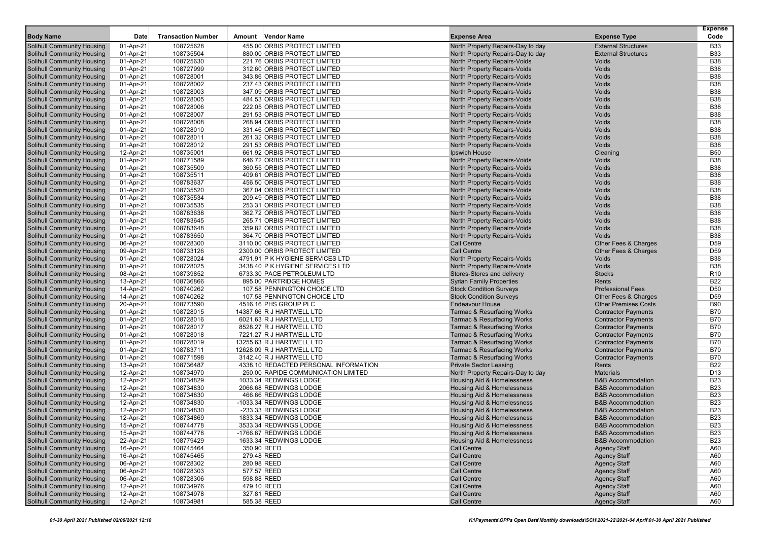| <b>Body Name</b>                                                | Date                   | <b>Transaction Number</b> | Amount Vendor Name                    | <b>Expense Area</b>                                                    | <b>Expense Type</b>          | <b>Expense</b><br>Code |
|-----------------------------------------------------------------|------------------------|---------------------------|---------------------------------------|------------------------------------------------------------------------|------------------------------|------------------------|
|                                                                 |                        | 108725628                 | 455.00 ORBIS PROTECT LIMITED          |                                                                        | <b>External Structures</b>   | <b>B33</b>             |
| <b>Solihull Community Housing</b><br>Solihull Community Housing | 01-Apr-21<br>01-Apr-21 | 108735504                 | 880.00 ORBIS PROTECT LIMITED          | North Property Repairs-Day to day<br>North Property Repairs-Day to day | <b>External Structures</b>   | <b>B33</b>             |
| <b>Solihull Community Housing</b>                               | 01-Apr-21              | 108725630                 | 221.76 ORBIS PROTECT LIMITED          | North Property Repairs-Voids                                           | <b>Voids</b>                 | <b>B38</b>             |
| Solihull Community Housing                                      | 01-Apr-21              | 108727999                 | 312.60 ORBIS PROTECT LIMITED          | North Property Repairs-Voids                                           | Voids                        | <b>B38</b>             |
| <b>Solihull Community Housing</b>                               | 01-Apr-21              | 108728001                 | 343.86 ORBIS PROTECT LIMITED          | North Property Repairs-Voids                                           | Voids                        | <b>B38</b>             |
| Solihull Community Housing                                      | 01-Apr-21              | 108728002                 | 237.43 ORBIS PROTECT LIMITED          | North Property Repairs-Voids                                           | Voids                        | <b>B38</b>             |
| Solihull Community Housing                                      | 01-Apr-21              | 108728003                 | 347.09 ORBIS PROTECT LIMITED          | North Property Repairs-Voids                                           | Voids                        | <b>B38</b>             |
| Solihull Community Housing                                      | 01-Apr-21              | 108728005                 | 484.53 ORBIS PROTECT LIMITED          | North Property Repairs-Voids                                           | Voids                        | <b>B38</b>             |
| Solihull Community Housing                                      | 01-Apr-21              | 108728006                 | 222.05 ORBIS PROTECT LIMITED          | North Property Repairs-Voids                                           | Voids                        | <b>B38</b>             |
| <b>Solihull Community Housing</b>                               | 01-Apr-21              | 108728007                 | 291.53 ORBIS PROTECT LIMITED          | North Property Repairs-Voids                                           | Voids                        | <b>B38</b>             |
| <b>Solihull Community Housing</b>                               | 01-Apr-21              | 108728008                 | 268.94 ORBIS PROTECT LIMITED          | North Property Repairs-Voids                                           | Voids                        | <b>B38</b>             |
| Solihull Community Housing                                      | 01-Apr-21              | 108728010                 | 331.46 ORBIS PROTECT LIMITED          | North Property Repairs-Voids                                           | Voids                        | <b>B38</b>             |
| Solihull Community Housing                                      | 01-Apr-21              | 108728011                 | 261.32 ORBIS PROTECT LIMITED          | North Property Repairs-Voids                                           | Voids                        | <b>B38</b>             |
| Solihull Community Housing                                      | 01-Apr-21              | 108728012                 | 291.53 ORBIS PROTECT LIMITED          | North Property Repairs-Voids                                           | Voids                        | <b>B38</b>             |
| <b>Solihull Community Housing</b>                               | 12-Apr-21              | 108735001                 | 661.92 ORBIS PROTECT LIMITED          | Ipswich House                                                          | Cleaning                     | <b>B50</b>             |
| <b>Solihull Community Housing</b>                               | 01-Apr-21              | 108771589                 | 646.72 ORBIS PROTECT LIMITED          | <b>North Property Repairs-Voids</b>                                    | Voids                        | <b>B38</b>             |
| Solihull Community Housing                                      | 01-Apr-21              | 108735509                 | 360.55 ORBIS PROTECT LIMITED          | North Property Repairs-Voids                                           | Voids                        | <b>B38</b>             |
| Solihull Community Housing                                      | 01-Apr-21              | 108735511                 | 409.61 ORBIS PROTECT LIMITED          | North Property Repairs-Voids                                           | Voids                        | <b>B38</b>             |
| Solihull Community Housing                                      | 01-Apr-21              | 108783637                 | 456.50 ORBIS PROTECT LIMITED          | North Property Repairs-Voids                                           | Voids                        | <b>B38</b>             |
| <b>Solihull Community Housing</b>                               | 01-Apr-21              | 108735520                 | 367.04 ORBIS PROTECT LIMITED          | North Property Repairs-Voids                                           | Voids                        | <b>B38</b>             |
| <b>Solihull Community Housing</b>                               | 01-Apr-21              | 108735534                 | 209.49 ORBIS PROTECT LIMITED          | North Property Repairs-Voids                                           | Voids                        | <b>B38</b>             |
| Solihull Community Housing                                      | 01-Apr-21              | 108735535                 | 253.31 ORBIS PROTECT LIMITED          | North Property Repairs-Voids                                           | Voids                        | <b>B38</b>             |
| Solihull Community Housing                                      | 01-Apr-21              | 108783638                 | 362.72 ORBIS PROTECT LIMITED          | North Property Repairs-Voids                                           | Voids                        | <b>B38</b>             |
| <b>Solihull Community Housing</b>                               | 01-Apr-21              | 108783645                 | 265.71 ORBIS PROTECT LIMITED          | North Property Repairs-Voids                                           | Voids                        | <b>B38</b>             |
| <b>Solihull Community Housing</b>                               | 01-Apr-21              | 108783648                 | 359.82 ORBIS PROTECT LIMITED          | North Property Repairs-Voids                                           | Voids                        | <b>B38</b>             |
| Solihull Community Housing                                      | 01-Apr-21              | 108783650                 | 364.70 ORBIS PROTECT LIMITED          | North Property Repairs-Voids                                           | Voids                        | <b>B38</b>             |
| Solihull Community Housing                                      | 06-Apr-21              | 108728300                 | 3110.00 ORBIS PROTECT LIMITED         | <b>Call Centre</b>                                                     | Other Fees & Charges         | D <sub>59</sub>        |
| Solihull Community Housing                                      | 09-Apr-21              | 108733126                 | 2300.00 ORBIS PROTECT LIMITED         | <b>Call Centre</b>                                                     | Other Fees & Charges         | D <sub>59</sub>        |
| <b>Solihull Community Housing</b>                               | 01-Apr-21              | 108728024                 | 4791.91 P K HYGIENE SERVICES LTD      | North Property Repairs-Voids                                           | Voids                        | <b>B38</b>             |
| <b>Solihull Community Housing</b>                               | 01-Apr-21              | 108728025                 | 3438.40 P K HYGIENE SERVICES LTD      | North Property Repairs-Voids                                           | Voids                        | <b>B38</b>             |
| <b>Solihull Community Housing</b>                               | 08-Apr-21              | 108739852                 | 6733.30 PACE PETROLEUM LTD            | Stores-Stores and delivery                                             | <b>Stocks</b>                | R <sub>10</sub>        |
| Solihull Community Housing                                      | 13-Apr-21              | 108736866                 | 895.00 PARTRIDGE HOMES                | <b>Syrian Family Properties</b>                                        | Rents                        | <b>B22</b>             |
| Solihull Community Housing                                      | 14-Apr-21              | 108740262                 | 107.58 PENNINGTON CHOICE LTD          | <b>Stock Condition Surveys</b>                                         | <b>Professional Fees</b>     | D <sub>50</sub>        |
| Solihull Community Housing                                      | 14-Apr-21              | 108740262                 | 107.58 PENNINGTON CHOICE LTD          | <b>Stock Condition Surveys</b>                                         | Other Fees & Charges         | D <sub>59</sub>        |
| <b>Solihull Community Housing</b>                               | 20-Apr-21              | 108773590                 | 4516.16 PHS GROUP PLC                 | <b>Endeavour House</b>                                                 | <b>Other Premises Costs</b>  | <b>B90</b>             |
| <b>Solihull Community Housing</b>                               | 01-Apr-21              | 108728015                 | 14387.66 R J HARTWELL LTD             | <b>Tarmac &amp; Resurfacing Works</b>                                  | <b>Contractor Payments</b>   | <b>B70</b>             |
| Solihull Community Housing                                      | 01-Apr-21              | 108728016                 | 6021.63 R J HARTWELL LTD              | <b>Tarmac &amp; Resurfacing Works</b>                                  | <b>Contractor Payments</b>   | <b>B70</b>             |
| Solihull Community Housing                                      | 01-Apr-21              | 108728017                 | 8528.27 R J HARTWELL LTD              | <b>Tarmac &amp; Resurfacing Works</b>                                  | <b>Contractor Payments</b>   | <b>B70</b>             |
| <b>Solihull Community Housing</b>                               | 01-Apr-21              | 108728018                 | 7221.27 R J HARTWELL LTD              | <b>Tarmac &amp; Resurfacing Works</b>                                  | <b>Contractor Payments</b>   | <b>B70</b>             |
| <b>Solihull Community Housing</b>                               | 01-Apr-21              | 108728019                 | 13255.63 R J HARTWELL LTD             | <b>Tarmac &amp; Resurfacing Works</b>                                  | <b>Contractor Payments</b>   | <b>B70</b>             |
| <b>Solihull Community Housing</b>                               | 01-Apr-21              | 108783711                 | 12628.09 R J HARTWELL LTD             | <b>Tarmac &amp; Resurfacing Works</b>                                  | <b>Contractor Payments</b>   | <b>B70</b>             |
| Solihull Community Housing                                      | 01-Apr-21              | 108771598                 | 3142.40 R J HARTWELL LTD              | <b>Tarmac &amp; Resurfacing Works</b>                                  | <b>Contractor Payments</b>   | <b>B70</b>             |
| <b>Solihull Community Housing</b>                               | 13-Apr-21              | 108736487                 | 4338.10 REDACTED PERSONAL INFORMATION | <b>Private Sector Leasing</b>                                          | Rents                        | <b>B22</b>             |
| Solihull Community Housing                                      | 12-Apr-21              | 108734970                 | 250.00 RAPIDE COMMUNICATION LIMITED   | North Property Repairs-Day to day                                      | <b>Materials</b>             | D <sub>13</sub>        |
| <b>Solihull Community Housing</b>                               | 12-Apr-21              | 108734829                 | 1033.34 REDWINGS LODGE                | <b>Housing Aid &amp; Homelessness</b>                                  | <b>B&amp;B Accommodation</b> | <b>B23</b>             |
| <b>Solihull Community Housing</b>                               | 12-Apr-21              | 108734830                 | 2066.68 REDWINGS LODGE                | Housing Aid & Homelessness                                             | <b>B&amp;B Accommodation</b> | <b>B23</b>             |
| Solihull Community Housing                                      | 12-Apr-21              | 108734830                 | 466.66 REDWINGS LODGE                 | Housing Aid & Homelessness                                             | <b>B&amp;B Accommodation</b> | <b>B23</b>             |
| Solihull Community Housing                                      | 12-Apr-21              | 108734830                 | -1033.34 REDWINGS LODGE               | Housing Aid & Homelessness                                             | <b>B&amp;B Accommodation</b> | <b>B23</b>             |
| Solihull Community Housing                                      | 12-Apr-21              | 108734830                 | -233.33 REDWINGS LODGE                | Housing Aid & Homelessness                                             | <b>B&amp;B Accommodation</b> | <b>B23</b>             |
| <b>Solihull Community Housing</b>                               | 12-Apr-21              | 108734869                 | 1833.34 REDWINGS LODGE                | <b>Housing Aid &amp; Homelessness</b>                                  | <b>B&amp;B Accommodation</b> | <b>B23</b>             |
| <b>Solihull Community Housing</b>                               | 15-Apr-21              | 108744778                 | 3533.34 REDWINGS LODGE                | Housing Aid & Homelessness                                             | <b>B&amp;B Accommodation</b> | <b>B23</b>             |
| <b>Solihull Community Housing</b>                               | 15-Apr-21              | 108744778                 | -1766.67 REDWINGS LODGE               | Housing Aid & Homelessness                                             | <b>B&amp;B Accommodation</b> | <b>B23</b>             |
| <b>Solihull Community Housing</b>                               | 22-Apr-21              | 108779429                 | 1633.34 REDWINGS LODGE                | <b>Housing Aid &amp; Homelessness</b>                                  | <b>B&amp;B Accommodation</b> | <b>B23</b>             |
| Solihull Community Housing                                      | 16-Apr-21              | 108745464                 | 350.90 REED                           | Call Centre                                                            | <b>Agency Staff</b>          | A60                    |
| <b>Solihull Community Housing</b>                               | 16-Apr-21              | 108745465                 | 279.48 REED                           | Call Centre                                                            | <b>Agency Staff</b>          | A60                    |
| <b>Solihull Community Housing</b>                               | 06-Apr-21              | 108728302                 | 280.98 REED                           | Call Centre                                                            | <b>Agency Staff</b>          | A60                    |
| <b>Solihull Community Housing</b>                               | 06-Apr-21              | 108728303                 | 577.57 REED                           | <b>Call Centre</b>                                                     | <b>Agency Staff</b>          | A60                    |
| <b>Solihull Community Housing</b>                               | 06-Apr-21              | 108728306                 | 598.88 REED                           | Call Centre                                                            | <b>Agency Staff</b>          | A60                    |
| <b>Solihull Community Housing</b>                               | 12-Apr-21              | 108734976                 | 479.10 REED                           | <b>Call Centre</b>                                                     | <b>Agency Staff</b>          | A60                    |
| <b>Solihull Community Housing</b>                               | 12-Apr-21              | 108734978                 | 327.81 REED                           | Call Centre                                                            | <b>Agency Staff</b>          | A60                    |
| <b>Solihull Community Housing</b>                               | 12-Apr-21              | 108734981                 | 585.38 REED                           | Call Centre                                                            | <b>Agency Staff</b>          | A60                    |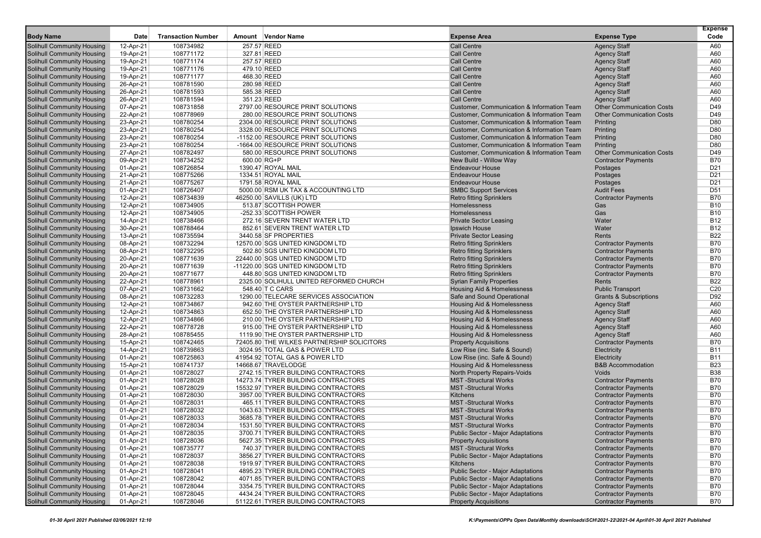|                                   |           |                           |                                            |                                                       |                                   | <b>Expense</b>  |
|-----------------------------------|-----------|---------------------------|--------------------------------------------|-------------------------------------------------------|-----------------------------------|-----------------|
| <b>Body Name</b>                  | Date      | <b>Transaction Number</b> | Amount Vendor Name                         | <b>Expense Area</b>                                   | <b>Expense Type</b>               | Code            |
| <b>Solihull Community Housing</b> | 12-Apr-21 | 108734982                 | 257.57 REED                                | <b>Call Centre</b>                                    | <b>Agency Staff</b>               | A60             |
| <b>Solihull Community Housing</b> | 19-Apr-21 | 108771172                 | 327.81 REED                                | <b>Call Centre</b>                                    | <b>Agency Staff</b>               | A60             |
| <b>Solihull Community Housing</b> | 19-Apr-21 | 108771174                 | 257.57 REED                                | <b>Call Centre</b>                                    | <b>Agency Staff</b>               | A60             |
| <b>Solihull Community Housing</b> | 19-Apr-21 | 108771176                 | 479.10 REED                                | <b>Call Centre</b>                                    | <b>Agency Staff</b>               | A60             |
| <b>Solihull Community Housing</b> | 19-Apr-21 | 108771177                 | 468.30 REED                                | <b>Call Centre</b>                                    | <b>Agency Staff</b>               | A60             |
| <b>Solihull Community Housing</b> | 26-Apr-21 | 108781590                 | 280.98 REED                                | <b>Call Centre</b>                                    | <b>Agency Staff</b>               | A60             |
| <b>Solihull Community Housing</b> | 26-Apr-21 | 108781593                 | 585.38 REED                                | <b>Call Centre</b>                                    | <b>Agency Staff</b>               | A60             |
| <b>Solihull Community Housing</b> | 26-Apr-21 | 108781594                 | 351.23 REED                                | <b>Call Centre</b>                                    | <b>Agency Staff</b>               | A60             |
| <b>Solihull Community Housing</b> | 07-Apr-21 | 108731858                 | 2797.00 RESOURCE PRINT SOLUTIONS           | Customer, Communication & Information Team            | <b>Other Communication Costs</b>  | D49             |
| <b>Solihull Community Housing</b> | 22-Apr-21 | 108778969                 | 280.00 RESOURCE PRINT SOLUTIONS            | Customer, Communication & Information Team            | <b>Other Communication Costs</b>  | D49             |
| <b>Solihull Community Housing</b> | 23-Apr-21 | 108780254                 | 2304.00 RESOURCE PRINT SOLUTIONS           | <b>Customer, Communication &amp; Information Team</b> | Printing                          | D80             |
| <b>Solihull Community Housing</b> |           | 108780254                 | 3328.00 RESOURCE PRINT SOLUTIONS           | <b>Customer, Communication &amp; Information Team</b> |                                   | D80             |
|                                   | 23-Apr-21 |                           |                                            |                                                       | Printing                          | D80             |
| <b>Solihull Community Housing</b> | 23-Apr-21 | 108780254<br>108780254    | -1152.00 RESOURCE PRINT SOLUTIONS          | Customer, Communication & Information Team            | Printing                          | D80             |
| <b>Solihull Community Housing</b> | 23-Apr-21 |                           | -1664.00 RESOURCE PRINT SOLUTIONS          | Customer, Communication & Information Team            | Printing                          |                 |
| <b>Solihull Community Housing</b> | 27-Apr-21 | 108782497                 | 580.00 RESOURCE PRINT SOLUTIONS            | Customer, Communication & Information Team            | <b>Other Communication Costs</b>  | D49             |
| <b>Solihull Community Housing</b> | 09-Apr-21 | 108734252                 | 600.00 RG+P                                | New Build - Willow Way                                | <b>Contractor Payments</b>        | <b>B70</b>      |
| <b>Solihull Community Housing</b> | 01-Apr-21 | 108726854                 | 1390.47 ROYAL MAIL                         | <b>Endeavour House</b>                                | Postages                          | D <sub>21</sub> |
| <b>Solihull Community Housing</b> | 21-Apr-21 | 108775266                 | 1334.51 ROYAL MAIL                         | <b>Endeavour House</b>                                | Postages                          | D <sub>21</sub> |
| <b>Solihull Community Housing</b> | 21-Apr-21 | 108775267                 | 1791.58 ROYAL MAIL                         | <b>Endeavour House</b>                                | Postages                          | D <sub>21</sub> |
| <b>Solihull Community Housing</b> | 01-Apr-21 | 108726407                 | 5000.00 RSM UK TAX & ACCOUNTING LTD        | <b>SMBC Support Services</b>                          | <b>Audit Fees</b>                 | D <sub>51</sub> |
| <b>Solihull Community Housing</b> | 12-Apr-21 | 108734839                 | 46250.00 SAVILLS (UK) LTD                  | <b>Retro fitting Sprinklers</b>                       | <b>Contractor Payments</b>        | <b>B70</b>      |
| <b>Solihull Community Housing</b> | 12-Apr-21 | 108734905                 | 513.87 SCOTTISH POWER                      | Homelessness                                          | Gas                               | <b>B10</b>      |
| <b>Solihull Community Housing</b> | 12-Apr-21 | 108734905                 | -252.33 SCOTTISH POWER                     | Homelessness                                          | Gas                               | <b>B10</b>      |
| <b>Solihull Community Housing</b> | 14-Apr-21 | 108738466                 | 272.16 SEVERN TRENT WATER LTD              | <b>Private Sector Leasing</b>                         | Water                             | <b>B12</b>      |
| <b>Solihull Community Housing</b> | 30-Apr-21 | 108788464                 | 852.61 SEVERN TRENT WATER LTD              | Ipswich House                                         | Water                             | <b>B12</b>      |
| <b>Solihull Community Housing</b> | 13-Apr-21 | 108735594                 | 3440.58 SF PROPERTIES                      | <b>Private Sector Leasing</b>                         | Rents                             | <b>B22</b>      |
| <b>Solihull Community Housing</b> | 08-Apr-21 | 108732294                 | 12570.00 SGS UNITED KINGDOM LTD            | <b>Retro fitting Sprinklers</b>                       | <b>Contractor Payments</b>        | <b>B70</b>      |
| <b>Solihull Community Housing</b> | 08-Apr-21 | 108732295                 | 502.80 SGS UNITED KINGDOM LTD              | <b>Retro fitting Sprinklers</b>                       | <b>Contractor Payments</b>        | <b>B70</b>      |
| <b>Solihull Community Housing</b> | 20-Apr-21 | 108771639                 | 22440.00 SGS UNITED KINGDOM LTD            | <b>Retro fitting Sprinklers</b>                       | <b>Contractor Payments</b>        | <b>B70</b>      |
| <b>Solihull Community Housing</b> | 20-Apr-21 | 108771639                 | -11220.00 SGS UNITED KINGDOM LTD           | <b>Retro fitting Sprinklers</b>                       | <b>Contractor Payments</b>        | <b>B70</b>      |
| <b>Solihull Community Housing</b> | 20-Apr-21 | 108771677                 | 448.80 SGS UNITED KINGDOM LTD              | <b>Retro fitting Sprinklers</b>                       | <b>Contractor Payments</b>        | <b>B70</b>      |
| <b>Solihull Community Housing</b> | 22-Apr-21 | 108778961                 | 2325.00 SOLIHULL UNITED REFORMED CHURCH    | <b>Syrian Family Properties</b>                       | Rents                             | <b>B22</b>      |
| <b>Solihull Community Housing</b> | 07-Apr-21 | 108731662                 | 548.40 T C CARS                            | Housing Aid & Homelessness                            | <b>Public Transport</b>           | C <sub>20</sub> |
| <b>Solihull Community Housing</b> | 08-Apr-21 | 108732283                 | 1290.00 TELECARE SERVICES ASSOCIATION      | Safe and Sound Operational                            | <b>Grants &amp; Subscriptions</b> | D92             |
| <b>Solihull Community Housing</b> | 12-Apr-21 | 108734867                 | 942.60 THE OYSTER PARTNERSHIP LTD          | Housing Aid & Homelessness                            | <b>Agency Staff</b>               | A60             |
| <b>Solihull Community Housing</b> | 12-Apr-21 | 108734863                 | 652.50 THE OYSTER PARTNERSHIP LTD          | Housing Aid & Homelessness                            | <b>Agency Staff</b>               | A60             |
| <b>Solihull Community Housing</b> | 12-Apr-21 | 108734866                 | 210.00 THE OYSTER PARTNERSHIP LTD          | Housing Aid & Homelessness                            | <b>Agency Staff</b>               | A60             |
| <b>Solihull Community Housing</b> | 22-Apr-21 | 108778728                 | 915.00 THE OYSTER PARTNERSHIP LTD          | <b>Housing Aid &amp; Homelessness</b>                 | <b>Agency Staff</b>               | A60             |
| <b>Solihull Community Housing</b> | 28-Apr-21 | 108785455                 | 1119.90 THE OYSTER PARTNERSHIP LTD         | Housing Aid & Homelessness                            | <b>Agency Staff</b>               | A60             |
| <b>Solihull Community Housing</b> | 15-Apr-21 | 108742465                 | 72405.80 THE WILKES PARTNERSHIP SOLICITORS | <b>Property Acquisitions</b>                          | <b>Contractor Payments</b>        | <b>B70</b>      |
| <b>Solihull Community Housing</b> | 14-Apr-21 | 108739863                 | 3024.95 TOTAL GAS & POWER LTD              | Low Rise (inc. Safe & Sound)                          | Electricity                       | <b>B11</b>      |
| <b>Solihull Community Housing</b> | 01-Apr-21 | 108725863                 | 41954.92 TOTAL GAS & POWER LTD             | Low Rise (inc. Safe & Sound)                          | Electricity                       | <b>B11</b>      |
| <b>Solihull Community Housing</b> | 15-Apr-21 | 108741737                 | 14668.67 TRAVELODGE                        | Housing Aid & Homelessness                            | <b>B&amp;B Accommodation</b>      | <b>B23</b>      |
| <b>Solihull Community Housing</b> | 01-Apr-21 | 108728027                 | 2742.15 TYRER BUILDING CONTRACTORS         | North Property Repairs-Voids                          | Voids                             | <b>B38</b>      |
| <b>Solihull Community Housing</b> | 01-Apr-21 | 108728028                 | 14273.74 TYRER BUILDING CONTRACTORS        | <b>MST-Structural Works</b>                           | <b>Contractor Payments</b>        | <b>B70</b>      |
| <b>Solihull Community Housing</b> | 01-Apr-21 | 108728029                 | 15532.97 TYRER BUILDING CONTRACTORS        | <b>MST-Structural Works</b>                           | <b>Contractor Payments</b>        | <b>B70</b>      |
| <b>Solihull Community Housing</b> | 01-Apr-21 | 108728030                 | 3957.00 TYRER BUILDING CONTRACTORS         | Kitchens                                              | <b>Contractor Payments</b>        | <b>B70</b>      |
| <b>Solihull Community Housing</b> | 01-Apr-21 | 108728031                 | 465.11 TYRER BUILDING CONTRACTORS          | <b>MST-Structural Works</b>                           | <b>Contractor Payments</b>        | <b>B70</b>      |
| <b>Solihull Community Housing</b> | 01-Apr-21 | 108728032                 | 1043.63 TYRER BUILDING CONTRACTORS         | <b>MST-Structural Works</b>                           | <b>Contractor Payments</b>        | <b>B70</b>      |
| <b>Solihull Community Housing</b> | 01-Apr-21 | 108728033                 | 3685.78 TYRER BUILDING CONTRACTORS         | <b>MST-Structural Works</b>                           | <b>Contractor Payments</b>        | <b>B70</b>      |
| <b>Solihull Community Housing</b> | 01-Apr-21 | 108728034                 | 1531.50 TYRER BUILDING CONTRACTORS         | <b>MST-Structural Works</b>                           | <b>Contractor Payments</b>        | <b>B70</b>      |
| <b>Solihull Community Housing</b> | 01-Apr-21 | 108728035                 | 3700.71 TYRER BUILDING CONTRACTORS         | <b>Public Sector - Major Adaptations</b>              | <b>Contractor Payments</b>        | <b>B70</b>      |
| <b>Solihull Community Housing</b> | 01-Apr-21 | 108728036                 | 5627.35 TYRER BUILDING CONTRACTORS         | <b>Property Acquisitions</b>                          | <b>Contractor Payments</b>        | <b>B70</b>      |
| <b>Solihull Community Housing</b> | 01-Apr-21 | 108735777                 | 740.37 TYRER BUILDING CONTRACTORS          | <b>MST-Structural Works</b>                           | <b>Contractor Payments</b>        | <b>B70</b>      |
| <b>Solihull Community Housing</b> | 01-Apr-21 | 108728037                 | 3856.27 TYRER BUILDING CONTRACTORS         | <b>Public Sector - Major Adaptations</b>              | <b>Contractor Payments</b>        | <b>B70</b>      |
| <b>Solihull Community Housing</b> | 01-Apr-21 | 108728038                 | 1919.97 TYRER BUILDING CONTRACTORS         | Kitchens                                              | <b>Contractor Payments</b>        | <b>B70</b>      |
| <b>Solihull Community Housing</b> | 01-Apr-21 | 108728041                 | 4895.23 TYRER BUILDING CONTRACTORS         | <b>Public Sector - Major Adaptations</b>              | <b>Contractor Payments</b>        | <b>B70</b>      |
| <b>Solihull Community Housing</b> | 01-Apr-21 | 108728042                 | 4071.85 TYRER BUILDING CONTRACTORS         | <b>Public Sector - Major Adaptations</b>              | <b>Contractor Payments</b>        | <b>B70</b>      |
| <b>Solihull Community Housing</b> | 01-Apr-21 | 108728044                 | 3354.75 TYRER BUILDING CONTRACTORS         | <b>Public Sector - Major Adaptations</b>              | <b>Contractor Payments</b>        | <b>B70</b>      |
| <b>Solihull Community Housing</b> | 01-Apr-21 | 108728045                 | 4434.24 TYRER BUILDING CONTRACTORS         | <b>Public Sector - Major Adaptations</b>              | <b>Contractor Payments</b>        | <b>B70</b>      |
| <b>Solihull Community Housing</b> | 01-Apr-21 | 108728046                 | 51122.61 TYRER BUILDING CONTRACTORS        | <b>Property Acquisitions</b>                          | <b>Contractor Payments</b>        | B70             |
|                                   |           |                           |                                            |                                                       |                                   |                 |